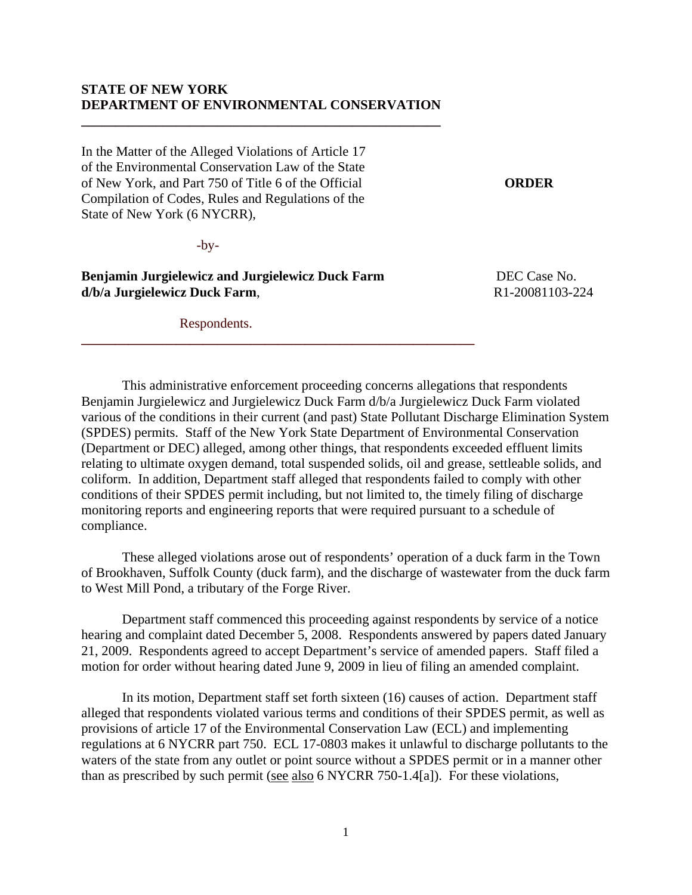# **STATE OF NEW YORK DEPARTMENT OF ENVIRONMENTAL CONSERVATION**

**\_\_\_\_\_\_\_\_\_\_\_\_\_\_\_\_\_\_\_\_\_\_\_\_\_\_\_\_\_\_\_\_\_\_\_\_\_\_\_\_\_\_\_\_\_\_\_\_\_\_\_\_\_**

In the Matter of the Alleged Violations of Article 17 of the Environmental Conservation Law of the State of New York, and Part 750 of Title 6 of the Official **ORDER**  Compilation of Codes, Rules and Regulations of the State of New York (6 NYCRR),

-by-

**Benjamin Jurgielewicz and Jurgielewicz Duck Farm** DEC Case No. **d/b/a** Jurgielewicz Duck Farm, R1-20081103-224

**\_\_\_\_\_\_\_\_\_\_\_\_\_\_\_\_\_\_\_\_\_\_\_\_\_\_\_\_\_\_\_\_\_\_\_\_\_\_\_\_\_\_\_\_\_\_\_\_\_\_\_\_\_\_\_\_\_\_**

Respondents.

 This administrative enforcement proceeding concerns allegations that respondents Benjamin Jurgielewicz and Jurgielewicz Duck Farm d/b/a Jurgielewicz Duck Farm violated various of the conditions in their current (and past) State Pollutant Discharge Elimination System (SPDES) permits. Staff of the New York State Department of Environmental Conservation (Department or DEC) alleged, among other things, that respondents exceeded effluent limits relating to ultimate oxygen demand, total suspended solids, oil and grease, settleable solids, and coliform. In addition, Department staff alleged that respondents failed to comply with other conditions of their SPDES permit including, but not limited to, the timely filing of discharge monitoring reports and engineering reports that were required pursuant to a schedule of compliance.

These alleged violations arose out of respondents' operation of a duck farm in the Town of Brookhaven, Suffolk County (duck farm), and the discharge of wastewater from the duck farm to West Mill Pond, a tributary of the Forge River.

 Department staff commenced this proceeding against respondents by service of a notice hearing and complaint dated December 5, 2008. Respondents answered by papers dated January 21, 2009. Respondents agreed to accept Department's service of amended papers. Staff filed a motion for order without hearing dated June 9, 2009 in lieu of filing an amended complaint.

In its motion, Department staff set forth sixteen (16) causes of action. Department staff alleged that respondents violated various terms and conditions of their SPDES permit, as well as provisions of article 17 of the Environmental Conservation Law (ECL) and implementing regulations at 6 NYCRR part 750. ECL 17-0803 makes it unlawful to discharge pollutants to the waters of the state from any outlet or point source without a SPDES permit or in a manner other than as prescribed by such permit (see also 6 NYCRR 750-1.4[a]). For these violations,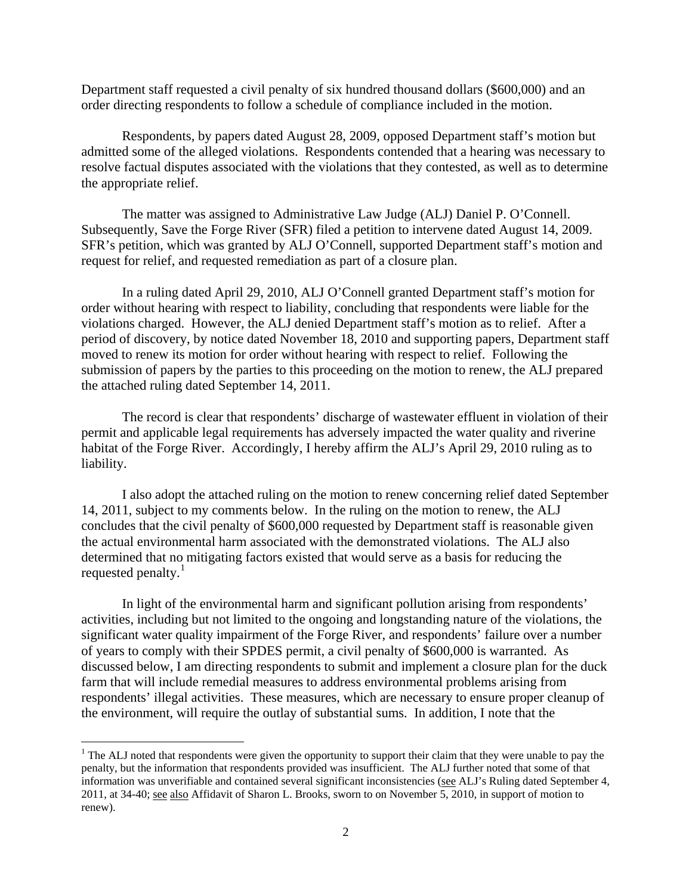Department staff requested a civil penalty of six hundred thousand dollars (\$600,000) and an order directing respondents to follow a schedule of compliance included in the motion.

 Respondents, by papers dated August 28, 2009, opposed Department staff's motion but admitted some of the alleged violations. Respondents contended that a hearing was necessary to resolve factual disputes associated with the violations that they contested, as well as to determine the appropriate relief.

The matter was assigned to Administrative Law Judge (ALJ) Daniel P. O'Connell. Subsequently, Save the Forge River (SFR) filed a petition to intervene dated August 14, 2009. SFR's petition, which was granted by ALJ O'Connell, supported Department staff's motion and request for relief, and requested remediation as part of a closure plan.

In a ruling dated April 29, 2010, ALJ O'Connell granted Department staff's motion for order without hearing with respect to liability, concluding that respondents were liable for the violations charged. However, the ALJ denied Department staff's motion as to relief. After a period of discovery, by notice dated November 18, 2010 and supporting papers, Department staff moved to renew its motion for order without hearing with respect to relief. Following the submission of papers by the parties to this proceeding on the motion to renew, the ALJ prepared the attached ruling dated September 14, 2011.

The record is clear that respondents' discharge of wastewater effluent in violation of their permit and applicable legal requirements has adversely impacted the water quality and riverine habitat of the Forge River. Accordingly, I hereby affirm the ALJ's April 29, 2010 ruling as to liability.

I also adopt the attached ruling on the motion to renew concerning relief dated September 14, 2011, subject to my comments below. In the ruling on the motion to renew, the ALJ concludes that the civil penalty of \$600,000 requested by Department staff is reasonable given the actual environmental harm associated with the demonstrated violations. The ALJ also determined that no mitigating factors existed that would serve as a basis for reducing the requested penalty. $<sup>1</sup>$  $<sup>1</sup>$  $<sup>1</sup>$ </sup>

In light of the environmental harm and significant pollution arising from respondents' activities, including but not limited to the ongoing and longstanding nature of the violations, the significant water quality impairment of the Forge River, and respondents' failure over a number of years to comply with their SPDES permit, a civil penalty of \$600,000 is warranted. As discussed below, I am directing respondents to submit and implement a closure plan for the duck farm that will include remedial measures to address environmental problems arising from respondents' illegal activities. These measures, which are necessary to ensure proper cleanup of the environment, will require the outlay of substantial sums. In addition, I note that the

i<br>Li

<span id="page-1-0"></span> $1$  The ALJ noted that respondents were given the opportunity to support their claim that they were unable to pay the penalty, but the information that respondents provided was insufficient. The ALJ further noted that some of that information was unverifiable and contained several significant inconsistencies (see ALJ's Ruling dated September 4, 2011, at 34-40; see also Affidavit of Sharon L. Brooks, sworn to on November 5, 2010, in support of motion to renew).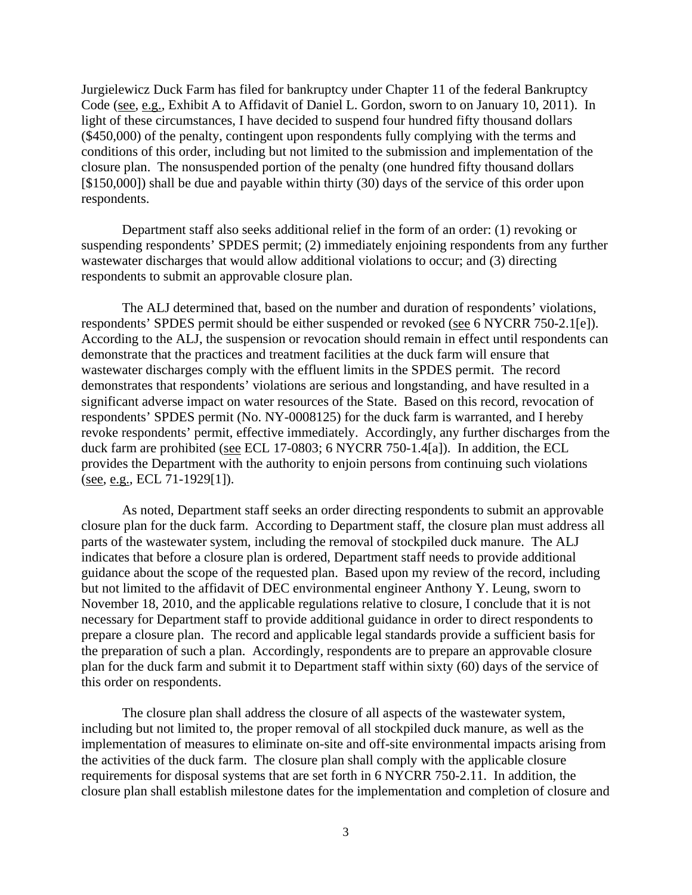Jurgielewicz Duck Farm has filed for bankruptcy under Chapter 11 of the federal Bankruptcy Code (see, e.g., Exhibit A to Affidavit of Daniel L. Gordon, sworn to on January 10, 2011). In light of these circumstances, I have decided to suspend four hundred fifty thousand dollars (\$450,000) of the penalty, contingent upon respondents fully complying with the terms and conditions of this order, including but not limited to the submission and implementation of the closure plan. The nonsuspended portion of the penalty (one hundred fifty thousand dollars [\$150,000]) shall be due and payable within thirty (30) days of the service of this order upon respondents.

Department staff also seeks additional relief in the form of an order: (1) revoking or suspending respondents' SPDES permit; (2) immediately enjoining respondents from any further wastewater discharges that would allow additional violations to occur; and (3) directing respondents to submit an approvable closure plan.

The ALJ determined that, based on the number and duration of respondents' violations, respondents' SPDES permit should be either suspended or revoked (see 6 NYCRR 750-2.1[e]). According to the ALJ, the suspension or revocation should remain in effect until respondents can demonstrate that the practices and treatment facilities at the duck farm will ensure that wastewater discharges comply with the effluent limits in the SPDES permit. The record demonstrates that respondents' violations are serious and longstanding, and have resulted in a significant adverse impact on water resources of the State. Based on this record, revocation of respondents' SPDES permit (No. NY-0008125) for the duck farm is warranted, and I hereby revoke respondents' permit, effective immediately. Accordingly, any further discharges from the duck farm are prohibited (see ECL 17-0803; 6 NYCRR 750-1.4[a]). In addition, the ECL provides the Department with the authority to enjoin persons from continuing such violations (see, e.g., ECL 71-1929[1]).

As noted, Department staff seeks an order directing respondents to submit an approvable closure plan for the duck farm. According to Department staff, the closure plan must address all parts of the wastewater system, including the removal of stockpiled duck manure. The ALJ indicates that before a closure plan is ordered, Department staff needs to provide additional guidance about the scope of the requested plan. Based upon my review of the record, including but not limited to the affidavit of DEC environmental engineer Anthony Y. Leung, sworn to November 18, 2010, and the applicable regulations relative to closure, I conclude that it is not necessary for Department staff to provide additional guidance in order to direct respondents to prepare a closure plan. The record and applicable legal standards provide a sufficient basis for the preparation of such a plan. Accordingly, respondents are to prepare an approvable closure plan for the duck farm and submit it to Department staff within sixty (60) days of the service of this order on respondents.

The closure plan shall address the closure of all aspects of the wastewater system, including but not limited to, the proper removal of all stockpiled duck manure, as well as the implementation of measures to eliminate on-site and off-site environmental impacts arising from the activities of the duck farm. The closure plan shall comply with the applicable closure requirements for disposal systems that are set forth in 6 NYCRR 750-2.11. In addition, the closure plan shall establish milestone dates for the implementation and completion of closure and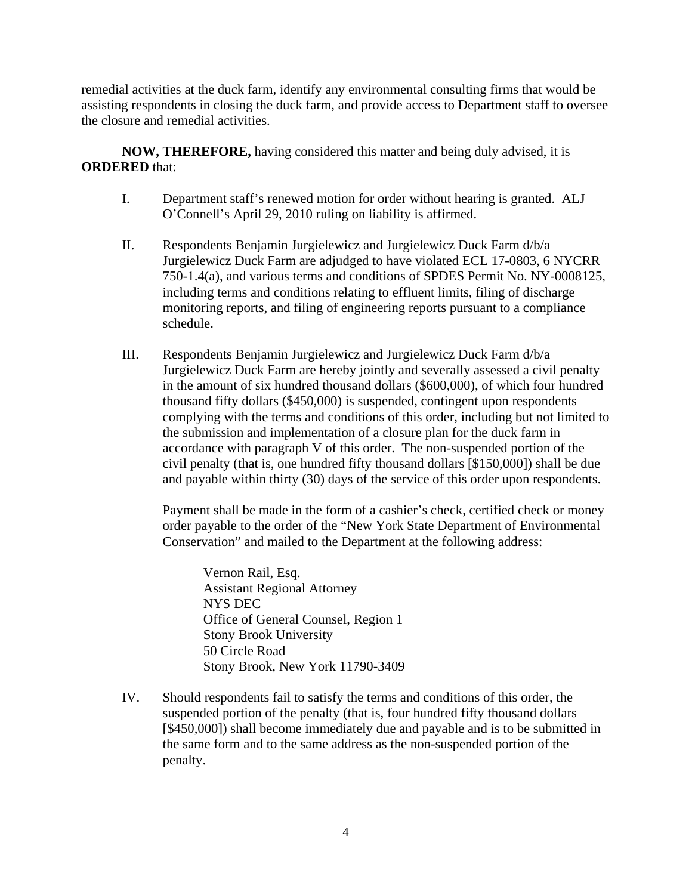remedial activities at the duck farm, identify any environmental consulting firms that would be assisting respondents in closing the duck farm, and provide access to Department staff to oversee the closure and remedial activities.

**NOW, THEREFORE,** having considered this matter and being duly advised, it is **ORDERED** that:

- I. Department staff's renewed motion for order without hearing is granted. ALJ O'Connell's April 29, 2010 ruling on liability is affirmed.
- II. Respondents Benjamin Jurgielewicz and Jurgielewicz Duck Farm d/b/a Jurgielewicz Duck Farm are adjudged to have violated ECL 17-0803, 6 NYCRR 750-1.4(a), and various terms and conditions of SPDES Permit No. NY-0008125, including terms and conditions relating to effluent limits, filing of discharge monitoring reports, and filing of engineering reports pursuant to a compliance schedule.
- III. Respondents Benjamin Jurgielewicz and Jurgielewicz Duck Farm d/b/a Jurgielewicz Duck Farm are hereby jointly and severally assessed a civil penalty in the amount of six hundred thousand dollars (\$600,000), of which four hundred thousand fifty dollars (\$450,000) is suspended, contingent upon respondents complying with the terms and conditions of this order, including but not limited to the submission and implementation of a closure plan for the duck farm in accordance with paragraph V of this order. The non-suspended portion of the civil penalty (that is, one hundred fifty thousand dollars [\$150,000]) shall be due and payable within thirty (30) days of the service of this order upon respondents.

Payment shall be made in the form of a cashier's check, certified check or money order payable to the order of the "New York State Department of Environmental Conservation" and mailed to the Department at the following address:

Vernon Rail, Esq. Assistant Regional Attorney NYS DEC Office of General Counsel, Region 1 Stony Brook University 50 Circle Road Stony Brook, New York 11790-3409

IV. Should respondents fail to satisfy the terms and conditions of this order, the suspended portion of the penalty (that is, four hundred fifty thousand dollars [\$450,000]) shall become immediately due and payable and is to be submitted in the same form and to the same address as the non-suspended portion of the penalty.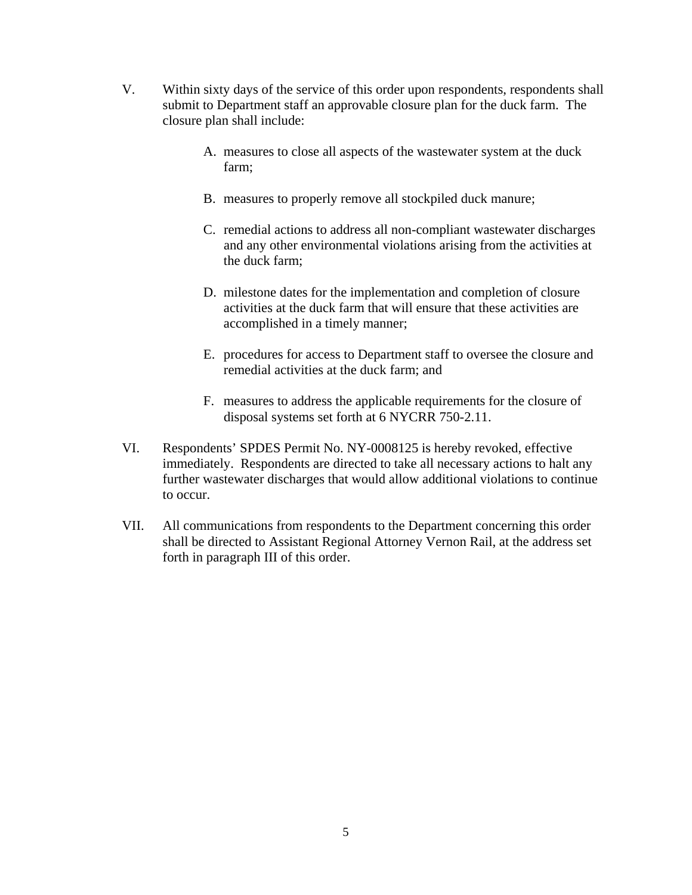- V. Within sixty days of the service of this order upon respondents, respondents shall submit to Department staff an approvable closure plan for the duck farm. The closure plan shall include:
	- A. measures to close all aspects of the wastewater system at the duck farm;
	- B. measures to properly remove all stockpiled duck manure;
	- C. remedial actions to address all non-compliant wastewater discharges and any other environmental violations arising from the activities at the duck farm;
	- D. milestone dates for the implementation and completion of closure activities at the duck farm that will ensure that these activities are accomplished in a timely manner;
	- E. procedures for access to Department staff to oversee the closure and remedial activities at the duck farm; and
	- F. measures to address the applicable requirements for the closure of disposal systems set forth at 6 NYCRR 750-2.11.
- VI. Respondents' SPDES Permit No. NY-0008125 is hereby revoked, effective immediately. Respondents are directed to take all necessary actions to halt any further wastewater discharges that would allow additional violations to continue to occur.
- VII. All communications from respondents to the Department concerning this order shall be directed to Assistant Regional Attorney Vernon Rail, at the address set forth in paragraph III of this order.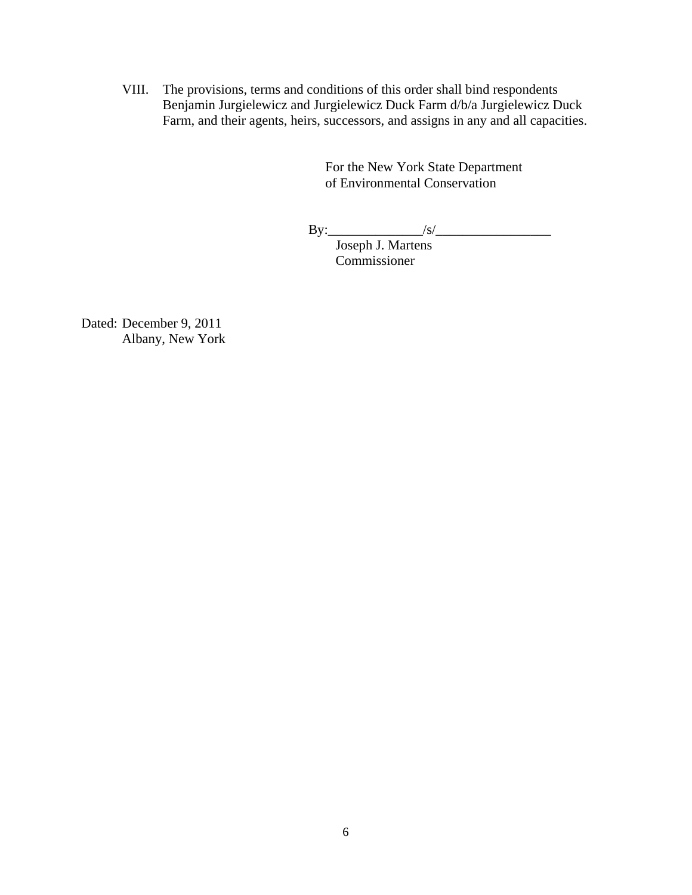VIII. The provisions, terms and conditions of this order shall bind respondents Benjamin Jurgielewicz and Jurgielewicz Duck Farm d/b/a Jurgielewicz Duck Farm, and their agents, heirs, successors, and assigns in any and all capacities.

> For the New York State Department of Environmental Conservation

By:\_\_\_\_\_\_\_\_\_\_\_\_\_\_/s/\_\_\_\_\_\_\_\_\_\_\_\_\_\_\_\_\_

Joseph J. Martens Commissioner

Dated: December 9, 2011 Albany, New York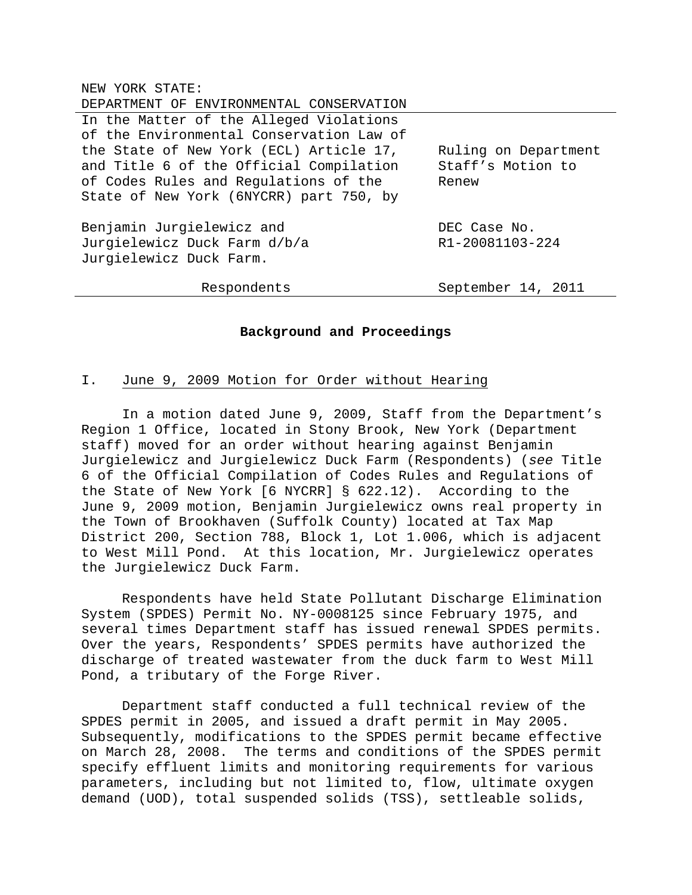|  | NEW YORK STATE: |  |
|--|-----------------|--|
|  |                 |  |

| DEPARTMENT OF ENVIRONMENTAL CONSERVATION |                      |  |
|------------------------------------------|----------------------|--|
| In the Matter of the Alleged Violations  |                      |  |
| of the Environmental Conservation Law of |                      |  |
| the State of New York (ECL) Article 17,  | Ruling on Department |  |
| and Title 6 of the Official Compilation  | Staff's Motion to    |  |
| of Codes Rules and Regulations of the    | Renew                |  |
| State of New York (6NYCRR) part 750, by  |                      |  |
|                                          |                      |  |
| Benjamin Jurgielewicz and                | DEC Case No.         |  |
| Jurgielewicz Duck Farm d/b/a             | R1-20081103-224      |  |
| Jurgielewicz Duck Farm.                  |                      |  |
|                                          |                      |  |
| Respondents                              | September 14, 2011   |  |

### **Background and Proceedings**

### I. June 9, 2009 Motion for Order without Hearing

 In a motion dated June 9, 2009, Staff from the Department's Region 1 Office, located in Stony Brook, New York (Department staff) moved for an order without hearing against Benjamin Jurgielewicz and Jurgielewicz Duck Farm (Respondents) (*see* Title 6 of the Official Compilation of Codes Rules and Regulations of the State of New York [6 NYCRR] § 622.12). According to the June 9, 2009 motion, Benjamin Jurgielewicz owns real property in the Town of Brookhaven (Suffolk County) located at Tax Map District 200, Section 788, Block 1, Lot 1.006, which is adjacent to West Mill Pond. At this location, Mr. Jurgielewicz operates the Jurgielewicz Duck Farm.

 Respondents have held State Pollutant Discharge Elimination System (SPDES) Permit No. NY-0008125 since February 1975, and several times Department staff has issued renewal SPDES permits. Over the years, Respondents' SPDES permits have authorized the discharge of treated wastewater from the duck farm to West Mill Pond, a tributary of the Forge River.

 Department staff conducted a full technical review of the SPDES permit in 2005, and issued a draft permit in May 2005. Subsequently, modifications to the SPDES permit became effective on March 28, 2008. The terms and conditions of the SPDES permit specify effluent limits and monitoring requirements for various parameters, including but not limited to, flow, ultimate oxygen demand (UOD), total suspended solids (TSS), settleable solids,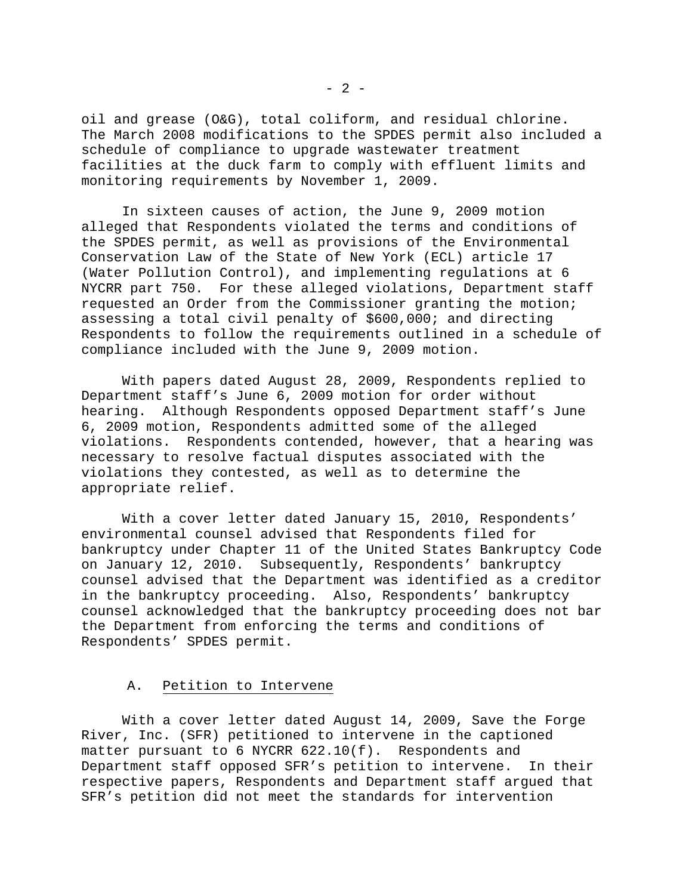oil and grease (O&G), total coliform, and residual chlorine. The March 2008 modifications to the SPDES permit also included a schedule of compliance to upgrade wastewater treatment facilities at the duck farm to comply with effluent limits and monitoring requirements by November 1, 2009.

 In sixteen causes of action, the June 9, 2009 motion alleged that Respondents violated the terms and conditions of the SPDES permit, as well as provisions of the Environmental Conservation Law of the State of New York (ECL) article 17 (Water Pollution Control), and implementing regulations at 6 NYCRR part 750. For these alleged violations, Department staff requested an Order from the Commissioner granting the motion; assessing a total civil penalty of \$600,000; and directing Respondents to follow the requirements outlined in a schedule of compliance included with the June 9, 2009 motion.

 With papers dated August 28, 2009, Respondents replied to Department staff's June 6, 2009 motion for order without hearing. Although Respondents opposed Department staff's June 6, 2009 motion, Respondents admitted some of the alleged violations. Respondents contended, however, that a hearing was necessary to resolve factual disputes associated with the violations they contested, as well as to determine the appropriate relief.

 With a cover letter dated January 15, 2010, Respondents' environmental counsel advised that Respondents filed for bankruptcy under Chapter 11 of the United States Bankruptcy Code on January 12, 2010. Subsequently, Respondents' bankruptcy counsel advised that the Department was identified as a creditor in the bankruptcy proceeding. Also, Respondents' bankruptcy counsel acknowledged that the bankruptcy proceeding does not bar the Department from enforcing the terms and conditions of Respondents' SPDES permit.

## A. Petition to Intervene

 With a cover letter dated August 14, 2009, Save the Forge River, Inc. (SFR) petitioned to intervene in the captioned matter pursuant to 6 NYCRR  $622.10(f)$ . Respondents and Department staff opposed SFR's petition to intervene. In their respective papers, Respondents and Department staff argued that SFR's petition did not meet the standards for intervention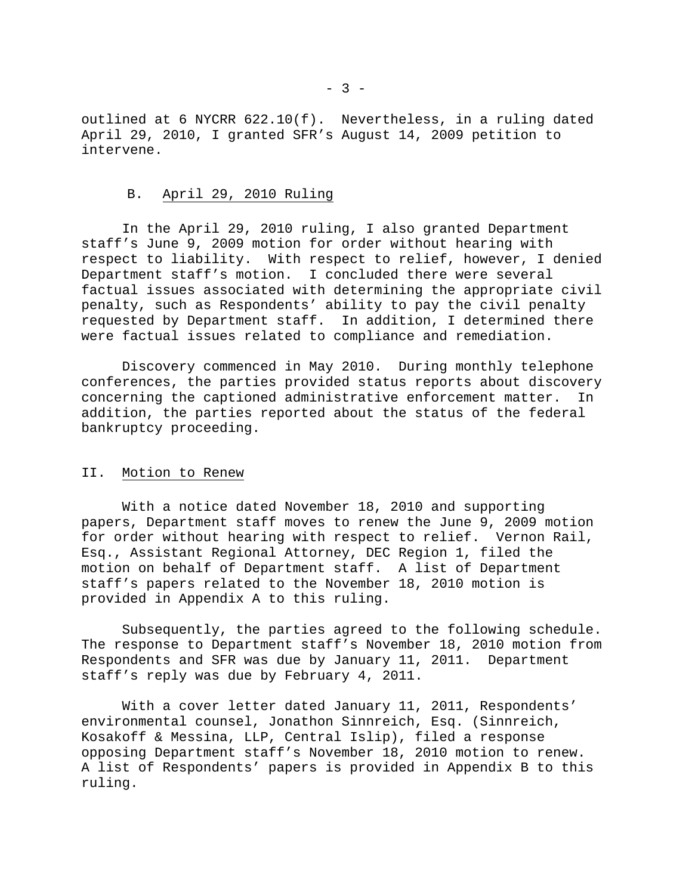outlined at 6 NYCRR 622.10(f). Nevertheless, in a ruling dated April 29, 2010, I granted SFR's August 14, 2009 petition to intervene.

### B. April 29, 2010 Ruling

 In the April 29, 2010 ruling, I also granted Department staff's June 9, 2009 motion for order without hearing with respect to liability. With respect to relief, however, I denied Department staff's motion. I concluded there were several factual issues associated with determining the appropriate civil penalty, such as Respondents' ability to pay the civil penalty requested by Department staff. In addition, I determined there were factual issues related to compliance and remediation.

 Discovery commenced in May 2010. During monthly telephone conferences, the parties provided status reports about discovery concerning the captioned administrative enforcement matter. In addition, the parties reported about the status of the federal bankruptcy proceeding.

## II. Motion to Renew

 With a notice dated November 18, 2010 and supporting papers, Department staff moves to renew the June 9, 2009 motion for order without hearing with respect to relief. Vernon Rail, Esq., Assistant Regional Attorney, DEC Region 1, filed the motion on behalf of Department staff. A list of Department staff's papers related to the November 18, 2010 motion is provided in Appendix A to this ruling.

 Subsequently, the parties agreed to the following schedule. The response to Department staff's November 18, 2010 motion from Respondents and SFR was due by January 11, 2011. Department staff's reply was due by February 4, 2011.

 With a cover letter dated January 11, 2011, Respondents' environmental counsel, Jonathon Sinnreich, Esq. (Sinnreich, Kosakoff & Messina, LLP, Central Islip), filed a response opposing Department staff's November 18, 2010 motion to renew. A list of Respondents' papers is provided in Appendix B to this ruling.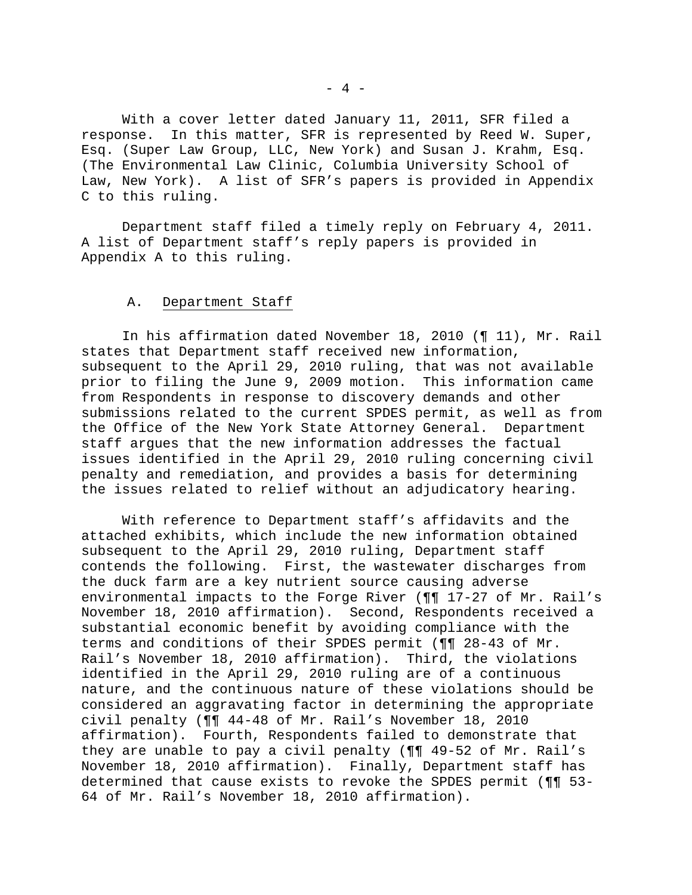With a cover letter dated January 11, 2011, SFR filed a response. In this matter, SFR is represented by Reed W. Super, Esq. (Super Law Group, LLC, New York) and Susan J. Krahm, Esq. (The Environmental Law Clinic, Columbia University School of Law, New York). A list of SFR's papers is provided in Appendix C to this ruling.

 Department staff filed a timely reply on February 4, 2011. A list of Department staff's reply papers is provided in Appendix A to this ruling.

### A. Department Staff

 In his affirmation dated November 18, 2010 (¶ 11), Mr. Rail states that Department staff received new information, subsequent to the April 29, 2010 ruling, that was not available prior to filing the June 9, 2009 motion. This information came from Respondents in response to discovery demands and other submissions related to the current SPDES permit, as well as from the Office of the New York State Attorney General. Department staff argues that the new information addresses the factual issues identified in the April 29, 2010 ruling concerning civil penalty and remediation, and provides a basis for determining the issues related to relief without an adjudicatory hearing.

 With reference to Department staff's affidavits and the attached exhibits, which include the new information obtained subsequent to the April 29, 2010 ruling, Department staff contends the following. First, the wastewater discharges from the duck farm are a key nutrient source causing adverse environmental impacts to the Forge River (¶¶ 17-27 of Mr. Rail's November 18, 2010 affirmation). Second, Respondents received a substantial economic benefit by avoiding compliance with the terms and conditions of their SPDES permit (¶¶ 28-43 of Mr. Rail's November 18, 2010 affirmation). Third, the violations identified in the April 29, 2010 ruling are of a continuous nature, and the continuous nature of these violations should be considered an aggravating factor in determining the appropriate civil penalty (¶¶ 44-48 of Mr. Rail's November 18, 2010 affirmation). Fourth, Respondents failed to demonstrate that they are unable to pay a civil penalty (¶¶ 49-52 of Mr. Rail's November 18, 2010 affirmation). Finally, Department staff has determined that cause exists to revoke the SPDES permit (¶¶ 53- 64 of Mr. Rail's November 18, 2010 affirmation).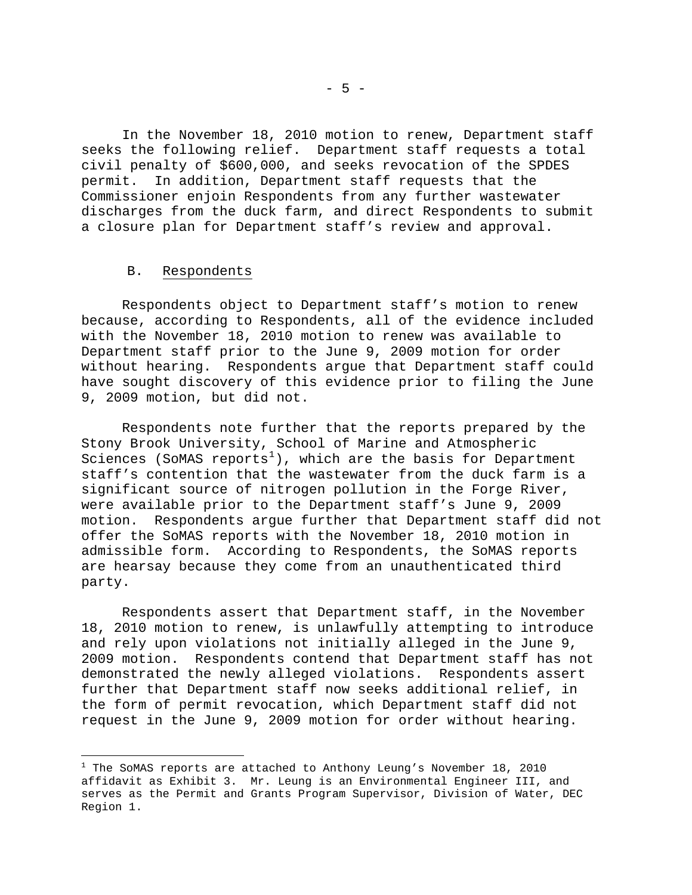In the November 18, 2010 motion to renew, Department staff seeks the following relief. Department staff requests a total civil penalty of \$600,000, and seeks revocation of the SPDES permit. In addition, Department staff requests that the Commissioner enjoin Respondents from any further wastewater discharges from the duck farm, and direct Respondents to submit a closure plan for Department staff's review and approval.

#### B. Respondents

i

 Respondents object to Department staff's motion to renew because, according to Respondents, all of the evidence included with the November 18, 2010 motion to renew was available to Department staff prior to the June 9, 2009 motion for order without hearing. Respondents argue that Department staff could have sought discovery of this evidence prior to filing the June 9, 2009 motion, but did not.

 Respondents note further that the reports prepared by the Stony Brook University, School of Marine and Atmospheric Sciences (SoMAS reports<sup>[1](#page-10-0)</sup>), which are the basis for Department staff's contention that the wastewater from the duck farm is a significant source of nitrogen pollution in the Forge River, were available prior to the Department staff's June 9, 2009 motion. Respondents argue further that Department staff did not offer the SoMAS reports with the November 18, 2010 motion in admissible form. According to Respondents, the SoMAS reports are hearsay because they come from an unauthenticated third party.

 Respondents assert that Department staff, in the November 18, 2010 motion to renew, is unlawfully attempting to introduce and rely upon violations not initially alleged in the June 9, 2009 motion. Respondents contend that Department staff has not demonstrated the newly alleged violations. Respondents assert further that Department staff now seeks additional relief, in the form of permit revocation, which Department staff did not request in the June 9, 2009 motion for order without hearing.

<span id="page-10-0"></span> $^1$  The SoMAS reports are attached to Anthony Leung's November 18, 2010 affidavit as Exhibit 3. Mr. Leung is an Environmental Engineer III, and serves as the Permit and Grants Program Supervisor, Division of Water, DEC Region 1.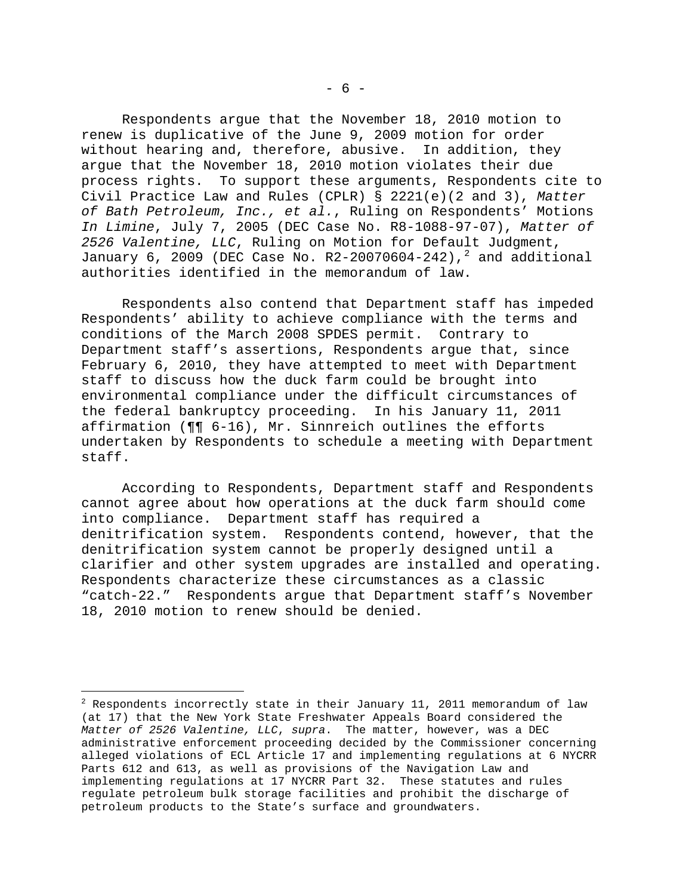Respondents argue that the November 18, 2010 motion to renew is duplicative of the June 9, 2009 motion for order without hearing and, therefore, abusive. In addition, they argue that the November 18, 2010 motion violates their due process rights. To support these arguments, Respondents cite to Civil Practice Law and Rules (CPLR) § 2221(e)(2 and 3), *Matter of Bath Petroleum, Inc., et al.*, Ruling on Respondents' Motions *In Limine*, July 7, 2005 (DEC Case No. R8-1088-97-07), *Matter of 2526 Valentine, LLC*, Ruling on Motion for Default Judgment, January 6, [2](#page-11-0)009 (DEC Case No. R2-20070604-242),  $^2$  and additional authorities identified in the memorandum of law.

 Respondents also contend that Department staff has impeded Respondents' ability to achieve compliance with the terms and conditions of the March 2008 SPDES permit. Contrary to Department staff's assertions, Respondents argue that, since February 6, 2010, they have attempted to meet with Department staff to discuss how the duck farm could be brought into environmental compliance under the difficult circumstances of the federal bankruptcy proceeding. In his January 11, 2011 affirmation (¶¶ 6-16), Mr. Sinnreich outlines the efforts undertaken by Respondents to schedule a meeting with Department staff.

 According to Respondents, Department staff and Respondents cannot agree about how operations at the duck farm should come into compliance. Department staff has required a denitrification system. Respondents contend, however, that the denitrification system cannot be properly designed until a clarifier and other system upgrades are installed and operating. Respondents characterize these circumstances as a classic "catch-22." Respondents argue that Department staff's November 18, 2010 motion to renew should be denied.

i

<span id="page-11-0"></span> $^2$  Respondents incorrectly state in their January 11, 2011 memorandum of law (at 17) that the New York State Freshwater Appeals Board considered the *Matter of 2526 Valentine, LLC*, *supra*. The matter, however, was a DEC administrative enforcement proceeding decided by the Commissioner concerning alleged violations of ECL Article 17 and implementing regulations at 6 NYCRR Parts 612 and 613, as well as provisions of the Navigation Law and implementing regulations at 17 NYCRR Part 32. These statutes and rules regulate petroleum bulk storage facilities and prohibit the discharge of petroleum products to the State's surface and groundwaters.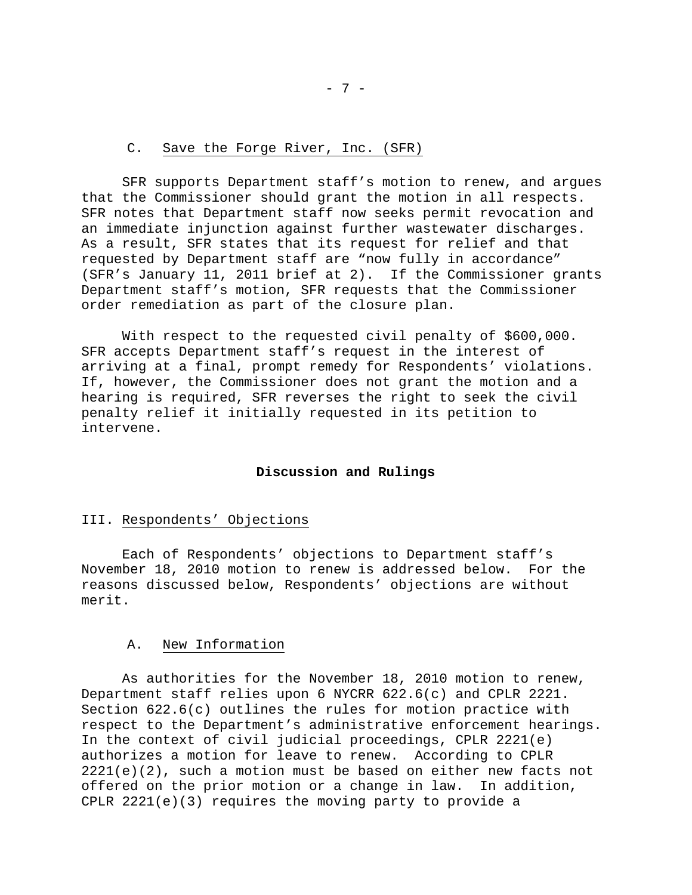## C. Save the Forge River, Inc. (SFR)

 SFR supports Department staff's motion to renew, and argues that the Commissioner should grant the motion in all respects. SFR notes that Department staff now seeks permit revocation and an immediate injunction against further wastewater discharges. As a result, SFR states that its request for relief and that requested by Department staff are "now fully in accordance" (SFR's January 11, 2011 brief at 2). If the Commissioner grants Department staff's motion, SFR requests that the Commissioner order remediation as part of the closure plan.

 With respect to the requested civil penalty of \$600,000. SFR accepts Department staff's request in the interest of arriving at a final, prompt remedy for Respondents' violations. If, however, the Commissioner does not grant the motion and a hearing is required, SFR reverses the right to seek the civil penalty relief it initially requested in its petition to intervene.

## **Discussion and Rulings**

### III. Respondents' Objections

 Each of Respondents' objections to Department staff's November 18, 2010 motion to renew is addressed below. For the reasons discussed below, Respondents' objections are without merit.

#### A. New Information

 As authorities for the November 18, 2010 motion to renew, Department staff relies upon 6 NYCRR 622.6(c) and CPLR 2221. Section 622.6(c) outlines the rules for motion practice with respect to the Department's administrative enforcement hearings. In the context of civil judicial proceedings, CPLR 2221(e) authorizes a motion for leave to renew. According to CPLR  $2221(e)(2)$ , such a motion must be based on either new facts not offered on the prior motion or a change in law. In addition, CPLR 2221(e)(3) requires the moving party to provide a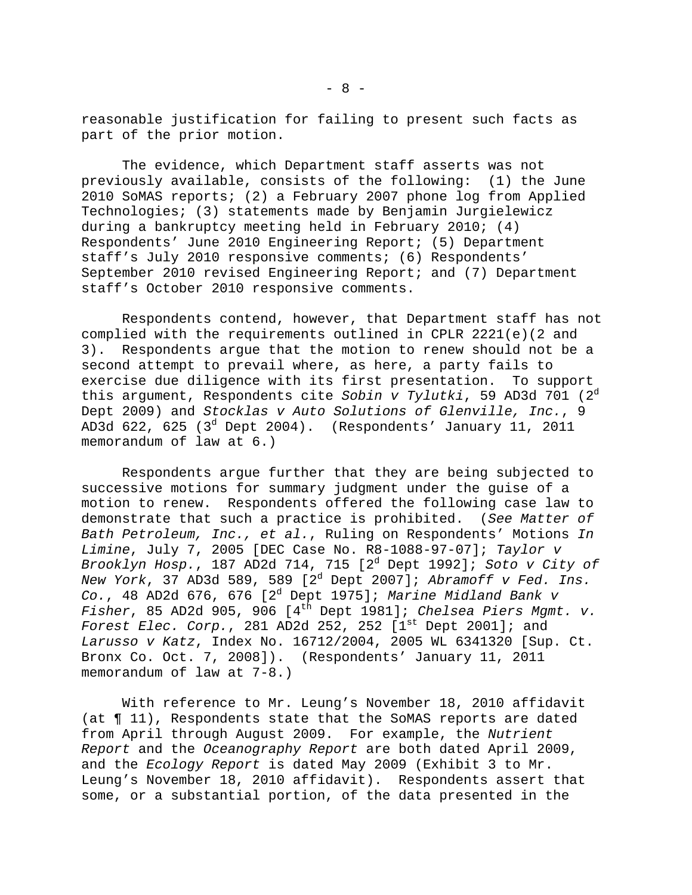reasonable justification for failing to present such facts as part of the prior motion.

 The evidence, which Department staff asserts was not previously available, consists of the following: (1) the June 2010 SoMAS reports; (2) a February 2007 phone log from Applied Technologies; (3) statements made by Benjamin Jurgielewicz during a bankruptcy meeting held in February 2010; (4) Respondents' June 2010 Engineering Report; (5) Department staff's July 2010 responsive comments; (6) Respondents' September 2010 revised Engineering Report; and (7) Department staff's October 2010 responsive comments.

 Respondents contend, however, that Department staff has not complied with the requirements outlined in CPLR 2221(e)(2 and 3). Respondents argue that the motion to renew should not be a second attempt to prevail where, as here, a party fails to exercise due diligence with its first presentation. To support this argument, Respondents cite *Sobin v Tylutki*, 59 AD3d 701 (2<sup>d</sup> Dept 2009) and *Stocklas v Auto Solutions of Glenville, Inc.*, 9 AD3d 622, 625 (3<sup>d</sup> Dept 2004). (Respondents' January 11, 2011 memorandum of law at 6.)

 Respondents argue further that they are being subjected to successive motions for summary judgment under the guise of a motion to renew. Respondents offered the following case law to demonstrate that such a practice is prohibited. (*See Matter of Bath Petroleum, Inc., et al.*, Ruling on Respondents' Motions *In Limine*, July 7, 2005 [DEC Case No. R8-1088-97-07]; *Taylor v Brooklyn Hosp.*, 187 AD2d 714, 715 [2<sup>d</sup> Dept 1992]; *Soto v City of New York*, 37 AD3d 589, 589 [2<sup>d</sup> Dept 2007]; *Abramoff v Fed. Ins. Co.*, 48 AD2d 676, 676 [2<sup>d</sup> Dept 1975]; *Marine Midland Bank v Fisher*, 85 AD2d 905, 906 [4th Dept 1981]; *Chelsea Piers Mgmt. v. Forest Elec. Corp.*, 281 AD2d 252, 252 [1<sup>st</sup> Dept 2001]; and *Larusso v Katz*, Index No. 16712/2004, 2005 WL 6341320 [Sup. Ct. Bronx Co. Oct. 7, 2008]). (Respondents' January 11, 2011 memorandum of law at 7-8.)

 With reference to Mr. Leung's November 18, 2010 affidavit (at ¶ 11), Respondents state that the SoMAS reports are dated from April through August 2009. For example, the *Nutrient Report* and the *Oceanography Report* are both dated April 2009, and the *Ecology Report* is dated May 2009 (Exhibit 3 to Mr. Leung's November 18, 2010 affidavit). Respondents assert that some, or a substantial portion, of the data presented in the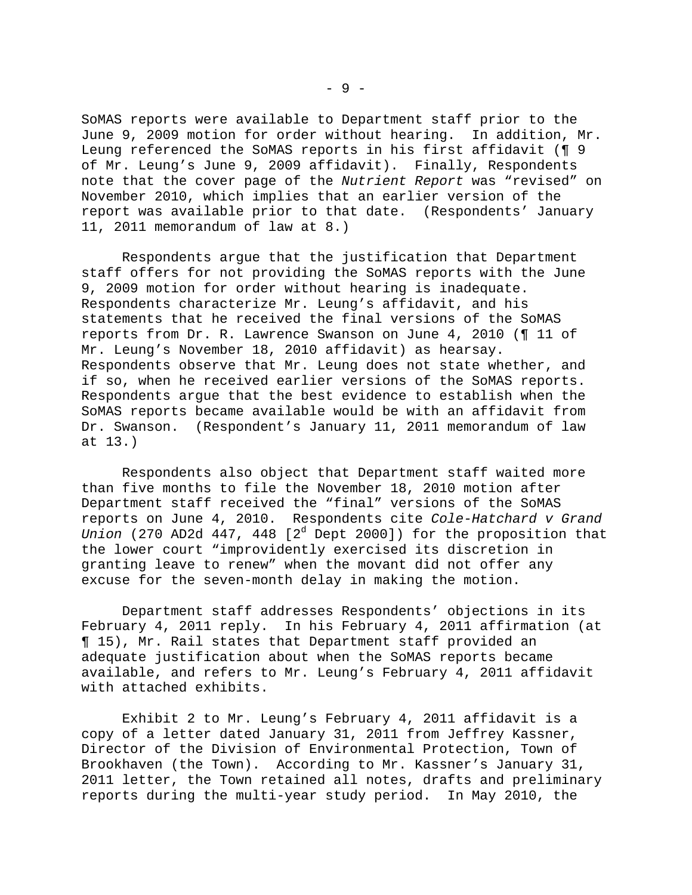SoMAS reports were available to Department staff prior to the June 9, 2009 motion for order without hearing. In addition, Mr. Leung referenced the SoMAS reports in his first affidavit (¶ 9 of Mr. Leung's June 9, 2009 affidavit). Finally, Respondents note that the cover page of the *Nutrient Report* was "revised" on November 2010, which implies that an earlier version of the report was available prior to that date. (Respondents' January 11, 2011 memorandum of law at 8.)

 Respondents argue that the justification that Department staff offers for not providing the SoMAS reports with the June 9, 2009 motion for order without hearing is inadequate. Respondents characterize Mr. Leung's affidavit, and his statements that he received the final versions of the SoMAS reports from Dr. R. Lawrence Swanson on June 4, 2010 (¶ 11 of Mr. Leung's November 18, 2010 affidavit) as hearsay. Respondents observe that Mr. Leung does not state whether, and if so, when he received earlier versions of the SoMAS reports. Respondents argue that the best evidence to establish when the SoMAS reports became available would be with an affidavit from Dr. Swanson. (Respondent's January 11, 2011 memorandum of law at 13.)

 Respondents also object that Department staff waited more than five months to file the November 18, 2010 motion after Department staff received the "final" versions of the SoMAS reports on June 4, 2010. Respondents cite *Cole-Hatchard v Grand*  Union (270 AD2d 447, 448 [2<sup>d</sup> Dept 2000]) for the proposition that the lower court "improvidently exercised its discretion in granting leave to renew" when the movant did not offer any excuse for the seven-month delay in making the motion.

 Department staff addresses Respondents' objections in its February 4, 2011 reply. In his February 4, 2011 affirmation (at ¶ 15), Mr. Rail states that Department staff provided an adequate justification about when the SoMAS reports became available, and refers to Mr. Leung's February 4, 2011 affidavit with attached exhibits.

 Exhibit 2 to Mr. Leung's February 4, 2011 affidavit is a copy of a letter dated January 31, 2011 from Jeffrey Kassner, Director of the Division of Environmental Protection, Town of Brookhaven (the Town). According to Mr. Kassner's January 31, 2011 letter, the Town retained all notes, drafts and preliminary reports during the multi-year study period. In May 2010, the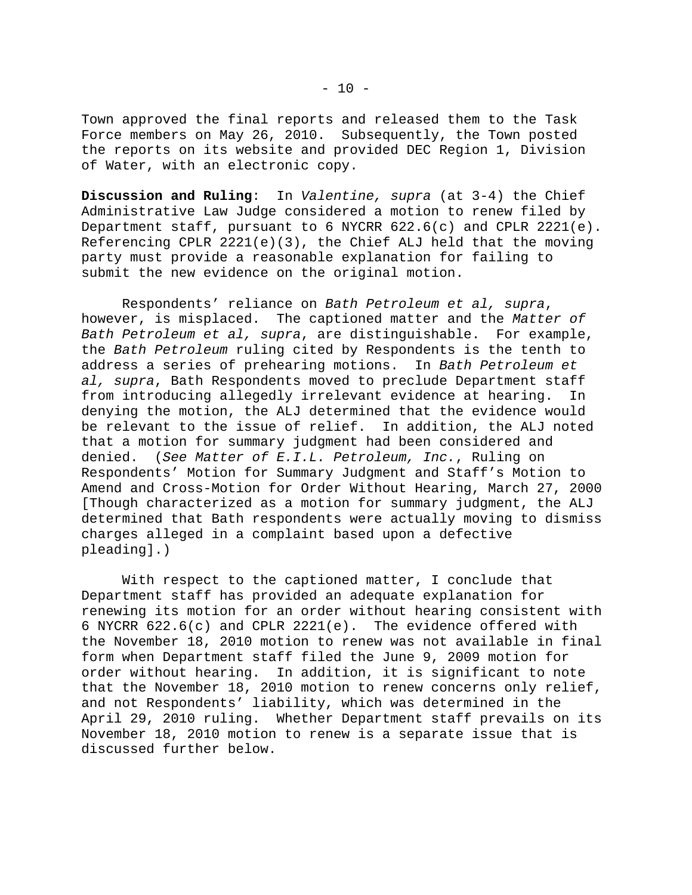Town approved the final reports and released them to the Task Force members on May 26, 2010. Subsequently, the Town posted the reports on its website and provided DEC Region 1, Division of Water, with an electronic copy.

**Discussion and Ruling**: In *Valentine, supra* (at 3-4) the Chief Administrative Law Judge considered a motion to renew filed by Department staff, pursuant to 6 NYCRR 622.6(c) and CPLR 2221(e). Referencing CPLR 2221(e)(3), the Chief ALJ held that the moving party must provide a reasonable explanation for failing to submit the new evidence on the original motion.

 Respondents' reliance on *Bath Petroleum et al, supra*, however, is misplaced. The captioned matter and the *Matter of Bath Petroleum et al, supra*, are distinguishable. For example, the *Bath Petroleum* ruling cited by Respondents is the tenth to address a series of prehearing motions. In *Bath Petroleum et al, supra*, Bath Respondents moved to preclude Department staff from introducing allegedly irrelevant evidence at hearing. In denying the motion, the ALJ determined that the evidence would be relevant to the issue of relief. In addition, the ALJ noted that a motion for summary judgment had been considered and denied. (*See Matter of E.I.L. Petroleum, Inc.*, Ruling on Respondents' Motion for Summary Judgment and Staff's Motion to Amend and Cross-Motion for Order Without Hearing, March 27, 2000 [Though characterized as a motion for summary judgment, the ALJ determined that Bath respondents were actually moving to dismiss charges alleged in a complaint based upon a defective pleading].)

 With respect to the captioned matter, I conclude that Department staff has provided an adequate explanation for renewing its motion for an order without hearing consistent with 6 NYCRR 622.6(c) and CPLR 2221(e). The evidence offered with the November 18, 2010 motion to renew was not available in final form when Department staff filed the June 9, 2009 motion for order without hearing. In addition, it is significant to note that the November 18, 2010 motion to renew concerns only relief, and not Respondents' liability, which was determined in the April 29, 2010 ruling. Whether Department staff prevails on its November 18, 2010 motion to renew is a separate issue that is discussed further below.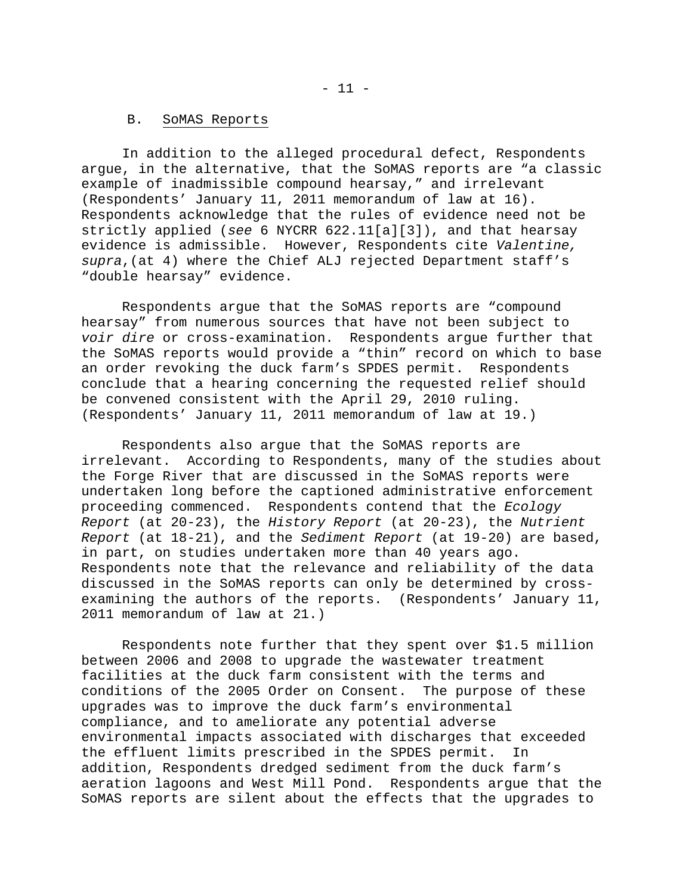#### B. SoMAS Reports

 In addition to the alleged procedural defect, Respondents argue, in the alternative, that the SoMAS reports are "a classic example of inadmissible compound hearsay," and irrelevant (Respondents' January 11, 2011 memorandum of law at 16). Respondents acknowledge that the rules of evidence need not be strictly applied (*see* 6 NYCRR 622.11[a][3]), and that hearsay evidence is admissible. However, Respondents cite *Valentine, supra*,(at 4) where the Chief ALJ rejected Department staff's "double hearsay" evidence.

 Respondents argue that the SoMAS reports are "compound hearsay" from numerous sources that have not been subject to *voir dire* or cross-examination. Respondents argue further that the SoMAS reports would provide a "thin" record on which to base an order revoking the duck farm's SPDES permit. Respondents conclude that a hearing concerning the requested relief should be convened consistent with the April 29, 2010 ruling. (Respondents' January 11, 2011 memorandum of law at 19.)

 Respondents also argue that the SoMAS reports are irrelevant. According to Respondents, many of the studies about the Forge River that are discussed in the SoMAS reports were undertaken long before the captioned administrative enforcement proceeding commenced. Respondents contend that the *Ecology Report* (at 20-23), the *History Report* (at 20-23), the *Nutrient Report* (at 18-21), and the *Sediment Report* (at 19-20) are based, in part, on studies undertaken more than 40 years ago. Respondents note that the relevance and reliability of the data discussed in the SoMAS reports can only be determined by crossexamining the authors of the reports. (Respondents' January 11, 2011 memorandum of law at 21.)

 Respondents note further that they spent over \$1.5 million between 2006 and 2008 to upgrade the wastewater treatment facilities at the duck farm consistent with the terms and conditions of the 2005 Order on Consent. The purpose of these upgrades was to improve the duck farm's environmental compliance, and to ameliorate any potential adverse environmental impacts associated with discharges that exceeded the effluent limits prescribed in the SPDES permit. In addition, Respondents dredged sediment from the duck farm's aeration lagoons and West Mill Pond. Respondents argue that the SoMAS reports are silent about the effects that the upgrades to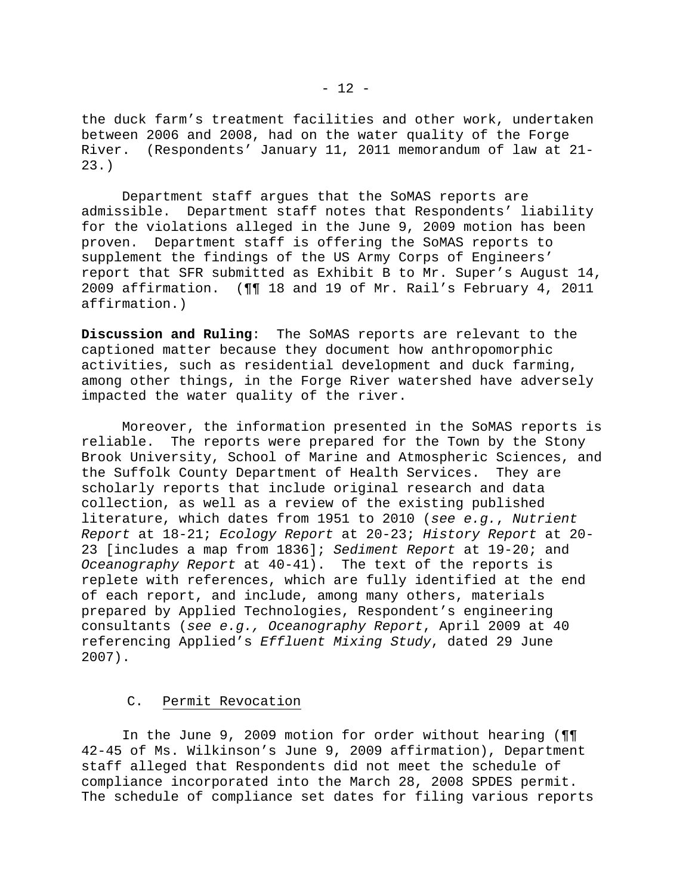the duck farm's treatment facilities and other work, undertaken between 2006 and 2008, had on the water quality of the Forge River. (Respondents' January 11, 2011 memorandum of law at 21- 23.)

 Department staff argues that the SoMAS reports are admissible. Department staff notes that Respondents' liability for the violations alleged in the June 9, 2009 motion has been proven. Department staff is offering the SoMAS reports to supplement the findings of the US Army Corps of Engineers' report that SFR submitted as Exhibit B to Mr. Super's August 14, 2009 affirmation. (¶¶ 18 and 19 of Mr. Rail's February 4, 2011 affirmation.)

**Discussion and Ruling**: The SoMAS reports are relevant to the captioned matter because they document how anthropomorphic activities, such as residential development and duck farming, among other things, in the Forge River watershed have adversely impacted the water quality of the river.

 Moreover, the information presented in the SoMAS reports is reliable. The reports were prepared for the Town by the Stony Brook University, School of Marine and Atmospheric Sciences, and the Suffolk County Department of Health Services. They are scholarly reports that include original research and data collection, as well as a review of the existing published literature, which dates from 1951 to 2010 (*see e.g.*, *Nutrient Report* at 18-21; *Ecology Report* at 20-23; *History Report* at 20- 23 [includes a map from 1836]; *Sediment Report* at 19-20; and *Oceanography Report* at 40-41). The text of the reports is replete with references, which are fully identified at the end of each report, and include, among many others, materials prepared by Applied Technologies, Respondent's engineering consultants (*see e.g., Oceanography Report*, April 2009 at 40 referencing Applied's *Effluent Mixing Study*, dated 29 June 2007).

# C. Permit Revocation

 In the June 9, 2009 motion for order without hearing (¶¶ 42-45 of Ms. Wilkinson's June 9, 2009 affirmation), Department staff alleged that Respondents did not meet the schedule of compliance incorporated into the March 28, 2008 SPDES permit. The schedule of compliance set dates for filing various reports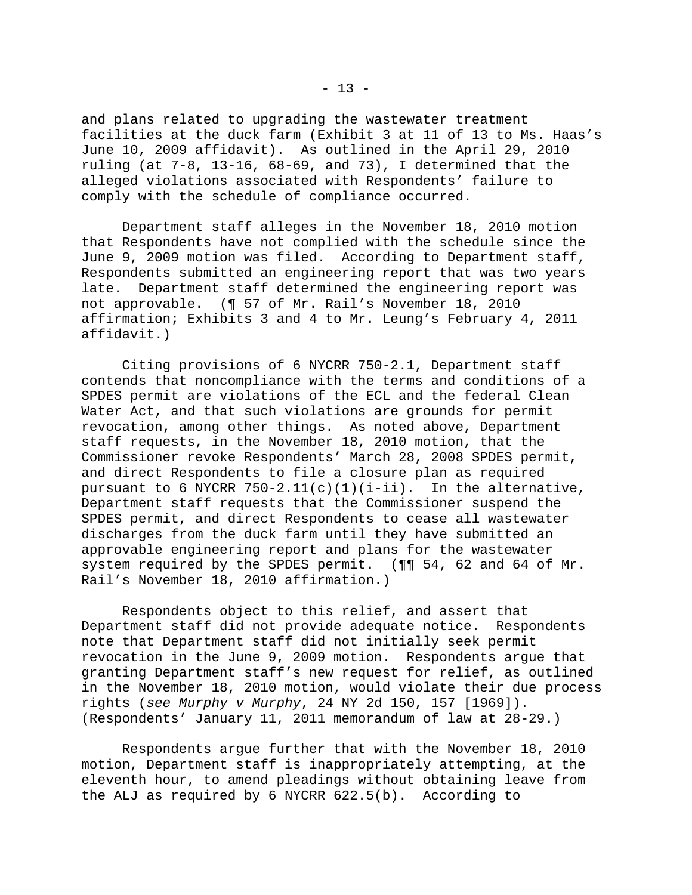and plans related to upgrading the wastewater treatment facilities at the duck farm (Exhibit 3 at 11 of 13 to Ms. Haas's June 10, 2009 affidavit). As outlined in the April 29, 2010 ruling (at  $7-8$ , 13-16, 68-69, and 73), I determined that the alleged violations associated with Respondents' failure to comply with the schedule of compliance occurred.

 Department staff alleges in the November 18, 2010 motion that Respondents have not complied with the schedule since the June 9, 2009 motion was filed. According to Department staff, Respondents submitted an engineering report that was two years late. Department staff determined the engineering report was not approvable. (¶ 57 of Mr. Rail's November 18, 2010 affirmation; Exhibits 3 and 4 to Mr. Leung's February 4, 2011 affidavit.)

 Citing provisions of 6 NYCRR 750-2.1, Department staff contends that noncompliance with the terms and conditions of a SPDES permit are violations of the ECL and the federal Clean Water Act, and that such violations are grounds for permit revocation, among other things. As noted above, Department staff requests, in the November 18, 2010 motion, that the Commissioner revoke Respondents' March 28, 2008 SPDES permit, and direct Respondents to file a closure plan as required pursuant to 6 NYCRR  $750-2.11(c)(1)(i-ii)$ . In the alternative, Department staff requests that the Commissioner suspend the SPDES permit, and direct Respondents to cease all wastewater discharges from the duck farm until they have submitted an approvable engineering report and plans for the wastewater system required by the SPDES permit. (¶¶ 54, 62 and 64 of Mr. Rail's November 18, 2010 affirmation.)

 Respondents object to this relief, and assert that Department staff did not provide adequate notice. Respondents note that Department staff did not initially seek permit revocation in the June 9, 2009 motion. Respondents argue that granting Department staff's new request for relief, as outlined in the November 18, 2010 motion, would violate their due process rights (*see Murphy v Murphy*, 24 NY 2d 150, 157 [1969]). (Respondents' January 11, 2011 memorandum of law at 28-29.)

 Respondents argue further that with the November 18, 2010 motion, Department staff is inappropriately attempting, at the eleventh hour, to amend pleadings without obtaining leave from the ALJ as required by 6 NYCRR 622.5(b). According to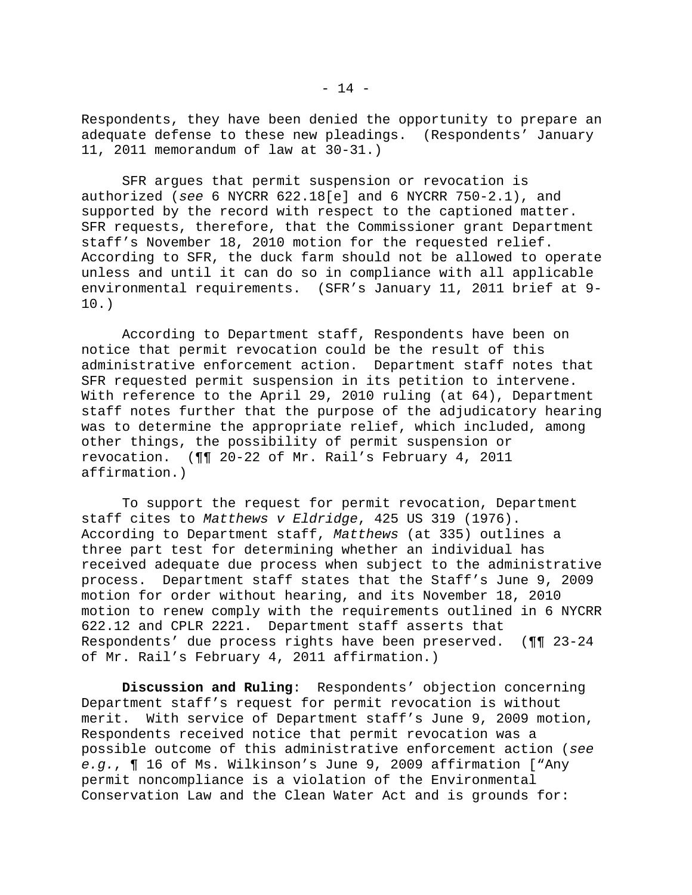Respondents, they have been denied the opportunity to prepare an adequate defense to these new pleadings. (Respondents' January 11, 2011 memorandum of law at 30-31.)

 SFR argues that permit suspension or revocation is authorized (*see* 6 NYCRR 622.18[e] and 6 NYCRR 750-2.1), and supported by the record with respect to the captioned matter. SFR requests, therefore, that the Commissioner grant Department staff's November 18, 2010 motion for the requested relief. According to SFR, the duck farm should not be allowed to operate unless and until it can do so in compliance with all applicable environmental requirements. (SFR's January 11, 2011 brief at 9- 10.)

 According to Department staff, Respondents have been on notice that permit revocation could be the result of this administrative enforcement action. Department staff notes that SFR requested permit suspension in its petition to intervene. With reference to the April 29, 2010 ruling (at 64), Department staff notes further that the purpose of the adjudicatory hearing was to determine the appropriate relief, which included, among other things, the possibility of permit suspension or revocation. (¶¶ 20-22 of Mr. Rail's February 4, 2011 affirmation.)

 To support the request for permit revocation, Department staff cites to *Matthews v Eldridge*, 425 US 319 (1976). According to Department staff, *Matthews* (at 335) outlines a three part test for determining whether an individual has received adequate due process when subject to the administrative process. Department staff states that the Staff's June 9, 2009 motion for order without hearing, and its November 18, 2010 motion to renew comply with the requirements outlined in 6 NYCRR 622.12 and CPLR 2221. Department staff asserts that Respondents' due process rights have been preserved. (¶¶ 23-24 of Mr. Rail's February 4, 2011 affirmation.)

**Discussion and Ruling**: Respondents' objection concerning Department staff's request for permit revocation is without merit. With service of Department staff's June 9, 2009 motion, Respondents received notice that permit revocation was a possible outcome of this administrative enforcement action (*see e.g.*, ¶ 16 of Ms. Wilkinson's June 9, 2009 affirmation ["Any permit noncompliance is a violation of the Environmental Conservation Law and the Clean Water Act and is grounds for: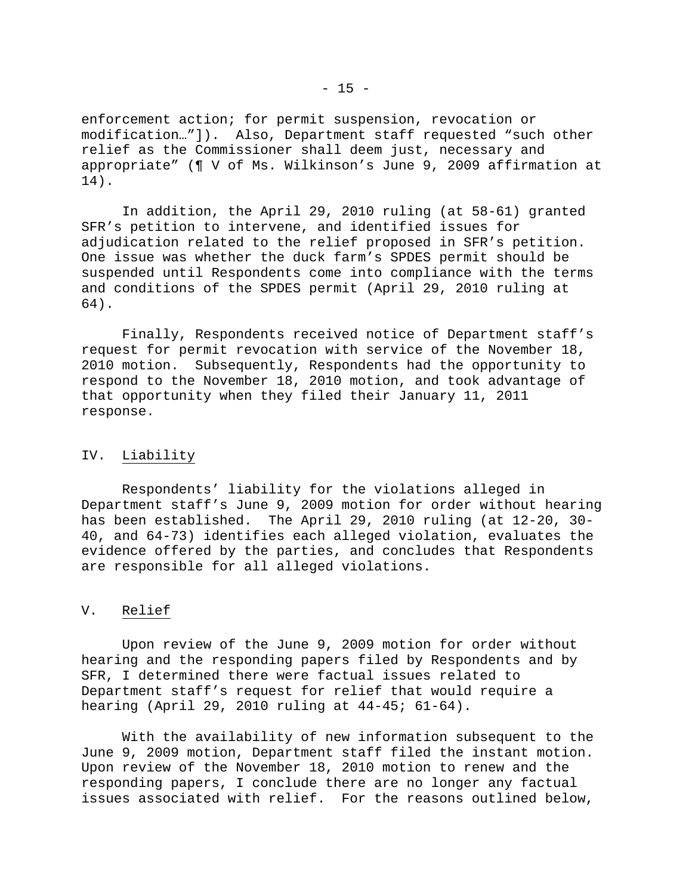enforcement action; for permit suspension, revocation or modification…"]). Also, Department staff requested "such other relief as the Commissioner shall deem just, necessary and appropriate" (¶ V of Ms. Wilkinson's June 9, 2009 affirmation at 14).

 In addition, the April 29, 2010 ruling (at 58-61) granted SFR's petition to intervene, and identified issues for adjudication related to the relief proposed in SFR's petition. One issue was whether the duck farm's SPDES permit should be suspended until Respondents come into compliance with the terms and conditions of the SPDES permit (April 29, 2010 ruling at 64).

 Finally, Respondents received notice of Department staff's request for permit revocation with service of the November 18, 2010 motion. Subsequently, Respondents had the opportunity to respond to the November 18, 2010 motion, and took advantage of that opportunity when they filed their January 11, 2011 response.

### IV. Liability

 Respondents' liability for the violations alleged in Department staff's June 9, 2009 motion for order without hearing has been established. The April 29, 2010 ruling (at 12-20, 30- 40, and 64-73) identifies each alleged violation, evaluates the evidence offered by the parties, and concludes that Respondents are responsible for all alleged violations.

### V. Relief

 Upon review of the June 9, 2009 motion for order without hearing and the responding papers filed by Respondents and by SFR, I determined there were factual issues related to Department staff's request for relief that would require a hearing (April 29, 2010 ruling at 44-45; 61-64).

 With the availability of new information subsequent to the June 9, 2009 motion, Department staff filed the instant motion. Upon review of the November 18, 2010 motion to renew and the responding papers, I conclude there are no longer any factual issues associated with relief. For the reasons outlined below,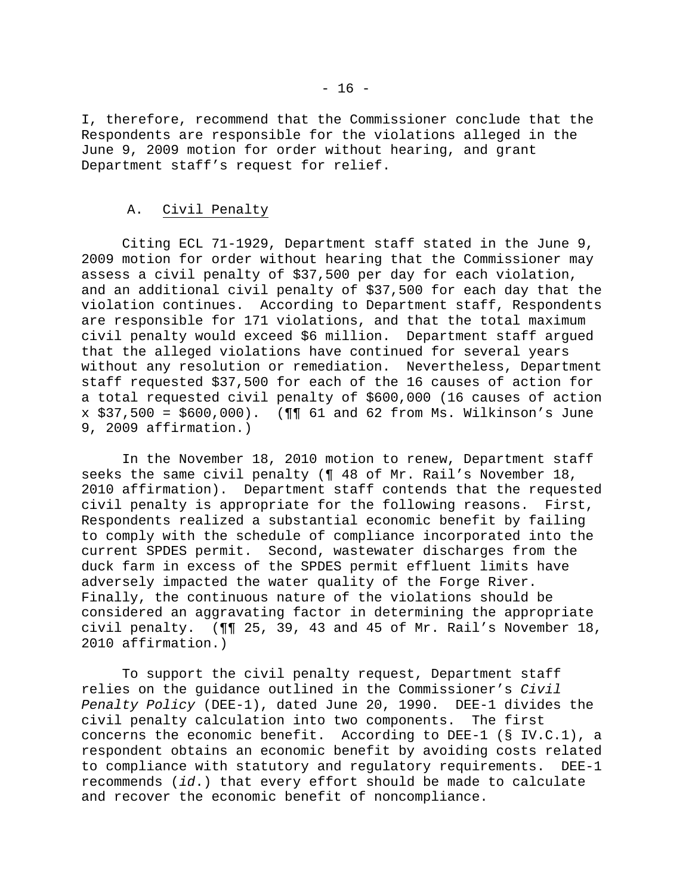I, therefore, recommend that the Commissioner conclude that the Respondents are responsible for the violations alleged in the June 9, 2009 motion for order without hearing, and grant Department staff's request for relief.

## A. Civil Penalty

 Citing ECL 71-1929, Department staff stated in the June 9, 2009 motion for order without hearing that the Commissioner may assess a civil penalty of \$37,500 per day for each violation, and an additional civil penalty of \$37,500 for each day that the violation continues. According to Department staff, Respondents are responsible for 171 violations, and that the total maximum civil penalty would exceed \$6 million. Department staff argued that the alleged violations have continued for several years without any resolution or remediation. Nevertheless, Department staff requested \$37,500 for each of the 16 causes of action for a total requested civil penalty of \$600,000 (16 causes of action x \$37,500 = \$600,000). (¶¶ 61 and 62 from Ms. Wilkinson's June 9, 2009 affirmation.)

 In the November 18, 2010 motion to renew, Department staff seeks the same civil penalty (¶ 48 of Mr. Rail's November 18, 2010 affirmation). Department staff contends that the requested civil penalty is appropriate for the following reasons. First, Respondents realized a substantial economic benefit by failing to comply with the schedule of compliance incorporated into the current SPDES permit. Second, wastewater discharges from the duck farm in excess of the SPDES permit effluent limits have adversely impacted the water quality of the Forge River. Finally, the continuous nature of the violations should be considered an aggravating factor in determining the appropriate civil penalty. (¶¶ 25, 39, 43 and 45 of Mr. Rail's November 18, 2010 affirmation.)

 To support the civil penalty request, Department staff relies on the guidance outlined in the Commissioner's *Civil Penalty Policy* (DEE-1), dated June 20, 1990. DEE-1 divides the civil penalty calculation into two components. The first concerns the economic benefit. According to DEE-1 (§ IV.C.1), a respondent obtains an economic benefit by avoiding costs related to compliance with statutory and regulatory requirements. DEE-1 recommends (*id*.) that every effort should be made to calculate and recover the economic benefit of noncompliance.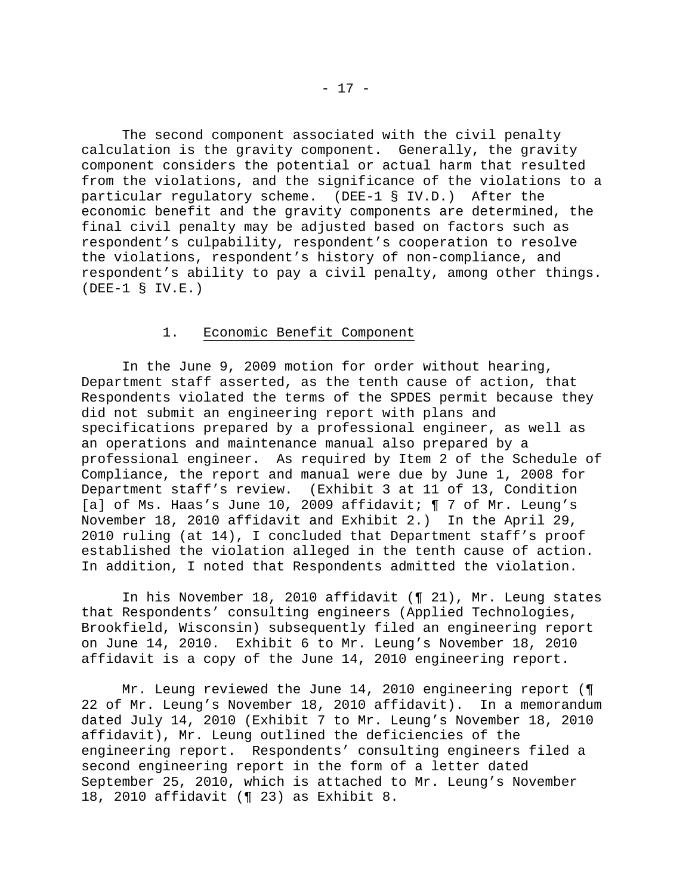The second component associated with the civil penalty calculation is the gravity component. Generally, the gravity component considers the potential or actual harm that resulted from the violations, and the significance of the violations to a particular regulatory scheme. (DEE-1 § IV.D.) After the economic benefit and the gravity components are determined, the final civil penalty may be adjusted based on factors such as respondent's culpability, respondent's cooperation to resolve the violations, respondent's history of non-compliance, and respondent's ability to pay a civil penalty, among other things. (DEE-1 § IV.E.)

# 1. Economic Benefit Component

 In the June 9, 2009 motion for order without hearing, Department staff asserted, as the tenth cause of action, that Respondents violated the terms of the SPDES permit because they did not submit an engineering report with plans and specifications prepared by a professional engineer, as well as an operations and maintenance manual also prepared by a professional engineer. As required by Item 2 of the Schedule of Compliance, the report and manual were due by June 1, 2008 for Department staff's review. (Exhibit 3 at 11 of 13, Condition [a] of Ms. Haas's June 10, 2009 affidavit; ¶ 7 of Mr. Leung's November 18, 2010 affidavit and Exhibit 2.) In the April 29, 2010 ruling (at 14), I concluded that Department staff's proof established the violation alleged in the tenth cause of action. In addition, I noted that Respondents admitted the violation.

 In his November 18, 2010 affidavit (¶ 21), Mr. Leung states that Respondents' consulting engineers (Applied Technologies, Brookfield, Wisconsin) subsequently filed an engineering report on June 14, 2010. Exhibit 6 to Mr. Leung's November 18, 2010 affidavit is a copy of the June 14, 2010 engineering report.

 Mr. Leung reviewed the June 14, 2010 engineering report (¶ 22 of Mr. Leung's November 18, 2010 affidavit). In a memorandum dated July 14, 2010 (Exhibit 7 to Mr. Leung's November 18, 2010 affidavit), Mr. Leung outlined the deficiencies of the engineering report. Respondents' consulting engineers filed a second engineering report in the form of a letter dated September 25, 2010, which is attached to Mr. Leung's November 18, 2010 affidavit (¶ 23) as Exhibit 8.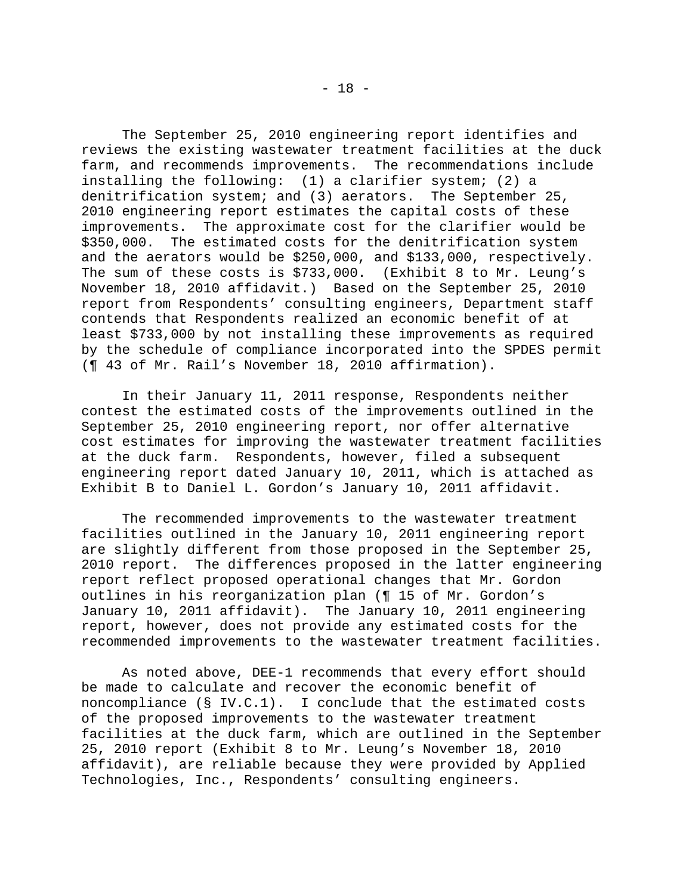The September 25, 2010 engineering report identifies and reviews the existing wastewater treatment facilities at the duck farm, and recommends improvements. The recommendations include installing the following: (1) a clarifier system; (2) a denitrification system; and (3) aerators. The September 25, 2010 engineering report estimates the capital costs of these improvements. The approximate cost for the clarifier would be \$350,000. The estimated costs for the denitrification system and the aerators would be \$250,000, and \$133,000, respectively. The sum of these costs is \$733,000. (Exhibit 8 to Mr. Leung's November 18, 2010 affidavit.) Based on the September 25, 2010 report from Respondents' consulting engineers, Department staff contends that Respondents realized an economic benefit of at least \$733,000 by not installing these improvements as required by the schedule of compliance incorporated into the SPDES permit (¶ 43 of Mr. Rail's November 18, 2010 affirmation).

 In their January 11, 2011 response, Respondents neither contest the estimated costs of the improvements outlined in the September 25, 2010 engineering report, nor offer alternative cost estimates for improving the wastewater treatment facilities at the duck farm. Respondents, however, filed a subsequent engineering report dated January 10, 2011, which is attached as Exhibit B to Daniel L. Gordon's January 10, 2011 affidavit.

 The recommended improvements to the wastewater treatment facilities outlined in the January 10, 2011 engineering report are slightly different from those proposed in the September 25, 2010 report. The differences proposed in the latter engineering report reflect proposed operational changes that Mr. Gordon outlines in his reorganization plan (¶ 15 of Mr. Gordon's January 10, 2011 affidavit). The January 10, 2011 engineering report, however, does not provide any estimated costs for the recommended improvements to the wastewater treatment facilities.

 As noted above, DEE-1 recommends that every effort should be made to calculate and recover the economic benefit of noncompliance  $(S IV.C.1)$ . I conclude that the estimated costs of the proposed improvements to the wastewater treatment facilities at the duck farm, which are outlined in the September 25, 2010 report (Exhibit 8 to Mr. Leung's November 18, 2010 affidavit), are reliable because they were provided by Applied Technologies, Inc., Respondents' consulting engineers.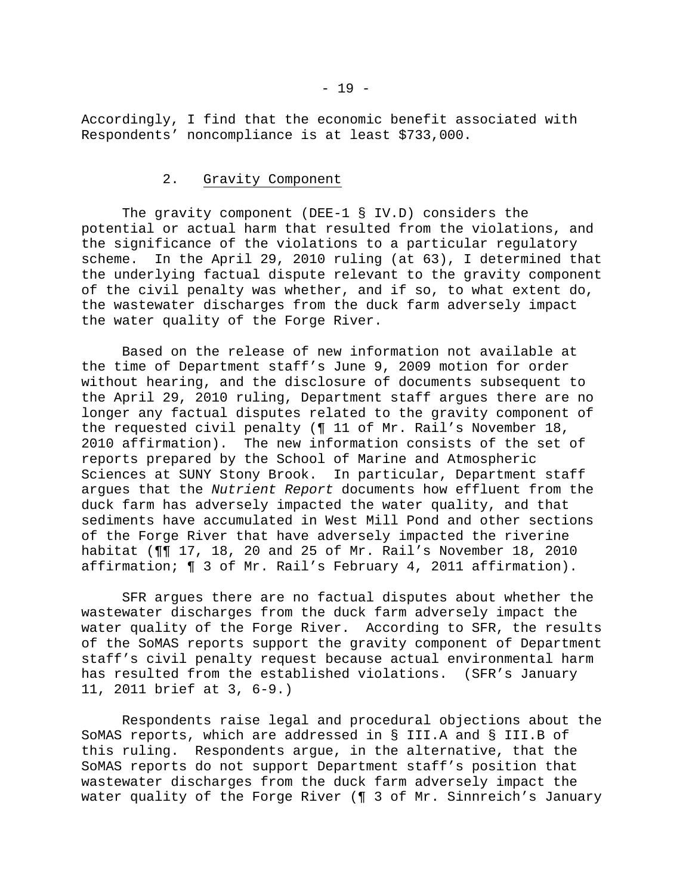Accordingly, I find that the economic benefit associated with Respondents' noncompliance is at least \$733,000.

### 2. Gravity Component

 The gravity component (DEE-1 § IV.D) considers the potential or actual harm that resulted from the violations, and the significance of the violations to a particular regulatory scheme. In the April 29, 2010 ruling (at 63), I determined that the underlying factual dispute relevant to the gravity component of the civil penalty was whether, and if so, to what extent do, the wastewater discharges from the duck farm adversely impact the water quality of the Forge River.

 Based on the release of new information not available at the time of Department staff's June 9, 2009 motion for order without hearing, and the disclosure of documents subsequent to the April 29, 2010 ruling, Department staff argues there are no longer any factual disputes related to the gravity component of the requested civil penalty (¶ 11 of Mr. Rail's November 18, 2010 affirmation). The new information consists of the set of reports prepared by the School of Marine and Atmospheric Sciences at SUNY Stony Brook. In particular, Department staff argues that the *Nutrient Report* documents how effluent from the duck farm has adversely impacted the water quality, and that sediments have accumulated in West Mill Pond and other sections of the Forge River that have adversely impacted the riverine habitat (¶¶ 17, 18, 20 and 25 of Mr. Rail's November 18, 2010 affirmation; ¶ 3 of Mr. Rail's February 4, 2011 affirmation).

 SFR argues there are no factual disputes about whether the wastewater discharges from the duck farm adversely impact the water quality of the Forge River. According to SFR, the results of the SoMAS reports support the gravity component of Department staff's civil penalty request because actual environmental harm has resulted from the established violations. (SFR's January 11, 2011 brief at 3, 6-9.)

 Respondents raise legal and procedural objections about the SoMAS reports, which are addressed in § III.A and § III.B of this ruling. Respondents argue, in the alternative, that the SoMAS reports do not support Department staff's position that wastewater discharges from the duck farm adversely impact the water quality of the Forge River (¶ 3 of Mr. Sinnreich's January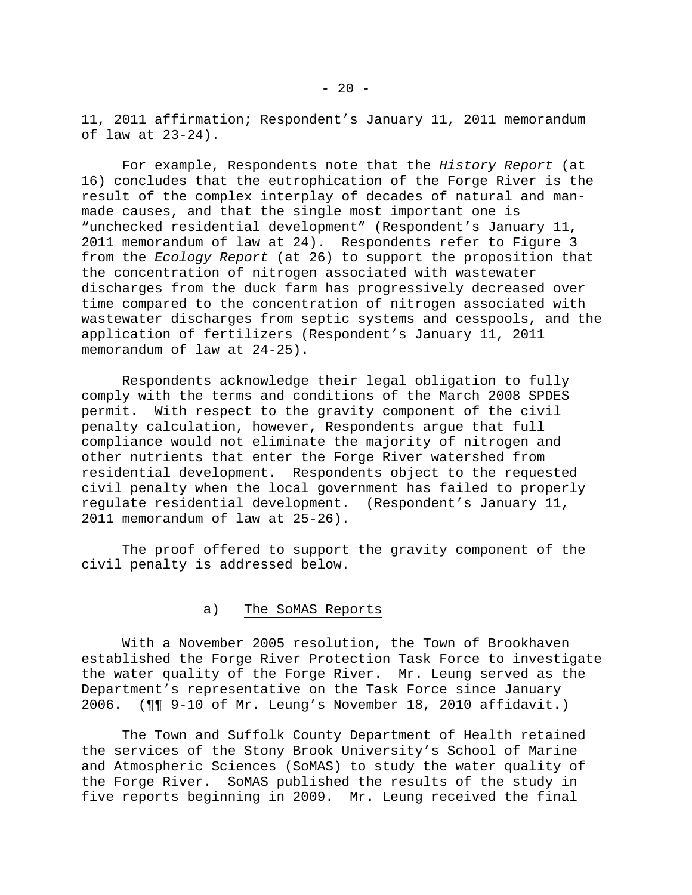11, 2011 affirmation; Respondent's January 11, 2011 memorandum of law at 23-24).

 For example, Respondents note that the *History Report* (at 16) concludes that the eutrophication of the Forge River is the result of the complex interplay of decades of natural and manmade causes, and that the single most important one is "unchecked residential development" (Respondent's January 11, 2011 memorandum of law at 24). Respondents refer to Figure 3 from the *Ecology Report* (at 26) to support the proposition that the concentration of nitrogen associated with wastewater discharges from the duck farm has progressively decreased over time compared to the concentration of nitrogen associated with wastewater discharges from septic systems and cesspools, and the application of fertilizers (Respondent's January 11, 2011 memorandum of law at 24-25).

 Respondents acknowledge their legal obligation to fully comply with the terms and conditions of the March 2008 SPDES permit. With respect to the gravity component of the civil penalty calculation, however, Respondents argue that full compliance would not eliminate the majority of nitrogen and other nutrients that enter the Forge River watershed from residential development. Respondents object to the requested civil penalty when the local government has failed to properly regulate residential development. (Respondent's January 11, 2011 memorandum of law at 25-26).

 The proof offered to support the gravity component of the civil penalty is addressed below.

## a) The SoMAS Reports

 With a November 2005 resolution, the Town of Brookhaven established the Forge River Protection Task Force to investigate the water quality of the Forge River. Mr. Leung served as the Department's representative on the Task Force since January 2006. (¶¶ 9-10 of Mr. Leung's November 18, 2010 affidavit.)

 The Town and Suffolk County Department of Health retained the services of the Stony Brook University's School of Marine and Atmospheric Sciences (SoMAS) to study the water quality of the Forge River. SoMAS published the results of the study in five reports beginning in 2009. Mr. Leung received the final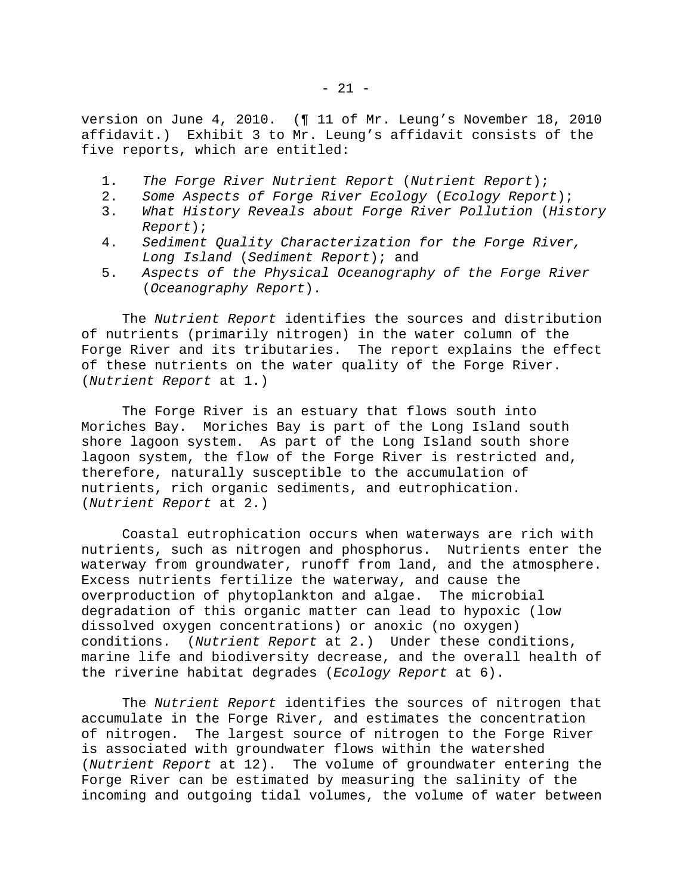version on June 4, 2010. (¶ 11 of Mr. Leung's November 18, 2010 affidavit.) Exhibit 3 to Mr. Leung's affidavit consists of the five reports, which are entitled:

- 1. *The Forge River Nutrient Report* (*Nutrient Report*);
- 2. *Some Aspects of Forge River Ecology* (*Ecology Report*);
- 3. *What History Reveals about Forge River Pollution* (*History Report*);
- 4. *Sediment Quality Characterization for the Forge River, Long Island* (*Sediment Report*); and
- 5. *Aspects of the Physical Oceanography of the Forge River* (*Oceanography Report*).

 The *Nutrient Report* identifies the sources and distribution of nutrients (primarily nitrogen) in the water column of the Forge River and its tributaries. The report explains the effect of these nutrients on the water quality of the Forge River. (*Nutrient Report* at 1.)

 The Forge River is an estuary that flows south into Moriches Bay. Moriches Bay is part of the Long Island south shore lagoon system. As part of the Long Island south shore lagoon system, the flow of the Forge River is restricted and, therefore, naturally susceptible to the accumulation of nutrients, rich organic sediments, and eutrophication. (*Nutrient Report* at 2.)

 Coastal eutrophication occurs when waterways are rich with nutrients, such as nitrogen and phosphorus. Nutrients enter the waterway from groundwater, runoff from land, and the atmosphere. Excess nutrients fertilize the waterway, and cause the overproduction of phytoplankton and algae. The microbial degradation of this organic matter can lead to hypoxic (low dissolved oxygen concentrations) or anoxic (no oxygen) conditions. (*Nutrient Report* at 2.) Under these conditions, marine life and biodiversity decrease, and the overall health of the riverine habitat degrades (*Ecology Report* at 6).

 The *Nutrient Report* identifies the sources of nitrogen that accumulate in the Forge River, and estimates the concentration of nitrogen. The largest source of nitrogen to the Forge River is associated with groundwater flows within the watershed (*Nutrient Report* at 12). The volume of groundwater entering the Forge River can be estimated by measuring the salinity of the incoming and outgoing tidal volumes, the volume of water between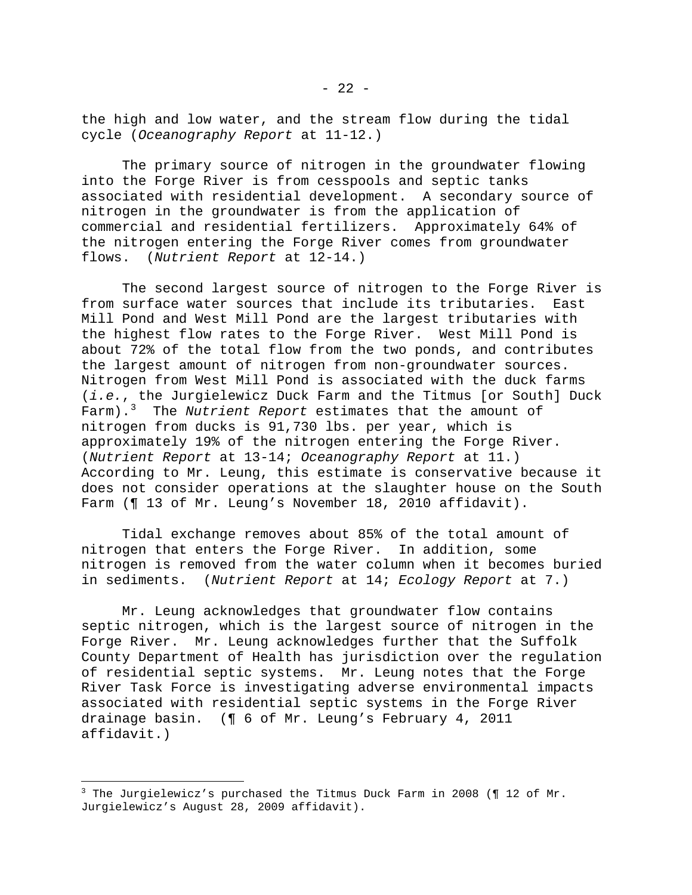the high and low water, and the stream flow during the tidal cycle (*Oceanography Report* at 11-12.)

 The primary source of nitrogen in the groundwater flowing into the Forge River is from cesspools and septic tanks associated with residential development. A secondary source of nitrogen in the groundwater is from the application of commercial and residential fertilizers. Approximately 64% of the nitrogen entering the Forge River comes from groundwater flows. (*Nutrient Report* at 12-14.)

 The second largest source of nitrogen to the Forge River is from surface water sources that include its tributaries. East Mill Pond and West Mill Pond are the largest tributaries with the highest flow rates to the Forge River. West Mill Pond is about 72% of the total flow from the two ponds, and contributes the largest amount of nitrogen from non-groundwater sources. Nitrogen from West Mill Pond is associated with the duck farms (*i.e.*, the Jurgielewicz Duck Farm and the Titmus [or South] Duck Farm).[3](#page-27-0) The *Nutrient Report* estimates that the amount of nitrogen from ducks is 91,730 lbs. per year, which is approximately 19% of the nitrogen entering the Forge River. (*Nutrient Report* at 13-14; *Oceanography Report* at 11.) According to Mr. Leung, this estimate is conservative because it does not consider operations at the slaughter house on the South Farm (¶ 13 of Mr. Leung's November 18, 2010 affidavit).

 Tidal exchange removes about 85% of the total amount of nitrogen that enters the Forge River. In addition, some nitrogen is removed from the water column when it becomes buried in sediments. (*Nutrient Report* at 14; *Ecology Report* at 7.)

 Mr. Leung acknowledges that groundwater flow contains septic nitrogen, which is the largest source of nitrogen in the Forge River. Mr. Leung acknowledges further that the Suffolk County Department of Health has jurisdiction over the regulation of residential septic systems. Mr. Leung notes that the Forge River Task Force is investigating adverse environmental impacts associated with residential septic systems in the Forge River drainage basin. (¶ 6 of Mr. Leung's February 4, 2011 affidavit.)

 $\overline{\phantom{0}}$ 

<span id="page-27-0"></span><sup>&</sup>lt;sup>3</sup> The Jurgielewicz's purchased the Titmus Duck Farm in 2008 (¶ 12 of Mr. Jurgielewicz's August 28, 2009 affidavit).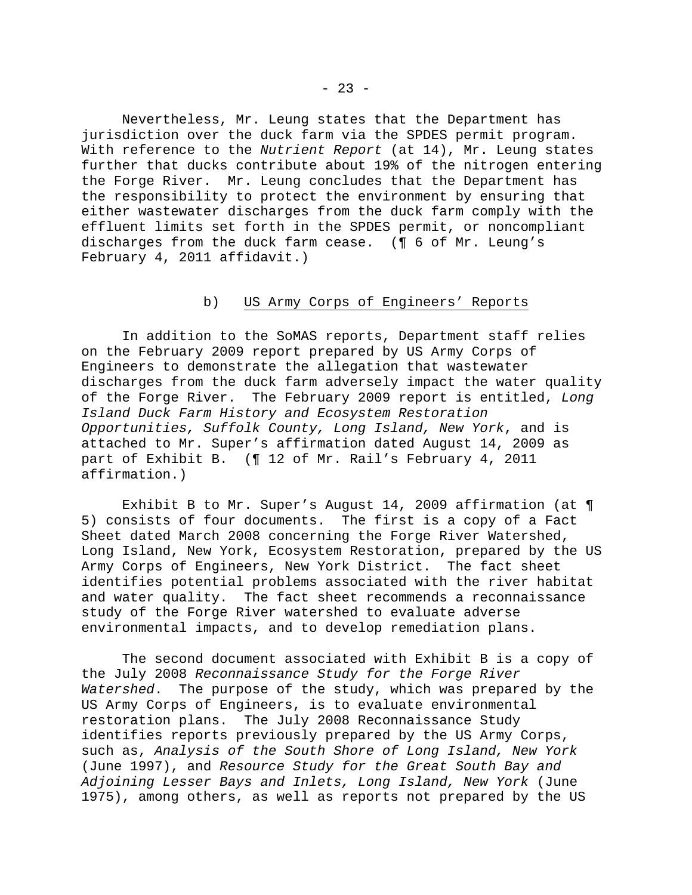Nevertheless, Mr. Leung states that the Department has jurisdiction over the duck farm via the SPDES permit program. With reference to the *Nutrient Report* (at 14), Mr. Leung states further that ducks contribute about 19% of the nitrogen entering the Forge River. Mr. Leung concludes that the Department has the responsibility to protect the environment by ensuring that either wastewater discharges from the duck farm comply with the effluent limits set forth in the SPDES permit, or noncompliant discharges from the duck farm cease. (¶ 6 of Mr. Leung's February 4, 2011 affidavit.)

## b) US Army Corps of Engineers' Reports

 In addition to the SoMAS reports, Department staff relies on the February 2009 report prepared by US Army Corps of Engineers to demonstrate the allegation that wastewater discharges from the duck farm adversely impact the water quality of the Forge River. The February 2009 report is entitled, *Long Island Duck Farm History and Ecosystem Restoration Opportunities, Suffolk County, Long Island, New York*, and is attached to Mr. Super's affirmation dated August 14, 2009 as part of Exhibit B. (¶ 12 of Mr. Rail's February 4, 2011 affirmation.)

 Exhibit B to Mr. Super's August 14, 2009 affirmation (at ¶ 5) consists of four documents. The first is a copy of a Fact Sheet dated March 2008 concerning the Forge River Watershed, Long Island, New York, Ecosystem Restoration, prepared by the US Army Corps of Engineers, New York District. The fact sheet identifies potential problems associated with the river habitat and water quality. The fact sheet recommends a reconnaissance study of the Forge River watershed to evaluate adverse environmental impacts, and to develop remediation plans.

 The second document associated with Exhibit B is a copy of the July 2008 *Reconnaissance Study for the Forge River Watershed*. The purpose of the study, which was prepared by the US Army Corps of Engineers, is to evaluate environmental restoration plans. The July 2008 Reconnaissance Study identifies reports previously prepared by the US Army Corps, such as, *Analysis of the South Shore of Long Island, New York* (June 1997), and *Resource Study for the Great South Bay and Adjoining Lesser Bays and Inlets, Long Island, New York* (June 1975), among others, as well as reports not prepared by the US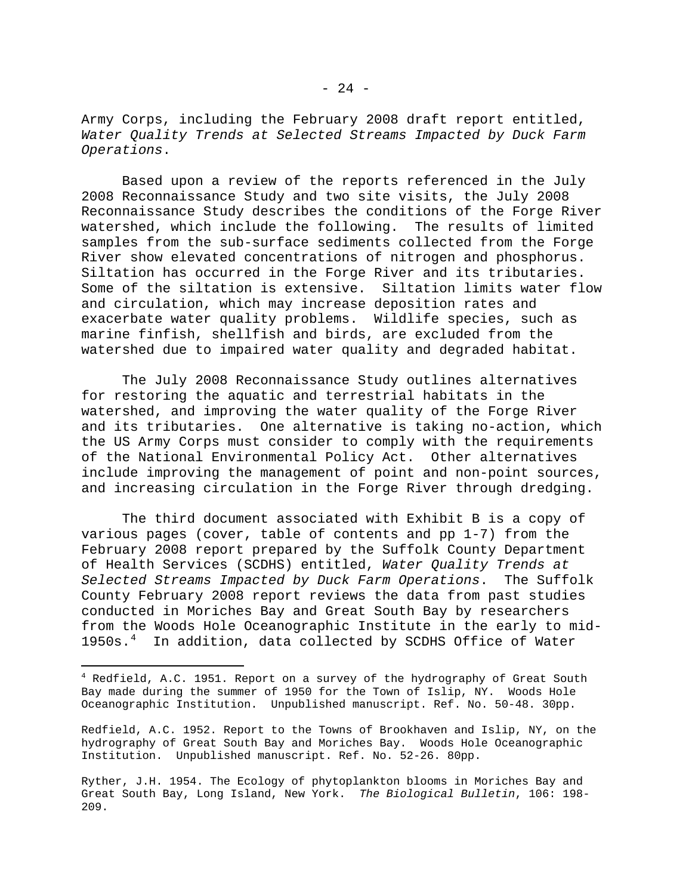Army Corps, including the February 2008 draft report entitled, *Water Quality Trends at Selected Streams Impacted by Duck Farm Operations*.

 Based upon a review of the reports referenced in the July 2008 Reconnaissance Study and two site visits, the July 2008 Reconnaissance Study describes the conditions of the Forge River watershed, which include the following. The results of limited samples from the sub-surface sediments collected from the Forge River show elevated concentrations of nitrogen and phosphorus. Siltation has occurred in the Forge River and its tributaries. Some of the siltation is extensive. Siltation limits water flow and circulation, which may increase deposition rates and exacerbate water quality problems. Wildlife species, such as marine finfish, shellfish and birds, are excluded from the watershed due to impaired water quality and degraded habitat.

 The July 2008 Reconnaissance Study outlines alternatives for restoring the aquatic and terrestrial habitats in the watershed, and improving the water quality of the Forge River and its tributaries. One alternative is taking no-action, which the US Army Corps must consider to comply with the requirements of the National Environmental Policy Act. Other alternatives include improving the management of point and non-point sources, and increasing circulation in the Forge River through dredging.

 The third document associated with Exhibit B is a copy of various pages (cover, table of contents and pp 1-7) from the February 2008 report prepared by the Suffolk County Department of Health Services (SCDHS) entitled, *Water Quality Trends at Selected Streams Impacted by Duck Farm Operations*. The Suffolk County February 2008 report reviews the data from past studies conducted in Moriches Bay and Great South Bay by researchers from the Woods Hole Oceanographic Institute in the early to mid- $1950s.^4$  $1950s.^4$  In addition, data collected by SCDHS Office of Water

 $\overline{\phantom{0}}$ 

Redfield, A.C. 1952. Report to the Towns of Brookhaven and Islip, NY, on the hydrography of Great South Bay and Moriches Bay. Woods Hole Oceanographic Institution. Unpublished manuscript. Ref. No. 52-26. 80pp.

<span id="page-29-0"></span><sup>&</sup>lt;sup>4</sup> Redfield, A.C. 1951. Report on a survey of the hydrography of Great South Bay made during the summer of 1950 for the Town of Islip, NY. Woods Hole Oceanographic Institution. Unpublished manuscript. Ref. No. 50-48. 30pp.

Ryther, J.H. 1954. The Ecology of phytoplankton blooms in Moriches Bay and Great South Bay, Long Island, New York. *The Biological Bulletin*, 106: 198- 209.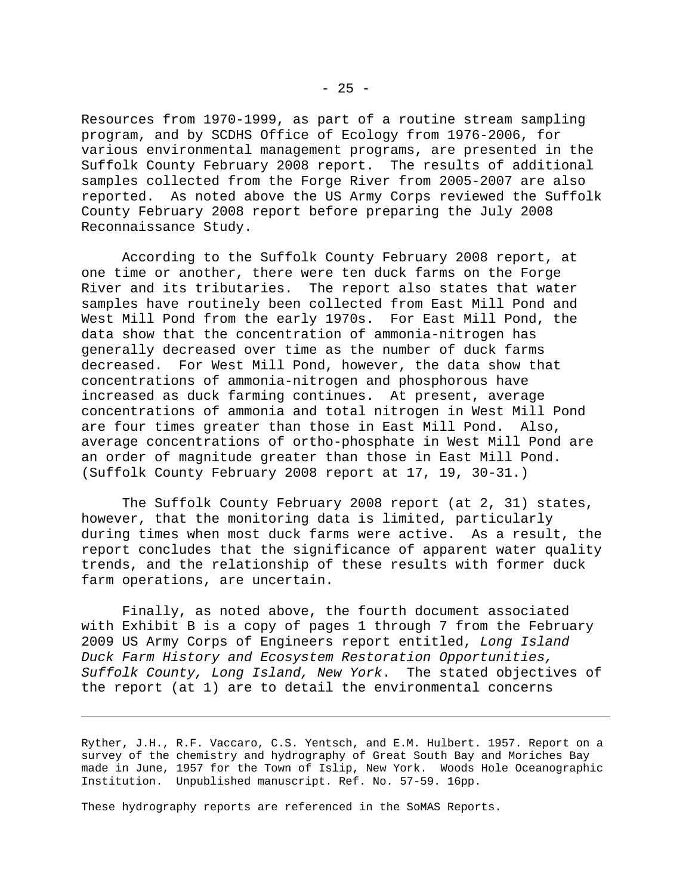Resources from 1970-1999, as part of a routine stream sampling program, and by SCDHS Office of Ecology from 1976-2006, for various environmental management programs, are presented in the Suffolk County February 2008 report. The results of additional samples collected from the Forge River from 2005-2007 are also reported. As noted above the US Army Corps reviewed the Suffolk County February 2008 report before preparing the July 2008 Reconnaissance Study.

 According to the Suffolk County February 2008 report, at one time or another, there were ten duck farms on the Forge River and its tributaries. The report also states that water samples have routinely been collected from East Mill Pond and West Mill Pond from the early 1970s. For East Mill Pond, the data show that the concentration of ammonia-nitrogen has generally decreased over time as the number of duck farms decreased. For West Mill Pond, however, the data show that concentrations of ammonia-nitrogen and phosphorous have increased as duck farming continues. At present, average concentrations of ammonia and total nitrogen in West Mill Pond are four times greater than those in East Mill Pond. Also, average concentrations of ortho-phosphate in West Mill Pond are an order of magnitude greater than those in East Mill Pond. (Suffolk County February 2008 report at 17, 19, 30-31.)

 The Suffolk County February 2008 report (at 2, 31) states, however, that the monitoring data is limited, particularly during times when most duck farms were active. As a result, the report concludes that the significance of apparent water quality trends, and the relationship of these results with former duck farm operations, are uncertain.

 Finally, as noted above, the fourth document associated with Exhibit B is a copy of pages 1 through 7 from the February 2009 US Army Corps of Engineers report entitled, *Long Island Duck Farm History and Ecosystem Restoration Opportunities, Suffolk County, Long Island, New York*. The stated objectives of the report (at 1) are to detail the environmental concerns

Ryther, J.H., R.F. Vaccaro, C.S. Yentsch, and E.M. Hulbert. 1957. Report on a survey of the chemistry and hydrography of Great South Bay and Moriches Bay made in June, 1957 for the Town of Islip, New York. Woods Hole Oceanographic Institution. Unpublished manuscript. Ref. No. 57-59. 16pp.

These hydrography reports are referenced in the SoMAS Reports.

 $\overline{\phantom{0}}$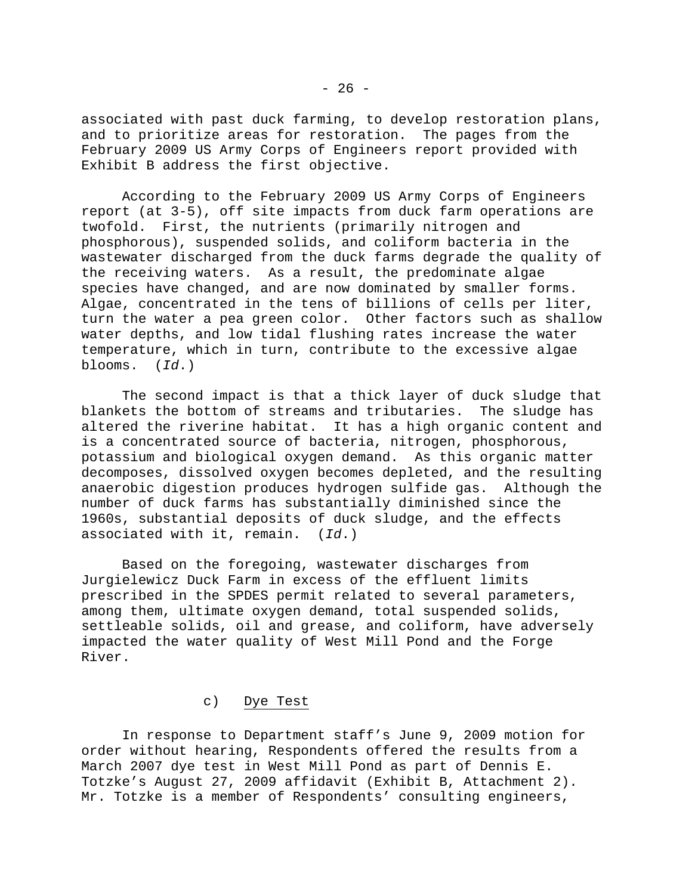associated with past duck farming, to develop restoration plans, and to prioritize areas for restoration. The pages from the February 2009 US Army Corps of Engineers report provided with Exhibit B address the first objective.

 According to the February 2009 US Army Corps of Engineers report (at 3-5), off site impacts from duck farm operations are twofold. First, the nutrients (primarily nitrogen and phosphorous), suspended solids, and coliform bacteria in the wastewater discharged from the duck farms degrade the quality of the receiving waters. As a result, the predominate algae species have changed, and are now dominated by smaller forms. Algae, concentrated in the tens of billions of cells per liter, turn the water a pea green color. Other factors such as shallow water depths, and low tidal flushing rates increase the water temperature, which in turn, contribute to the excessive algae blooms. (*Id*.)

 The second impact is that a thick layer of duck sludge that blankets the bottom of streams and tributaries. The sludge has altered the riverine habitat. It has a high organic content and is a concentrated source of bacteria, nitrogen, phosphorous, potassium and biological oxygen demand. As this organic matter decomposes, dissolved oxygen becomes depleted, and the resulting anaerobic digestion produces hydrogen sulfide gas. Although the number of duck farms has substantially diminished since the 1960s, substantial deposits of duck sludge, and the effects associated with it, remain. (*Id*.)

 Based on the foregoing, wastewater discharges from Jurgielewicz Duck Farm in excess of the effluent limits prescribed in the SPDES permit related to several parameters, among them, ultimate oxygen demand, total suspended solids, settleable solids, oil and grease, and coliform, have adversely impacted the water quality of West Mill Pond and the Forge River.

# c) Dye Test

 In response to Department staff's June 9, 2009 motion for order without hearing, Respondents offered the results from a March 2007 dye test in West Mill Pond as part of Dennis E. Totzke's August 27, 2009 affidavit (Exhibit B, Attachment 2). Mr. Totzke is a member of Respondents' consulting engineers,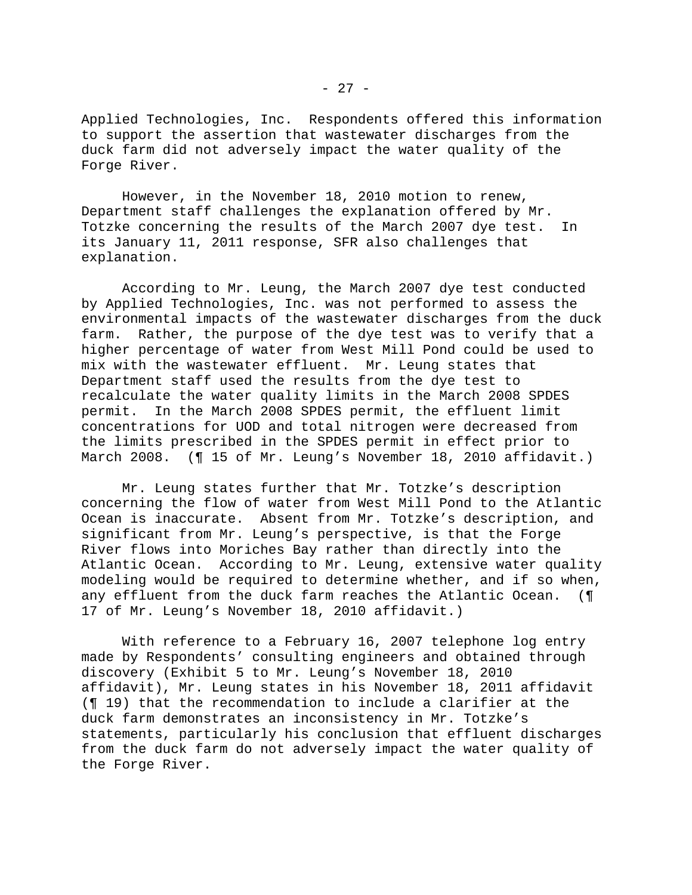Applied Technologies, Inc. Respondents offered this information to support the assertion that wastewater discharges from the duck farm did not adversely impact the water quality of the Forge River.

 However, in the November 18, 2010 motion to renew, Department staff challenges the explanation offered by Mr. Totzke concerning the results of the March 2007 dye test. In its January 11, 2011 response, SFR also challenges that explanation.

 According to Mr. Leung, the March 2007 dye test conducted by Applied Technologies, Inc. was not performed to assess the environmental impacts of the wastewater discharges from the duck farm. Rather, the purpose of the dye test was to verify that a higher percentage of water from West Mill Pond could be used to mix with the wastewater effluent. Mr. Leung states that Department staff used the results from the dye test to recalculate the water quality limits in the March 2008 SPDES permit. In the March 2008 SPDES permit, the effluent limit concentrations for UOD and total nitrogen were decreased from the limits prescribed in the SPDES permit in effect prior to March 2008. (¶ 15 of Mr. Leung's November 18, 2010 affidavit.)

 Mr. Leung states further that Mr. Totzke's description concerning the flow of water from West Mill Pond to the Atlantic Ocean is inaccurate. Absent from Mr. Totzke's description, and significant from Mr. Leung's perspective, is that the Forge River flows into Moriches Bay rather than directly into the Atlantic Ocean. According to Mr. Leung, extensive water quality modeling would be required to determine whether, and if so when, any effluent from the duck farm reaches the Atlantic Ocean. (¶ 17 of Mr. Leung's November 18, 2010 affidavit.)

 With reference to a February 16, 2007 telephone log entry made by Respondents' consulting engineers and obtained through discovery (Exhibit 5 to Mr. Leung's November 18, 2010 affidavit), Mr. Leung states in his November 18, 2011 affidavit (¶ 19) that the recommendation to include a clarifier at the duck farm demonstrates an inconsistency in Mr. Totzke's statements, particularly his conclusion that effluent discharges from the duck farm do not adversely impact the water quality of the Forge River.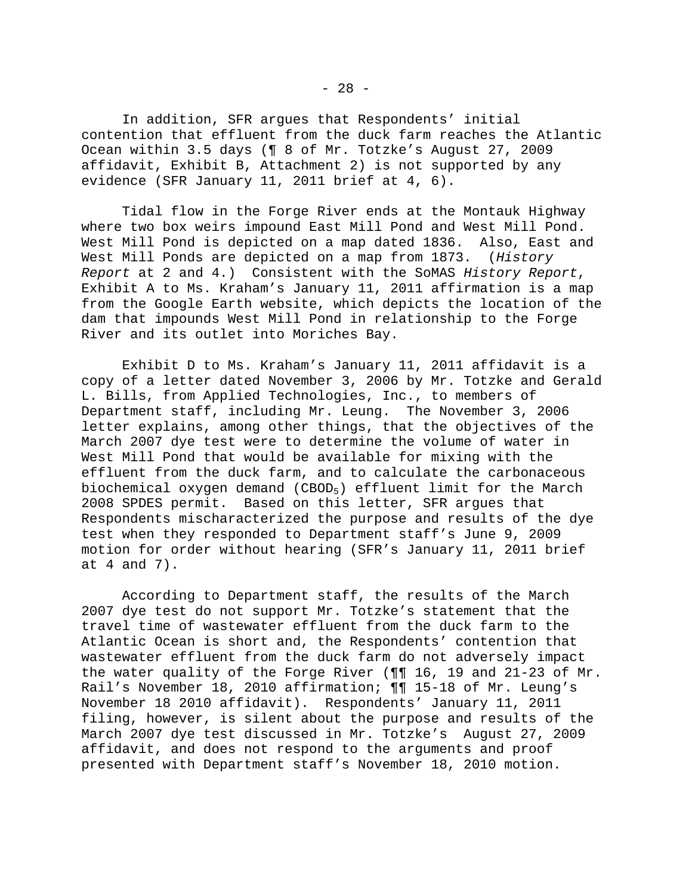In addition, SFR argues that Respondents' initial contention that effluent from the duck farm reaches the Atlantic Ocean within 3.5 days (¶ 8 of Mr. Totzke's August 27, 2009 affidavit, Exhibit B, Attachment 2) is not supported by any evidence (SFR January 11, 2011 brief at 4, 6).

 Tidal flow in the Forge River ends at the Montauk Highway where two box weirs impound East Mill Pond and West Mill Pond. West Mill Pond is depicted on a map dated 1836. Also, East and West Mill Ponds are depicted on a map from 1873. (*History Report* at 2 and 4.) Consistent with the SoMAS *History Report*, Exhibit A to Ms. Kraham's January 11, 2011 affirmation is a map from the Google Earth website, which depicts the location of the dam that impounds West Mill Pond in relationship to the Forge River and its outlet into Moriches Bay.

 Exhibit D to Ms. Kraham's January 11, 2011 affidavit is a copy of a letter dated November 3, 2006 by Mr. Totzke and Gerald L. Bills, from Applied Technologies, Inc., to members of Department staff, including Mr. Leung. The November 3, 2006 letter explains, among other things, that the objectives of the March 2007 dye test were to determine the volume of water in West Mill Pond that would be available for mixing with the effluent from the duck farm, and to calculate the carbonaceous biochemical oxygen demand (CBOD5) effluent limit for the March 2008 SPDES permit. Based on this letter, SFR argues that Respondents mischaracterized the purpose and results of the dye test when they responded to Department staff's June 9, 2009 motion for order without hearing (SFR's January 11, 2011 brief at 4 and 7).

 According to Department staff, the results of the March 2007 dye test do not support Mr. Totzke's statement that the travel time of wastewater effluent from the duck farm to the Atlantic Ocean is short and, the Respondents' contention that wastewater effluent from the duck farm do not adversely impact the water quality of the Forge River (¶¶ 16, 19 and 21-23 of Mr. Rail's November 18, 2010 affirmation; ¶¶ 15-18 of Mr. Leung's November 18 2010 affidavit). Respondents' January 11, 2011 filing, however, is silent about the purpose and results of the March 2007 dye test discussed in Mr. Totzke's August 27, 2009 affidavit, and does not respond to the arguments and proof presented with Department staff's November 18, 2010 motion.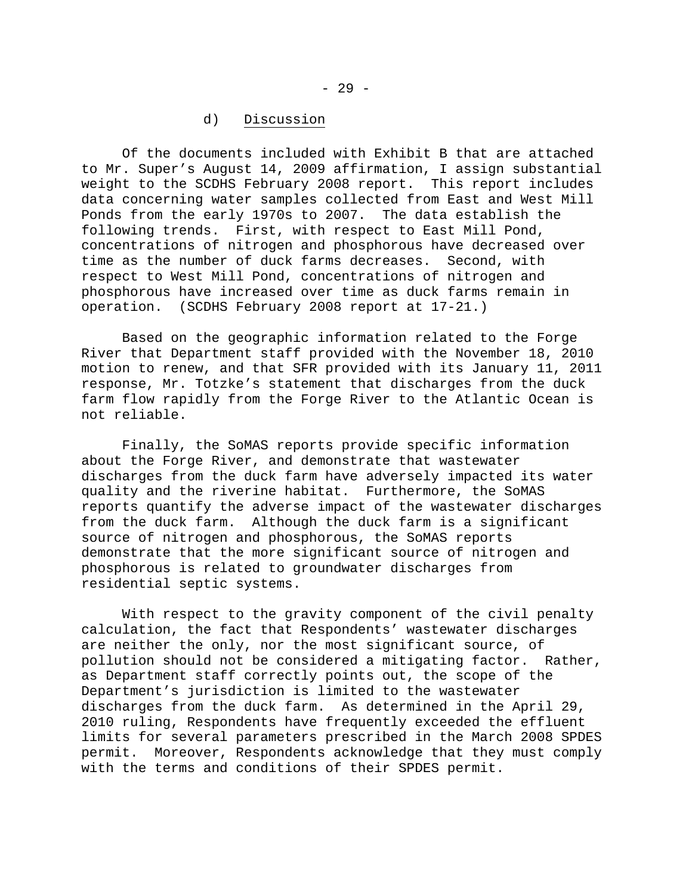## d) Discussion

 Of the documents included with Exhibit B that are attached to Mr. Super's August 14, 2009 affirmation, I assign substantial weight to the SCDHS February 2008 report. This report includes data concerning water samples collected from East and West Mill Ponds from the early 1970s to 2007. The data establish the following trends. First, with respect to East Mill Pond, concentrations of nitrogen and phosphorous have decreased over time as the number of duck farms decreases. Second, with respect to West Mill Pond, concentrations of nitrogen and phosphorous have increased over time as duck farms remain in operation. (SCDHS February 2008 report at 17-21.)

 Based on the geographic information related to the Forge River that Department staff provided with the November 18, 2010 motion to renew, and that SFR provided with its January 11, 2011 response, Mr. Totzke's statement that discharges from the duck farm flow rapidly from the Forge River to the Atlantic Ocean is not reliable.

 Finally, the SoMAS reports provide specific information about the Forge River, and demonstrate that wastewater discharges from the duck farm have adversely impacted its water quality and the riverine habitat. Furthermore, the SoMAS reports quantify the adverse impact of the wastewater discharges from the duck farm. Although the duck farm is a significant source of nitrogen and phosphorous, the SoMAS reports demonstrate that the more significant source of nitrogen and phosphorous is related to groundwater discharges from residential septic systems.

 With respect to the gravity component of the civil penalty calculation, the fact that Respondents' wastewater discharges are neither the only, nor the most significant source, of pollution should not be considered a mitigating factor. Rather, as Department staff correctly points out, the scope of the Department's jurisdiction is limited to the wastewater discharges from the duck farm. As determined in the April 29, 2010 ruling, Respondents have frequently exceeded the effluent limits for several parameters prescribed in the March 2008 SPDES permit. Moreover, Respondents acknowledge that they must comply with the terms and conditions of their SPDES permit.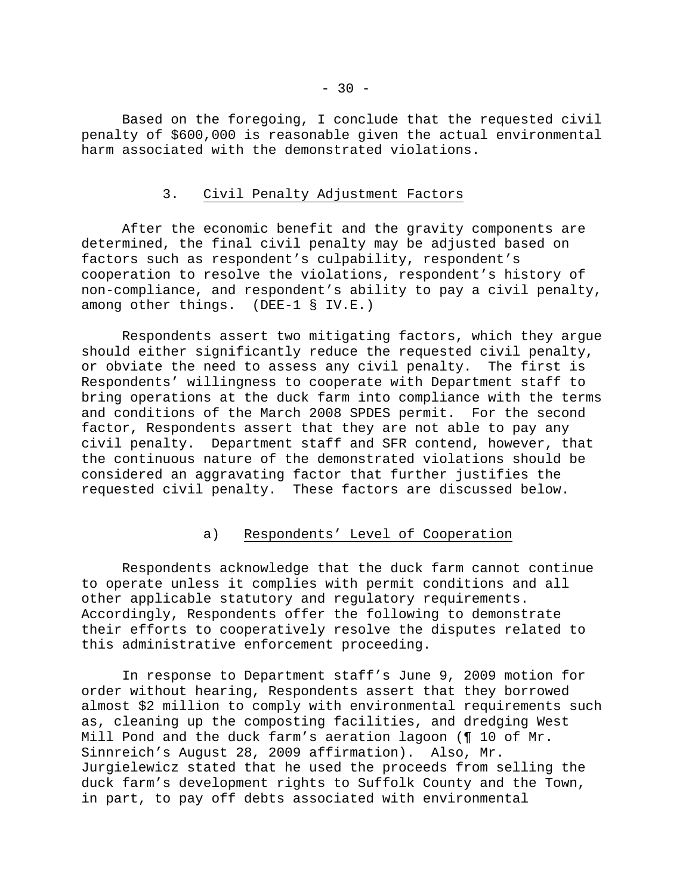Based on the foregoing, I conclude that the requested civil penalty of \$600,000 is reasonable given the actual environmental harm associated with the demonstrated violations.

### 3. Civil Penalty Adjustment Factors

 After the economic benefit and the gravity components are determined, the final civil penalty may be adjusted based on factors such as respondent's culpability, respondent's cooperation to resolve the violations, respondent's history of non-compliance, and respondent's ability to pay a civil penalty, among other things. (DEE-1 § IV.E.)

 Respondents assert two mitigating factors, which they argue should either significantly reduce the requested civil penalty, or obviate the need to assess any civil penalty. The first is Respondents' willingness to cooperate with Department staff to bring operations at the duck farm into compliance with the terms and conditions of the March 2008 SPDES permit. For the second factor, Respondents assert that they are not able to pay any civil penalty. Department staff and SFR contend, however, that the continuous nature of the demonstrated violations should be considered an aggravating factor that further justifies the requested civil penalty. These factors are discussed below.

# a) Respondents' Level of Cooperation

 Respondents acknowledge that the duck farm cannot continue to operate unless it complies with permit conditions and all other applicable statutory and regulatory requirements. Accordingly, Respondents offer the following to demonstrate their efforts to cooperatively resolve the disputes related to this administrative enforcement proceeding.

 In response to Department staff's June 9, 2009 motion for order without hearing, Respondents assert that they borrowed almost \$2 million to comply with environmental requirements such as, cleaning up the composting facilities, and dredging West Mill Pond and the duck farm's aeration lagoon (¶ 10 of Mr. Sinnreich's August 28, 2009 affirmation). Also, Mr. Jurgielewicz stated that he used the proceeds from selling the duck farm's development rights to Suffolk County and the Town, in part, to pay off debts associated with environmental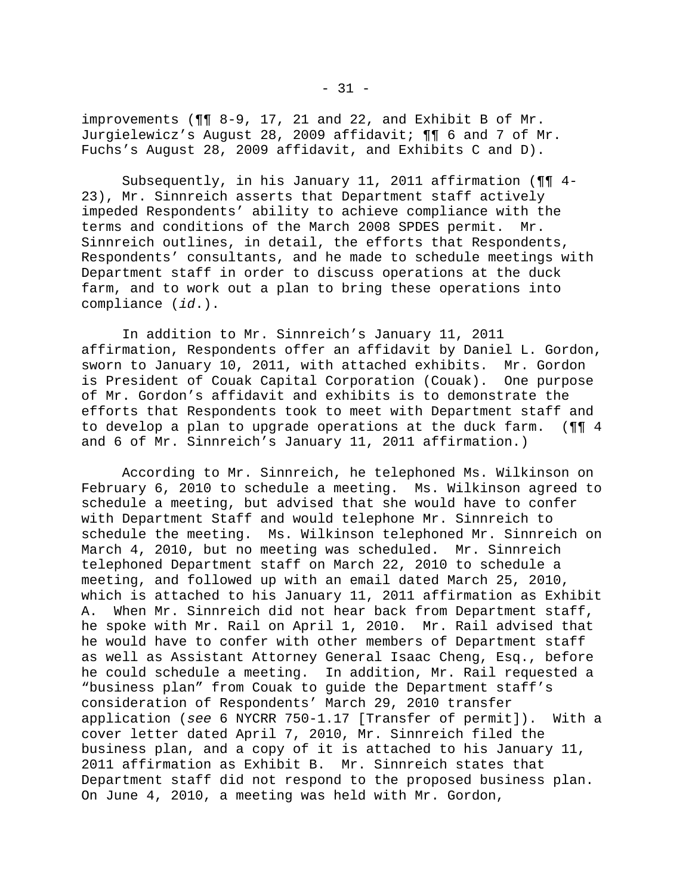improvements (¶¶ 8-9, 17, 21 and 22, and Exhibit B of Mr. Jurgielewicz's August 28, 2009 affidavit; ¶¶ 6 and 7 of Mr. Fuchs's August 28, 2009 affidavit, and Exhibits C and D).

 Subsequently, in his January 11, 2011 affirmation (¶¶ 4- 23), Mr. Sinnreich asserts that Department staff actively impeded Respondents' ability to achieve compliance with the terms and conditions of the March 2008 SPDES permit. Mr. Sinnreich outlines, in detail, the efforts that Respondents, Respondents' consultants, and he made to schedule meetings with Department staff in order to discuss operations at the duck farm, and to work out a plan to bring these operations into compliance (*id*.).

 In addition to Mr. Sinnreich's January 11, 2011 affirmation, Respondents offer an affidavit by Daniel L. Gordon, sworn to January 10, 2011, with attached exhibits. Mr. Gordon is President of Couak Capital Corporation (Couak). One purpose of Mr. Gordon's affidavit and exhibits is to demonstrate the efforts that Respondents took to meet with Department staff and to develop a plan to upgrade operations at the duck farm. (¶¶ 4 and 6 of Mr. Sinnreich's January 11, 2011 affirmation.)

 According to Mr. Sinnreich, he telephoned Ms. Wilkinson on February 6, 2010 to schedule a meeting. Ms. Wilkinson agreed to schedule a meeting, but advised that she would have to confer with Department Staff and would telephone Mr. Sinnreich to schedule the meeting. Ms. Wilkinson telephoned Mr. Sinnreich on March 4, 2010, but no meeting was scheduled. Mr. Sinnreich telephoned Department staff on March 22, 2010 to schedule a meeting, and followed up with an email dated March 25, 2010, which is attached to his January 11, 2011 affirmation as Exhibit A. When Mr. Sinnreich did not hear back from Department staff, he spoke with Mr. Rail on April 1, 2010. Mr. Rail advised that he would have to confer with other members of Department staff as well as Assistant Attorney General Isaac Cheng, Esq., before he could schedule a meeting. In addition, Mr. Rail requested a "business plan" from Couak to guide the Department staff's consideration of Respondents' March 29, 2010 transfer application (*see* 6 NYCRR 750-1.17 [Transfer of permit]). With a cover letter dated April 7, 2010, Mr. Sinnreich filed the business plan, and a copy of it is attached to his January 11, 2011 affirmation as Exhibit B. Mr. Sinnreich states that Department staff did not respond to the proposed business plan. On June 4, 2010, a meeting was held with Mr. Gordon,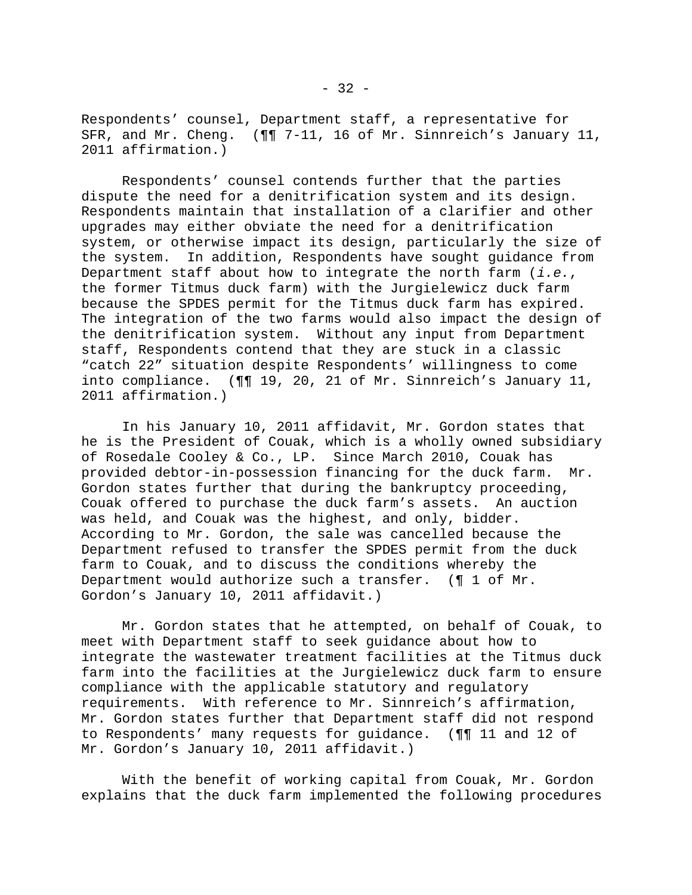Respondents' counsel, Department staff, a representative for SFR, and Mr. Cheng. (¶¶ 7-11, 16 of Mr. Sinnreich's January 11, 2011 affirmation.)

 Respondents' counsel contends further that the parties dispute the need for a denitrification system and its design. Respondents maintain that installation of a clarifier and other upgrades may either obviate the need for a denitrification system, or otherwise impact its design, particularly the size of the system. In addition, Respondents have sought guidance from Department staff about how to integrate the north farm (*i.e.*, the former Titmus duck farm) with the Jurgielewicz duck farm because the SPDES permit for the Titmus duck farm has expired. The integration of the two farms would also impact the design of the denitrification system. Without any input from Department staff, Respondents contend that they are stuck in a classic "catch 22" situation despite Respondents' willingness to come into compliance. (¶¶ 19, 20, 21 of Mr. Sinnreich's January 11, 2011 affirmation.)

 In his January 10, 2011 affidavit, Mr. Gordon states that he is the President of Couak, which is a wholly owned subsidiary of Rosedale Cooley & Co., LP. Since March 2010, Couak has provided debtor-in-possession financing for the duck farm. Mr. Gordon states further that during the bankruptcy proceeding, Couak offered to purchase the duck farm's assets. An auction was held, and Couak was the highest, and only, bidder. According to Mr. Gordon, the sale was cancelled because the Department refused to transfer the SPDES permit from the duck farm to Couak, and to discuss the conditions whereby the Department would authorize such a transfer. (¶ 1 of Mr. Gordon's January 10, 2011 affidavit.)

 Mr. Gordon states that he attempted, on behalf of Couak, to meet with Department staff to seek guidance about how to integrate the wastewater treatment facilities at the Titmus duck farm into the facilities at the Jurgielewicz duck farm to ensure compliance with the applicable statutory and regulatory requirements. With reference to Mr. Sinnreich's affirmation, Mr. Gordon states further that Department staff did not respond to Respondents' many requests for guidance. (¶¶ 11 and 12 of Mr. Gordon's January 10, 2011 affidavit.)

 With the benefit of working capital from Couak, Mr. Gordon explains that the duck farm implemented the following procedures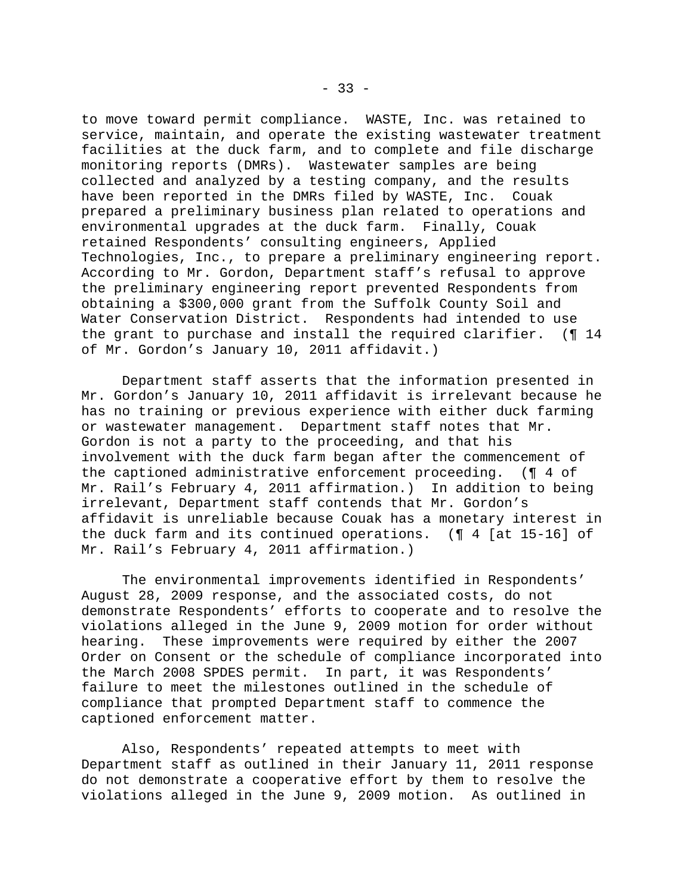to move toward permit compliance. WASTE, Inc. was retained to service, maintain, and operate the existing wastewater treatment facilities at the duck farm, and to complete and file discharge monitoring reports (DMRs). Wastewater samples are being collected and analyzed by a testing company, and the results have been reported in the DMRs filed by WASTE, Inc. Couak prepared a preliminary business plan related to operations and environmental upgrades at the duck farm. Finally, Couak retained Respondents' consulting engineers, Applied Technologies, Inc., to prepare a preliminary engineering report. According to Mr. Gordon, Department staff's refusal to approve the preliminary engineering report prevented Respondents from obtaining a \$300,000 grant from the Suffolk County Soil and Water Conservation District. Respondents had intended to use the grant to purchase and install the required clarifier. (¶ 14 of Mr. Gordon's January 10, 2011 affidavit.)

 Department staff asserts that the information presented in Mr. Gordon's January 10, 2011 affidavit is irrelevant because he has no training or previous experience with either duck farming or wastewater management. Department staff notes that Mr. Gordon is not a party to the proceeding, and that his involvement with the duck farm began after the commencement of the captioned administrative enforcement proceeding. (¶ 4 of Mr. Rail's February 4, 2011 affirmation.) In addition to being irrelevant, Department staff contends that Mr. Gordon's affidavit is unreliable because Couak has a monetary interest in the duck farm and its continued operations. (¶ 4 [at 15-16] of Mr. Rail's February 4, 2011 affirmation.)

 The environmental improvements identified in Respondents' August 28, 2009 response, and the associated costs, do not demonstrate Respondents' efforts to cooperate and to resolve the violations alleged in the June 9, 2009 motion for order without hearing. These improvements were required by either the 2007 Order on Consent or the schedule of compliance incorporated into the March 2008 SPDES permit. In part, it was Respondents' failure to meet the milestones outlined in the schedule of compliance that prompted Department staff to commence the captioned enforcement matter.

 Also, Respondents' repeated attempts to meet with Department staff as outlined in their January 11, 2011 response do not demonstrate a cooperative effort by them to resolve the violations alleged in the June 9, 2009 motion. As outlined in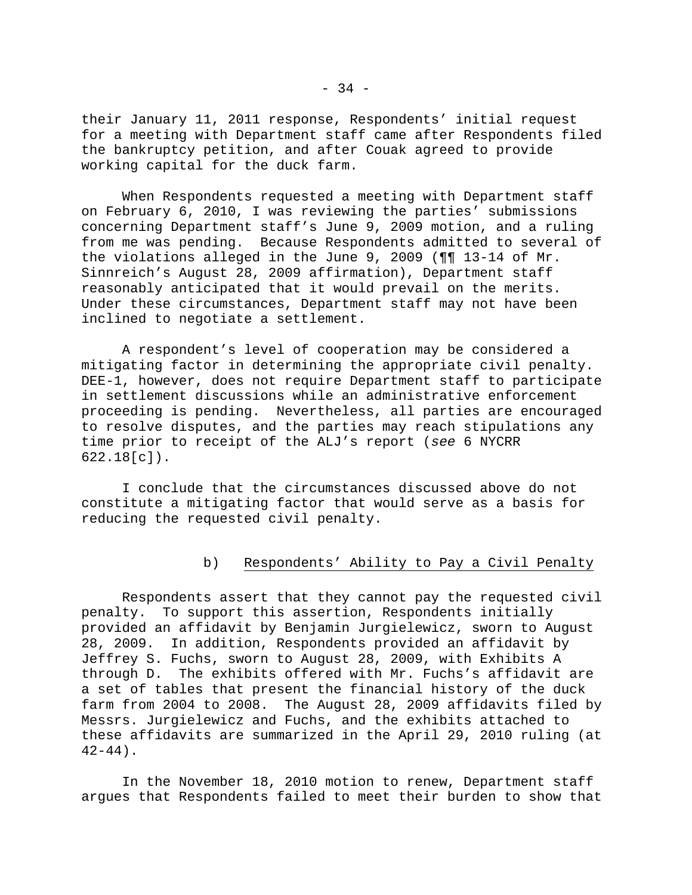their January 11, 2011 response, Respondents' initial request for a meeting with Department staff came after Respondents filed the bankruptcy petition, and after Couak agreed to provide working capital for the duck farm.

 When Respondents requested a meeting with Department staff on February 6, 2010, I was reviewing the parties' submissions concerning Department staff's June 9, 2009 motion, and a ruling from me was pending. Because Respondents admitted to several of the violations alleged in the June 9, 2009 (¶¶ 13-14 of Mr. Sinnreich's August 28, 2009 affirmation), Department staff reasonably anticipated that it would prevail on the merits. Under these circumstances, Department staff may not have been inclined to negotiate a settlement.

 A respondent's level of cooperation may be considered a mitigating factor in determining the appropriate civil penalty. DEE-1, however, does not require Department staff to participate in settlement discussions while an administrative enforcement proceeding is pending. Nevertheless, all parties are encouraged to resolve disputes, and the parties may reach stipulations any time prior to receipt of the ALJ's report (*see* 6 NYCRR 622.18[c]).

 I conclude that the circumstances discussed above do not constitute a mitigating factor that would serve as a basis for reducing the requested civil penalty.

## b) Respondents' Ability to Pay a Civil Penalty

 Respondents assert that they cannot pay the requested civil penalty. To support this assertion, Respondents initially provided an affidavit by Benjamin Jurgielewicz, sworn to August 28, 2009. In addition, Respondents provided an affidavit by Jeffrey S. Fuchs, sworn to August 28, 2009, with Exhibits A through D. The exhibits offered with Mr. Fuchs's affidavit are a set of tables that present the financial history of the duck farm from 2004 to 2008. The August 28, 2009 affidavits filed by Messrs. Jurgielewicz and Fuchs, and the exhibits attached to these affidavits are summarized in the April 29, 2010 ruling (at  $42 - 44$ ).

 In the November 18, 2010 motion to renew, Department staff argues that Respondents failed to meet their burden to show that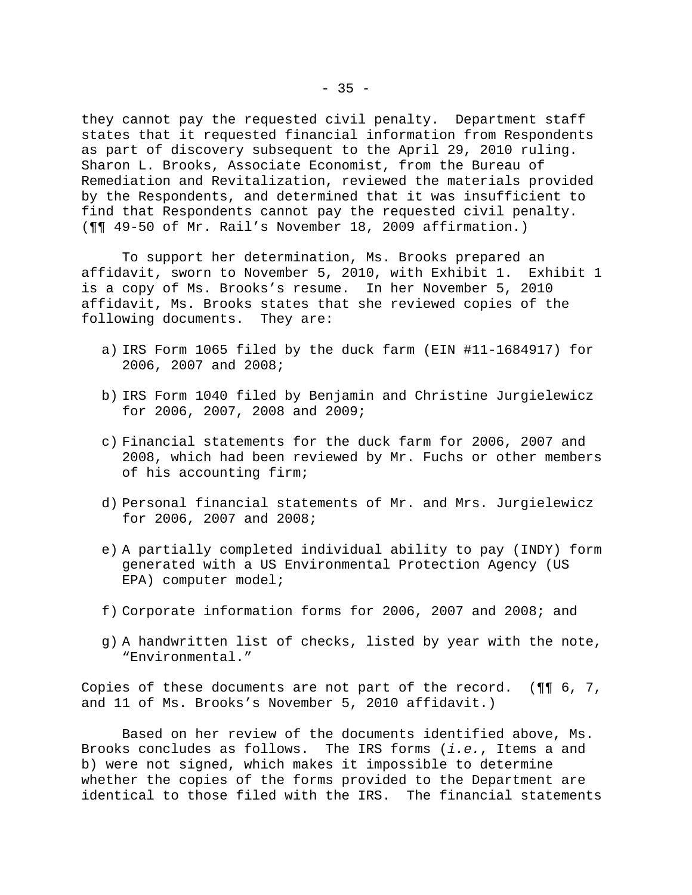they cannot pay the requested civil penalty. Department staff states that it requested financial information from Respondents as part of discovery subsequent to the April 29, 2010 ruling. Sharon L. Brooks, Associate Economist, from the Bureau of Remediation and Revitalization, reviewed the materials provided by the Respondents, and determined that it was insufficient to find that Respondents cannot pay the requested civil penalty. (¶¶ 49-50 of Mr. Rail's November 18, 2009 affirmation.)

 To support her determination, Ms. Brooks prepared an affidavit, sworn to November 5, 2010, with Exhibit 1. Exhibit 1 is a copy of Ms. Brooks's resume. In her November 5, 2010 affidavit, Ms. Brooks states that she reviewed copies of the following documents. They are:

- a) IRS Form 1065 filed by the duck farm (EIN #11-1684917) for 2006, 2007 and 2008;
- b) IRS Form 1040 filed by Benjamin and Christine Jurgielewicz for 2006, 2007, 2008 and 2009;
- c) Financial statements for the duck farm for 2006, 2007 and 2008, which had been reviewed by Mr. Fuchs or other members of his accounting firm;
- d) Personal financial statements of Mr. and Mrs. Jurgielewicz for 2006, 2007 and 2008;
- e) A partially completed individual ability to pay (INDY) form generated with a US Environmental Protection Agency (US EPA) computer model;
- f) Corporate information forms for 2006, 2007 and 2008; and
- g) A handwritten list of checks, listed by year with the note, "Environmental."

Copies of these documents are not part of the record. (¶¶ 6, 7, and 11 of Ms. Brooks's November 5, 2010 affidavit.)

 Based on her review of the documents identified above, Ms. Brooks concludes as follows. The IRS forms (*i.e.*, Items a and b) were not signed, which makes it impossible to determine whether the copies of the forms provided to the Department are identical to those filed with the IRS. The financial statements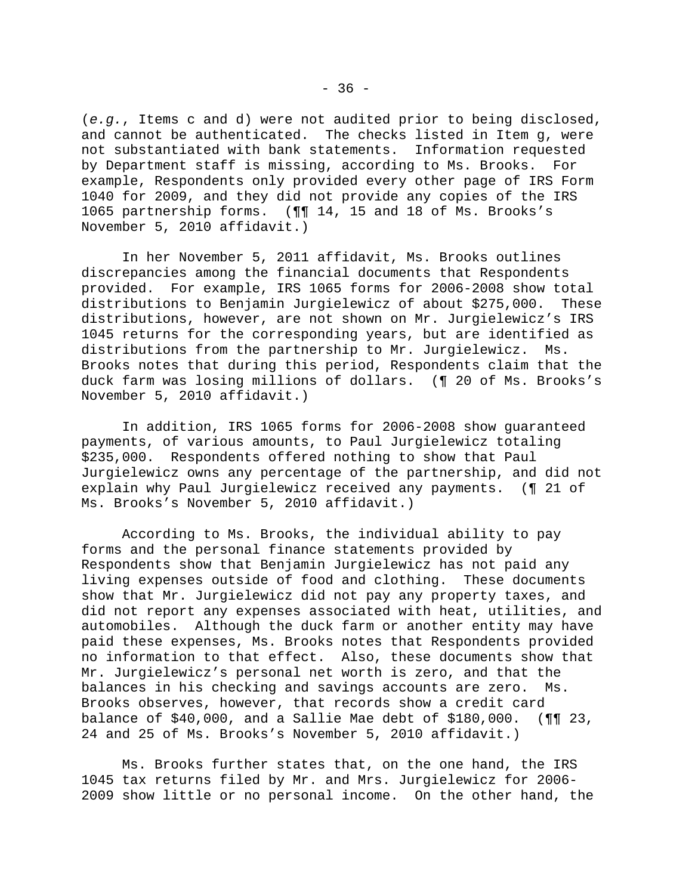(*e.g.*, Items c and d) were not audited prior to being disclosed, and cannot be authenticated. The checks listed in Item g, were not substantiated with bank statements. Information requested by Department staff is missing, according to Ms. Brooks. For example, Respondents only provided every other page of IRS Form 1040 for 2009, and they did not provide any copies of the IRS 1065 partnership forms. (¶¶ 14, 15 and 18 of Ms. Brooks's November 5, 2010 affidavit.)

 In her November 5, 2011 affidavit, Ms. Brooks outlines discrepancies among the financial documents that Respondents provided. For example, IRS 1065 forms for 2006-2008 show total distributions to Benjamin Jurgielewicz of about \$275,000. These distributions, however, are not shown on Mr. Jurgielewicz's IRS 1045 returns for the corresponding years, but are identified as distributions from the partnership to Mr. Jurgielewicz. Ms. Brooks notes that during this period, Respondents claim that the duck farm was losing millions of dollars. (¶ 20 of Ms. Brooks's November 5, 2010 affidavit.)

 In addition, IRS 1065 forms for 2006-2008 show guaranteed payments, of various amounts, to Paul Jurgielewicz totaling \$235,000. Respondents offered nothing to show that Paul Jurgielewicz owns any percentage of the partnership, and did not explain why Paul Jurgielewicz received any payments. (¶ 21 of Ms. Brooks's November 5, 2010 affidavit.)

 According to Ms. Brooks, the individual ability to pay forms and the personal finance statements provided by Respondents show that Benjamin Jurgielewicz has not paid any living expenses outside of food and clothing. These documents show that Mr. Jurgielewicz did not pay any property taxes, and did not report any expenses associated with heat, utilities, and automobiles. Although the duck farm or another entity may have paid these expenses, Ms. Brooks notes that Respondents provided no information to that effect. Also, these documents show that Mr. Jurgielewicz's personal net worth is zero, and that the balances in his checking and savings accounts are zero. Ms. Brooks observes, however, that records show a credit card balance of \$40,000, and a Sallie Mae debt of \$180,000. (¶¶ 23, 24 and 25 of Ms. Brooks's November 5, 2010 affidavit.)

 Ms. Brooks further states that, on the one hand, the IRS 1045 tax returns filed by Mr. and Mrs. Jurgielewicz for 2006- 2009 show little or no personal income. On the other hand, the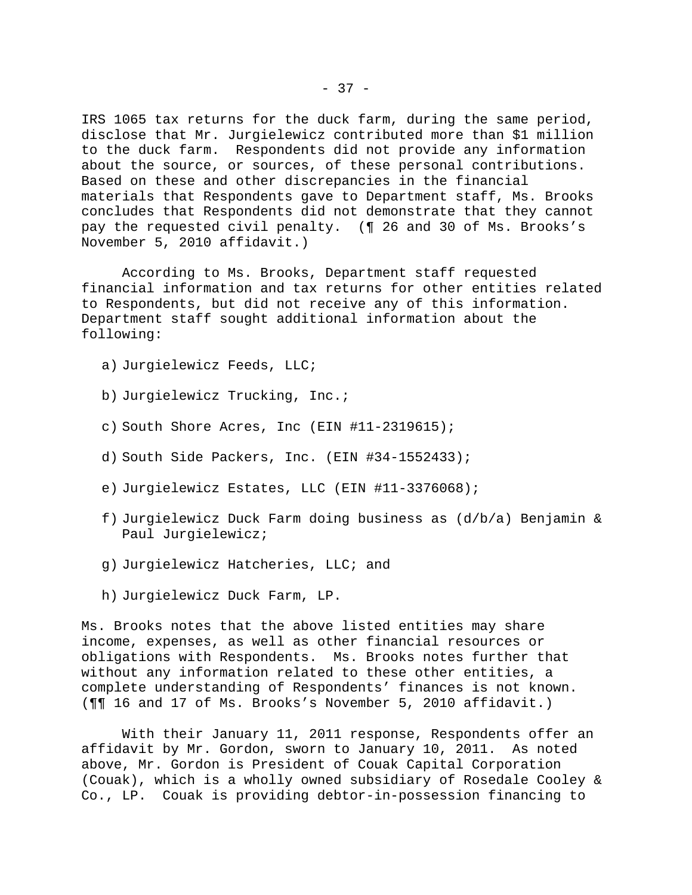IRS 1065 tax returns for the duck farm, during the same period, disclose that Mr. Jurgielewicz contributed more than \$1 million to the duck farm. Respondents did not provide any information about the source, or sources, of these personal contributions. Based on these and other discrepancies in the financial materials that Respondents gave to Department staff, Ms. Brooks concludes that Respondents did not demonstrate that they cannot pay the requested civil penalty. (¶ 26 and 30 of Ms. Brooks's November 5, 2010 affidavit.)

 According to Ms. Brooks, Department staff requested financial information and tax returns for other entities related to Respondents, but did not receive any of this information. Department staff sought additional information about the following:

- a) Jurgielewicz Feeds, LLC;
- b) Jurgielewicz Trucking, Inc.;
- c) South Shore Acres, Inc (EIN #11-2319615);
- d) South Side Packers, Inc. (EIN #34-1552433);
- e) Jurgielewicz Estates, LLC (EIN #11-3376068);
- f) Jurgielewicz Duck Farm doing business as (d/b/a) Benjamin & Paul Jurgielewicz;
- g) Jurgielewicz Hatcheries, LLC; and
- h) Jurgielewicz Duck Farm, LP.

Ms. Brooks notes that the above listed entities may share income, expenses, as well as other financial resources or obligations with Respondents. Ms. Brooks notes further that without any information related to these other entities, a complete understanding of Respondents' finances is not known. (¶¶ 16 and 17 of Ms. Brooks's November 5, 2010 affidavit.)

 With their January 11, 2011 response, Respondents offer an affidavit by Mr. Gordon, sworn to January 10, 2011. As noted above, Mr. Gordon is President of Couak Capital Corporation (Couak), which is a wholly owned subsidiary of Rosedale Cooley & Co., LP. Couak is providing debtor-in-possession financing to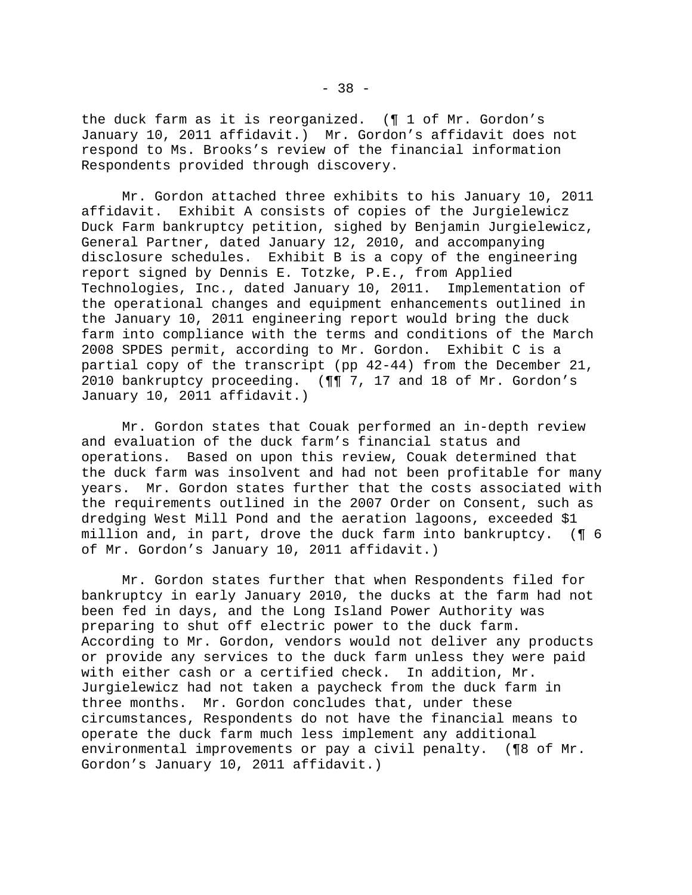the duck farm as it is reorganized. (¶ 1 of Mr. Gordon's January 10, 2011 affidavit.) Mr. Gordon's affidavit does not respond to Ms. Brooks's review of the financial information Respondents provided through discovery.

 Mr. Gordon attached three exhibits to his January 10, 2011 affidavit. Exhibit A consists of copies of the Jurgielewicz Duck Farm bankruptcy petition, sighed by Benjamin Jurgielewicz, General Partner, dated January 12, 2010, and accompanying disclosure schedules. Exhibit B is a copy of the engineering report signed by Dennis E. Totzke, P.E., from Applied Technologies, Inc., dated January 10, 2011. Implementation of the operational changes and equipment enhancements outlined in the January 10, 2011 engineering report would bring the duck farm into compliance with the terms and conditions of the March 2008 SPDES permit, according to Mr. Gordon. Exhibit C is a partial copy of the transcript (pp 42-44) from the December 21, 2010 bankruptcy proceeding. (¶¶ 7, 17 and 18 of Mr. Gordon's January 10, 2011 affidavit.)

 Mr. Gordon states that Couak performed an in-depth review and evaluation of the duck farm's financial status and operations. Based on upon this review, Couak determined that the duck farm was insolvent and had not been profitable for many years. Mr. Gordon states further that the costs associated with the requirements outlined in the 2007 Order on Consent, such as dredging West Mill Pond and the aeration lagoons, exceeded \$1 million and, in part, drove the duck farm into bankruptcy. (¶ 6 of Mr. Gordon's January 10, 2011 affidavit.)

 Mr. Gordon states further that when Respondents filed for bankruptcy in early January 2010, the ducks at the farm had not been fed in days, and the Long Island Power Authority was preparing to shut off electric power to the duck farm. According to Mr. Gordon, vendors would not deliver any products or provide any services to the duck farm unless they were paid with either cash or a certified check. In addition, Mr. Jurgielewicz had not taken a paycheck from the duck farm in three months. Mr. Gordon concludes that, under these circumstances, Respondents do not have the financial means to operate the duck farm much less implement any additional environmental improvements or pay a civil penalty. (¶8 of Mr. Gordon's January 10, 2011 affidavit.)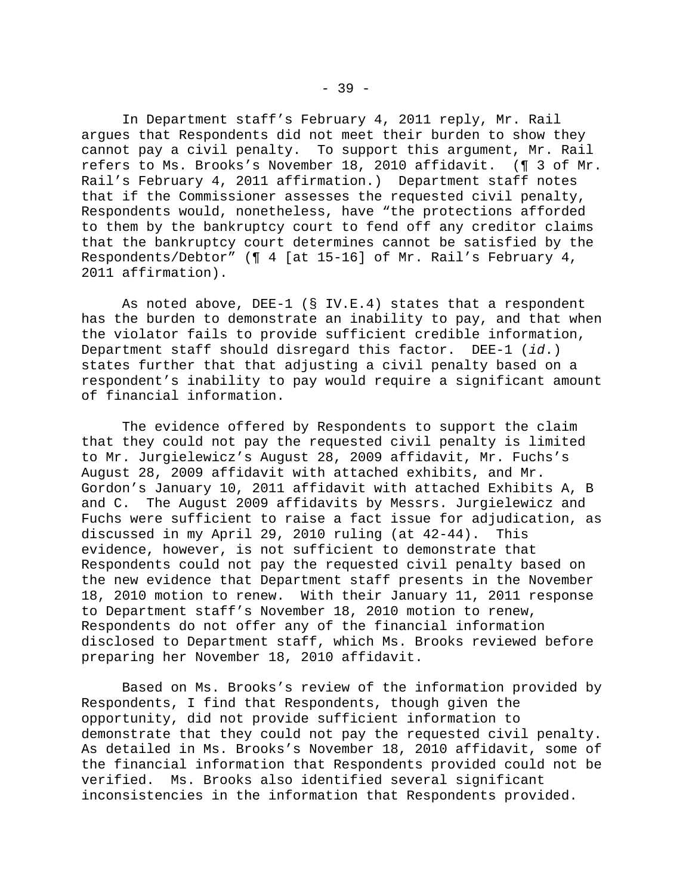In Department staff's February 4, 2011 reply, Mr. Rail argues that Respondents did not meet their burden to show they cannot pay a civil penalty. To support this argument, Mr. Rail refers to Ms. Brooks's November 18, 2010 affidavit. (¶ 3 of Mr. Rail's February 4, 2011 affirmation.) Department staff notes that if the Commissioner assesses the requested civil penalty, Respondents would, nonetheless, have "the protections afforded to them by the bankruptcy court to fend off any creditor claims that the bankruptcy court determines cannot be satisfied by the Respondents/Debtor" (¶ 4 [at 15-16] of Mr. Rail's February 4, 2011 affirmation).

 As noted above, DEE-1 (§ IV.E.4) states that a respondent has the burden to demonstrate an inability to pay, and that when the violator fails to provide sufficient credible information, Department staff should disregard this factor. DEE-1 (*id*.) states further that that adjusting a civil penalty based on a respondent's inability to pay would require a significant amount of financial information.

 The evidence offered by Respondents to support the claim that they could not pay the requested civil penalty is limited to Mr. Jurgielewicz's August 28, 2009 affidavit, Mr. Fuchs's August 28, 2009 affidavit with attached exhibits, and Mr. Gordon's January 10, 2011 affidavit with attached Exhibits A, B and C. The August 2009 affidavits by Messrs. Jurgielewicz and Fuchs were sufficient to raise a fact issue for adjudication, as discussed in my April 29, 2010 ruling (at 42-44). This evidence, however, is not sufficient to demonstrate that Respondents could not pay the requested civil penalty based on the new evidence that Department staff presents in the November 18, 2010 motion to renew. With their January 11, 2011 response to Department staff's November 18, 2010 motion to renew, Respondents do not offer any of the financial information disclosed to Department staff, which Ms. Brooks reviewed before preparing her November 18, 2010 affidavit.

 Based on Ms. Brooks's review of the information provided by Respondents, I find that Respondents, though given the opportunity, did not provide sufficient information to demonstrate that they could not pay the requested civil penalty. As detailed in Ms. Brooks's November 18, 2010 affidavit, some of the financial information that Respondents provided could not be verified. Ms. Brooks also identified several significant inconsistencies in the information that Respondents provided.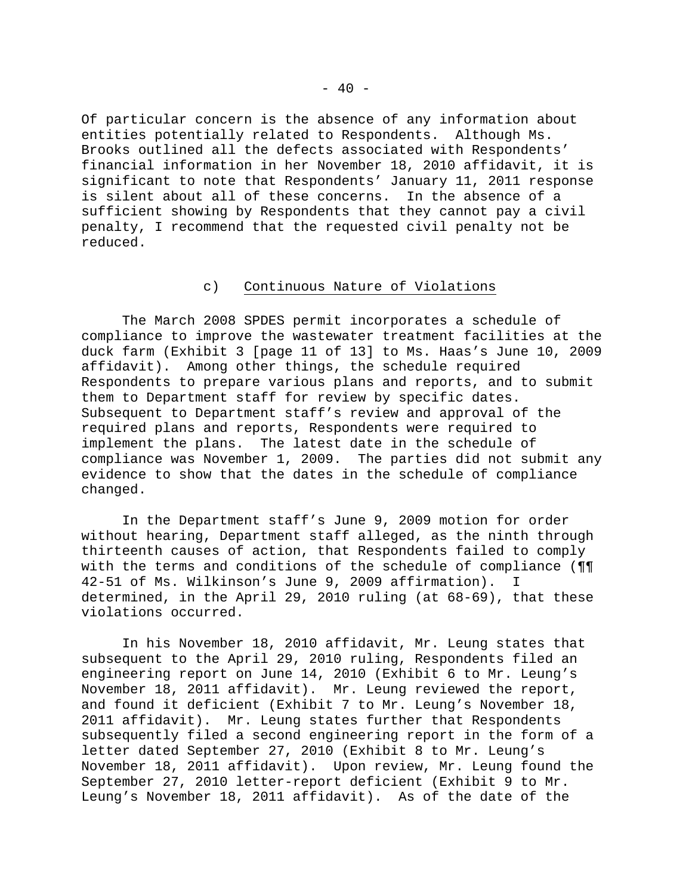Of particular concern is the absence of any information about entities potentially related to Respondents. Although Ms. Brooks outlined all the defects associated with Respondents' financial information in her November 18, 2010 affidavit, it is significant to note that Respondents' January 11, 2011 response is silent about all of these concerns. In the absence of a sufficient showing by Respondents that they cannot pay a civil penalty, I recommend that the requested civil penalty not be reduced.

### c) Continuous Nature of Violations

 The March 2008 SPDES permit incorporates a schedule of compliance to improve the wastewater treatment facilities at the duck farm (Exhibit 3 [page 11 of 13] to Ms. Haas's June 10, 2009 affidavit). Among other things, the schedule required Respondents to prepare various plans and reports, and to submit them to Department staff for review by specific dates. Subsequent to Department staff's review and approval of the required plans and reports, Respondents were required to implement the plans. The latest date in the schedule of compliance was November 1, 2009. The parties did not submit any evidence to show that the dates in the schedule of compliance changed.

 In the Department staff's June 9, 2009 motion for order without hearing, Department staff alleged, as the ninth through thirteenth causes of action, that Respondents failed to comply with the terms and conditions of the schedule of compliance (¶¶ 42-51 of Ms. Wilkinson's June 9, 2009 affirmation). I determined, in the April 29, 2010 ruling (at 68-69), that these violations occurred.

 In his November 18, 2010 affidavit, Mr. Leung states that subsequent to the April 29, 2010 ruling, Respondents filed an engineering report on June 14, 2010 (Exhibit 6 to Mr. Leung's November 18, 2011 affidavit). Mr. Leung reviewed the report, and found it deficient (Exhibit 7 to Mr. Leung's November 18, 2011 affidavit). Mr. Leung states further that Respondents subsequently filed a second engineering report in the form of a letter dated September 27, 2010 (Exhibit 8 to Mr. Leung's November 18, 2011 affidavit). Upon review, Mr. Leung found the September 27, 2010 letter-report deficient (Exhibit 9 to Mr. Leung's November 18, 2011 affidavit). As of the date of the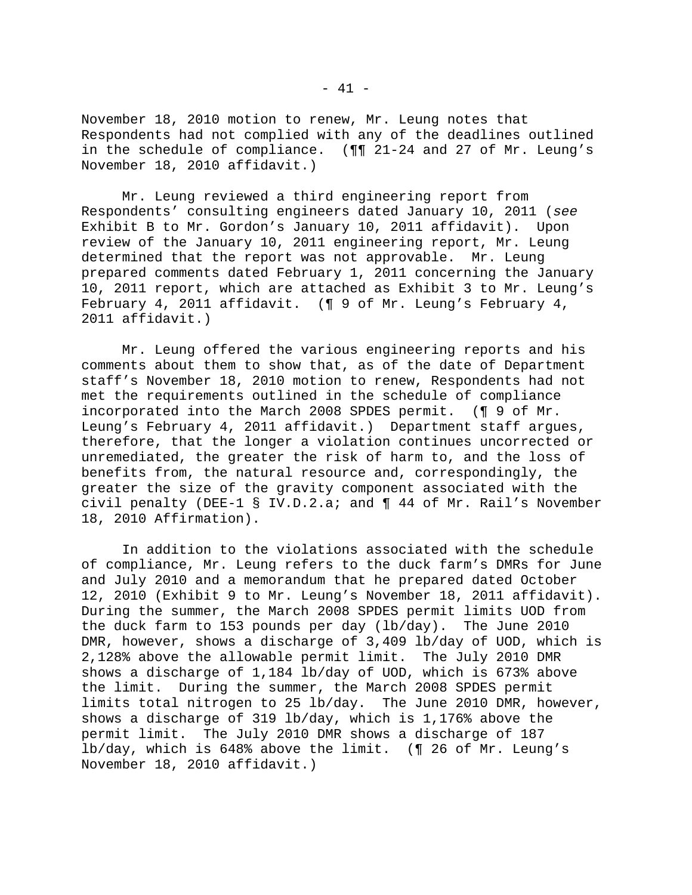November 18, 2010 motion to renew, Mr. Leung notes that Respondents had not complied with any of the deadlines outlined in the schedule of compliance. (¶¶ 21-24 and 27 of Mr. Leung's November 18, 2010 affidavit.)

 Mr. Leung reviewed a third engineering report from Respondents' consulting engineers dated January 10, 2011 (*see* Exhibit B to Mr. Gordon's January 10, 2011 affidavit). Upon review of the January 10, 2011 engineering report, Mr. Leung determined that the report was not approvable. Mr. Leung prepared comments dated February 1, 2011 concerning the January 10, 2011 report, which are attached as Exhibit 3 to Mr. Leung's February 4, 2011 affidavit. (¶ 9 of Mr. Leung's February 4, 2011 affidavit.)

 Mr. Leung offered the various engineering reports and his comments about them to show that, as of the date of Department staff's November 18, 2010 motion to renew, Respondents had not met the requirements outlined in the schedule of compliance incorporated into the March 2008 SPDES permit. (¶ 9 of Mr. Leung's February 4, 2011 affidavit.) Department staff argues, therefore, that the longer a violation continues uncorrected or unremediated, the greater the risk of harm to, and the loss of benefits from, the natural resource and, correspondingly, the greater the size of the gravity component associated with the civil penalty (DEE-1 § IV.D.2.a; and ¶ 44 of Mr. Rail's November 18, 2010 Affirmation).

 In addition to the violations associated with the schedule of compliance, Mr. Leung refers to the duck farm's DMRs for June and July 2010 and a memorandum that he prepared dated October 12, 2010 (Exhibit 9 to Mr. Leung's November 18, 2011 affidavit). During the summer, the March 2008 SPDES permit limits UOD from the duck farm to 153 pounds per day (lb/day). The June 2010 DMR, however, shows a discharge of 3,409 lb/day of UOD, which is 2,128% above the allowable permit limit. The July 2010 DMR shows a discharge of 1,184 lb/day of UOD, which is 673% above the limit. During the summer, the March 2008 SPDES permit limits total nitrogen to 25 lb/day. The June 2010 DMR, however, shows a discharge of 319 lb/day, which is 1,176% above the permit limit. The July 2010 DMR shows a discharge of 187 lb/day, which is 648% above the limit. (¶ 26 of Mr. Leung's November 18, 2010 affidavit.)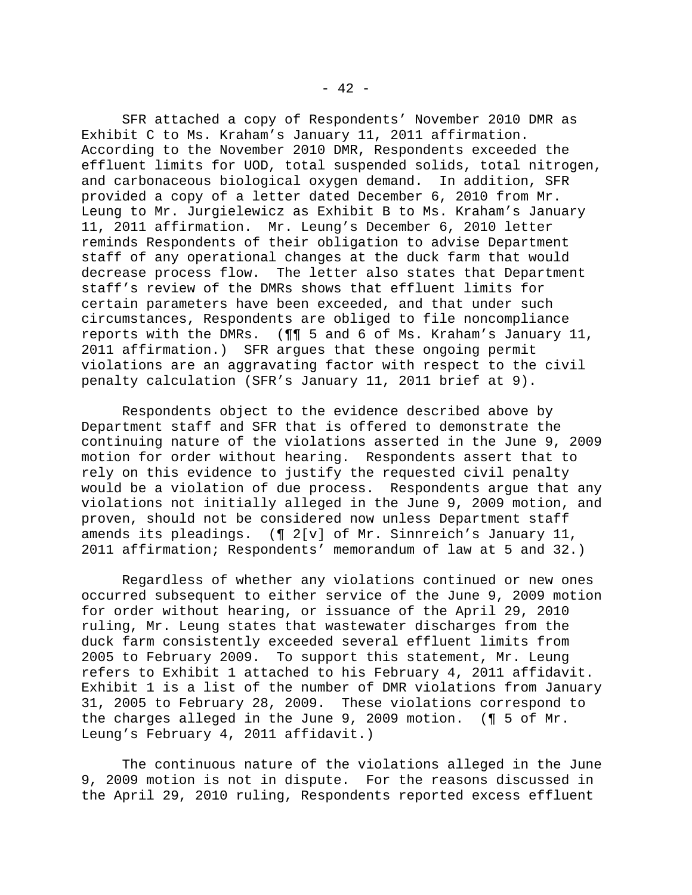SFR attached a copy of Respondents' November 2010 DMR as Exhibit C to Ms. Kraham's January 11, 2011 affirmation. According to the November 2010 DMR, Respondents exceeded the effluent limits for UOD, total suspended solids, total nitrogen, and carbonaceous biological oxygen demand. In addition, SFR provided a copy of a letter dated December 6, 2010 from Mr. Leung to Mr. Jurgielewicz as Exhibit B to Ms. Kraham's January 11, 2011 affirmation. Mr. Leung's December 6, 2010 letter reminds Respondents of their obligation to advise Department staff of any operational changes at the duck farm that would decrease process flow. The letter also states that Department staff's review of the DMRs shows that effluent limits for certain parameters have been exceeded, and that under such circumstances, Respondents are obliged to file noncompliance reports with the DMRs. (¶¶ 5 and 6 of Ms. Kraham's January 11, 2011 affirmation.) SFR argues that these ongoing permit violations are an aggravating factor with respect to the civil penalty calculation (SFR's January 11, 2011 brief at 9).

 Respondents object to the evidence described above by Department staff and SFR that is offered to demonstrate the continuing nature of the violations asserted in the June 9, 2009 motion for order without hearing. Respondents assert that to rely on this evidence to justify the requested civil penalty would be a violation of due process. Respondents argue that any violations not initially alleged in the June 9, 2009 motion, and proven, should not be considered now unless Department staff amends its pleadings. (¶ 2[v] of Mr. Sinnreich's January 11, 2011 affirmation; Respondents' memorandum of law at 5 and 32.)

 Regardless of whether any violations continued or new ones occurred subsequent to either service of the June 9, 2009 motion for order without hearing, or issuance of the April 29, 2010 ruling, Mr. Leung states that wastewater discharges from the duck farm consistently exceeded several effluent limits from 2005 to February 2009. To support this statement, Mr. Leung refers to Exhibit 1 attached to his February 4, 2011 affidavit. Exhibit 1 is a list of the number of DMR violations from January 31, 2005 to February 28, 2009. These violations correspond to the charges alleged in the June 9, 2009 motion. (¶ 5 of Mr. Leung's February 4, 2011 affidavit.)

 The continuous nature of the violations alleged in the June 9, 2009 motion is not in dispute. For the reasons discussed in the April 29, 2010 ruling, Respondents reported excess effluent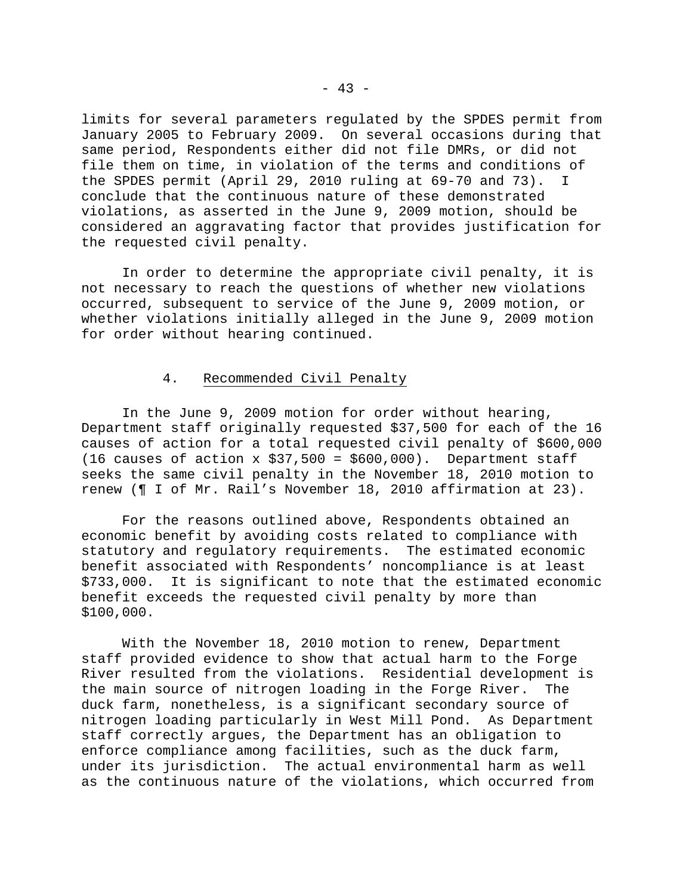limits for several parameters regulated by the SPDES permit from January 2005 to February 2009. On several occasions during that same period, Respondents either did not file DMRs, or did not file them on time, in violation of the terms and conditions of the SPDES permit (April 29, 2010 ruling at 69-70 and 73). I conclude that the continuous nature of these demonstrated violations, as asserted in the June 9, 2009 motion, should be considered an aggravating factor that provides justification for the requested civil penalty.

 In order to determine the appropriate civil penalty, it is not necessary to reach the questions of whether new violations occurred, subsequent to service of the June 9, 2009 motion, or whether violations initially alleged in the June 9, 2009 motion for order without hearing continued.

## 4. Recommended Civil Penalty

 In the June 9, 2009 motion for order without hearing, Department staff originally requested \$37,500 for each of the 16 causes of action for a total requested civil penalty of \$600,000 (16 causes of action x \$37,500 = \$600,000). Department staff seeks the same civil penalty in the November 18, 2010 motion to renew (¶ I of Mr. Rail's November 18, 2010 affirmation at 23).

 For the reasons outlined above, Respondents obtained an economic benefit by avoiding costs related to compliance with statutory and regulatory requirements. The estimated economic benefit associated with Respondents' noncompliance is at least \$733,000. It is significant to note that the estimated economic benefit exceeds the requested civil penalty by more than \$100,000.

 With the November 18, 2010 motion to renew, Department staff provided evidence to show that actual harm to the Forge River resulted from the violations. Residential development is the main source of nitrogen loading in the Forge River. The duck farm, nonetheless, is a significant secondary source of nitrogen loading particularly in West Mill Pond. As Department staff correctly argues, the Department has an obligation to enforce compliance among facilities, such as the duck farm, under its jurisdiction. The actual environmental harm as well as the continuous nature of the violations, which occurred from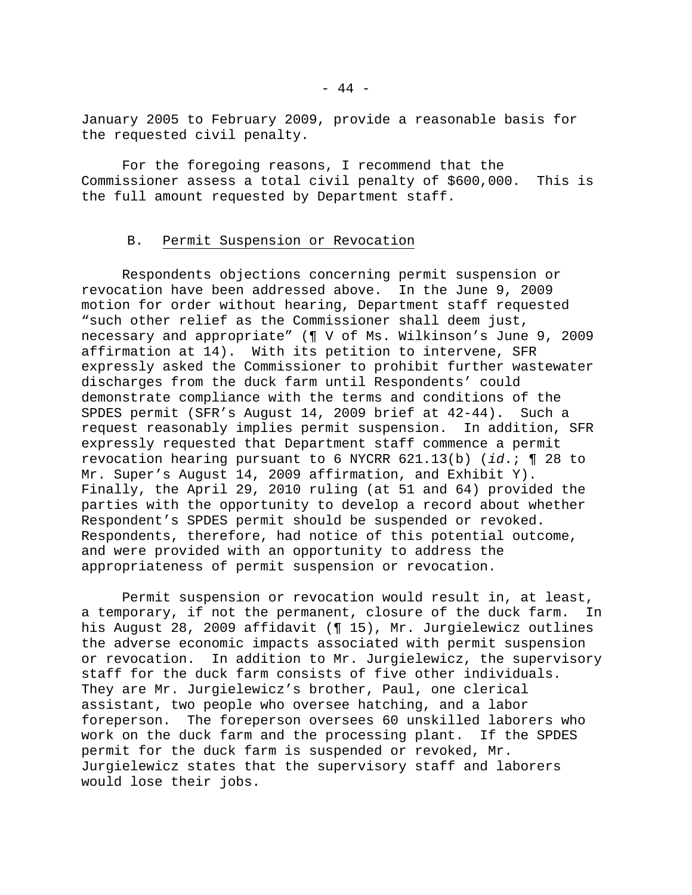January 2005 to February 2009, provide a reasonable basis for the requested civil penalty.

 For the foregoing reasons, I recommend that the Commissioner assess a total civil penalty of \$600,000. This is the full amount requested by Department staff.

## B. Permit Suspension or Revocation

 Respondents objections concerning permit suspension or revocation have been addressed above. In the June 9, 2009 motion for order without hearing, Department staff requested "such other relief as the Commissioner shall deem just, necessary and appropriate" (¶ V of Ms. Wilkinson's June 9, 2009 affirmation at 14). With its petition to intervene, SFR expressly asked the Commissioner to prohibit further wastewater discharges from the duck farm until Respondents' could demonstrate compliance with the terms and conditions of the SPDES permit (SFR's August 14, 2009 brief at 42-44). Such a request reasonably implies permit suspension. In addition, SFR expressly requested that Department staff commence a permit revocation hearing pursuant to 6 NYCRR 621.13(b) (*id*.; ¶ 28 to Mr. Super's August 14, 2009 affirmation, and Exhibit Y). Finally, the April 29, 2010 ruling (at 51 and 64) provided the parties with the opportunity to develop a record about whether Respondent's SPDES permit should be suspended or revoked. Respondents, therefore, had notice of this potential outcome, and were provided with an opportunity to address the appropriateness of permit suspension or revocation.

 Permit suspension or revocation would result in, at least, a temporary, if not the permanent, closure of the duck farm. In his August 28, 2009 affidavit (¶ 15), Mr. Jurgielewicz outlines the adverse economic impacts associated with permit suspension or revocation. In addition to Mr. Jurgielewicz, the supervisory staff for the duck farm consists of five other individuals. They are Mr. Jurgielewicz's brother, Paul, one clerical assistant, two people who oversee hatching, and a labor foreperson. The foreperson oversees 60 unskilled laborers who work on the duck farm and the processing plant. If the SPDES permit for the duck farm is suspended or revoked, Mr. Jurgielewicz states that the supervisory staff and laborers would lose their jobs.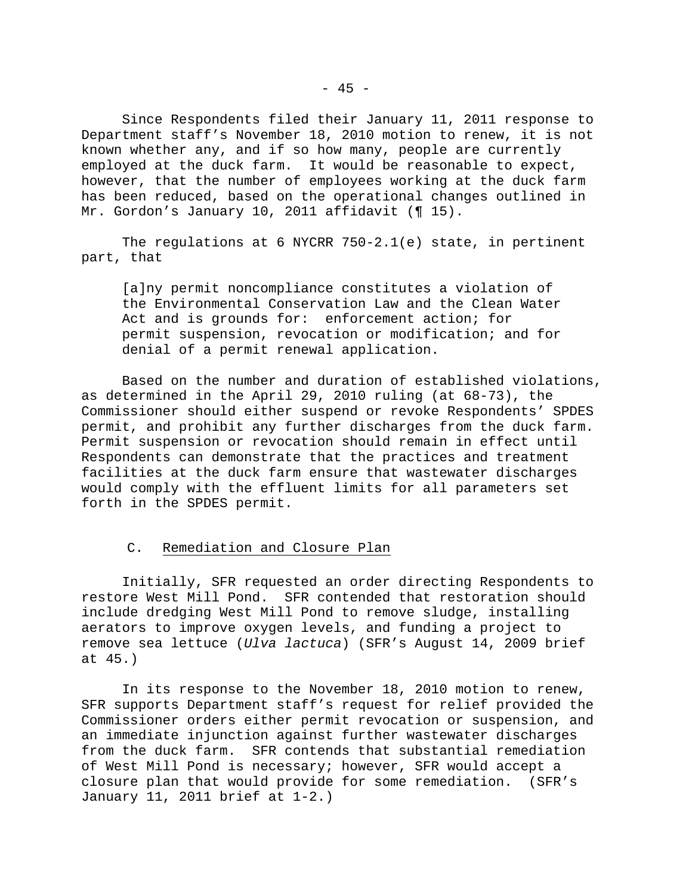Since Respondents filed their January 11, 2011 response to Department staff's November 18, 2010 motion to renew, it is not known whether any, and if so how many, people are currently employed at the duck farm. It would be reasonable to expect, however, that the number of employees working at the duck farm has been reduced, based on the operational changes outlined in Mr. Gordon's January 10, 2011 affidavit (¶ 15).

 The regulations at 6 NYCRR 750-2.1(e) state, in pertinent part, that

[a]ny permit noncompliance constitutes a violation of the Environmental Conservation Law and the Clean Water Act and is grounds for: enforcement action; for permit suspension, revocation or modification; and for denial of a permit renewal application.

 Based on the number and duration of established violations, as determined in the April 29, 2010 ruling (at 68-73), the Commissioner should either suspend or revoke Respondents' SPDES permit, and prohibit any further discharges from the duck farm. Permit suspension or revocation should remain in effect until Respondents can demonstrate that the practices and treatment facilities at the duck farm ensure that wastewater discharges would comply with the effluent limits for all parameters set forth in the SPDES permit.

# C. Remediation and Closure Plan

 Initially, SFR requested an order directing Respondents to restore West Mill Pond. SFR contended that restoration should include dredging West Mill Pond to remove sludge, installing aerators to improve oxygen levels, and funding a project to remove sea lettuce (*Ulva lactuca*) (SFR's August 14, 2009 brief at 45.)

 In its response to the November 18, 2010 motion to renew, SFR supports Department staff's request for relief provided the Commissioner orders either permit revocation or suspension, and an immediate injunction against further wastewater discharges from the duck farm. SFR contends that substantial remediation of West Mill Pond is necessary; however, SFR would accept a closure plan that would provide for some remediation. (SFR's January 11, 2011 brief at 1-2.)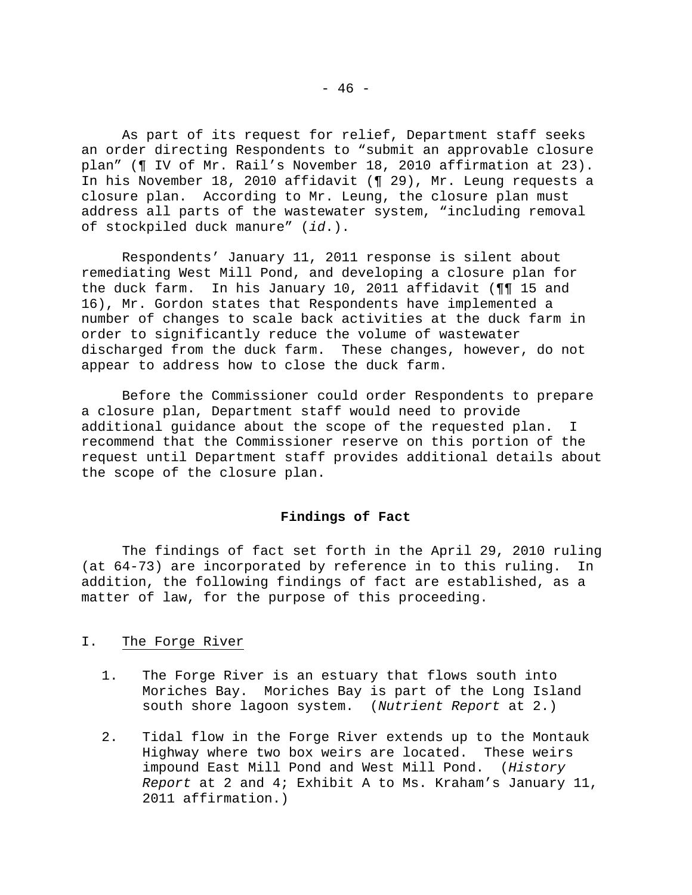As part of its request for relief, Department staff seeks an order directing Respondents to "submit an approvable closure plan" (¶ IV of Mr. Rail's November 18, 2010 affirmation at 23). In his November 18, 2010 affidavit (¶ 29), Mr. Leung requests a closure plan. According to Mr. Leung, the closure plan must address all parts of the wastewater system, "including removal of stockpiled duck manure" (*id*.).

 Respondents' January 11, 2011 response is silent about remediating West Mill Pond, and developing a closure plan for the duck farm. In his January 10, 2011 affidavit (¶¶ 15 and 16), Mr. Gordon states that Respondents have implemented a number of changes to scale back activities at the duck farm in order to significantly reduce the volume of wastewater discharged from the duck farm. These changes, however, do not appear to address how to close the duck farm.

 Before the Commissioner could order Respondents to prepare a closure plan, Department staff would need to provide additional guidance about the scope of the requested plan. I recommend that the Commissioner reserve on this portion of the request until Department staff provides additional details about the scope of the closure plan.

## **Findings of Fact**

 The findings of fact set forth in the April 29, 2010 ruling (at 64-73) are incorporated by reference in to this ruling. In addition, the following findings of fact are established, as a matter of law, for the purpose of this proceeding.

### I. The Forge River

- 1. The Forge River is an estuary that flows south into Moriches Bay. Moriches Bay is part of the Long Island south shore lagoon system. (*Nutrient Report* at 2.)
- 2. Tidal flow in the Forge River extends up to the Montauk Highway where two box weirs are located. These weirs impound East Mill Pond and West Mill Pond. (*History Report* at 2 and 4; Exhibit A to Ms. Kraham's January 11, 2011 affirmation.)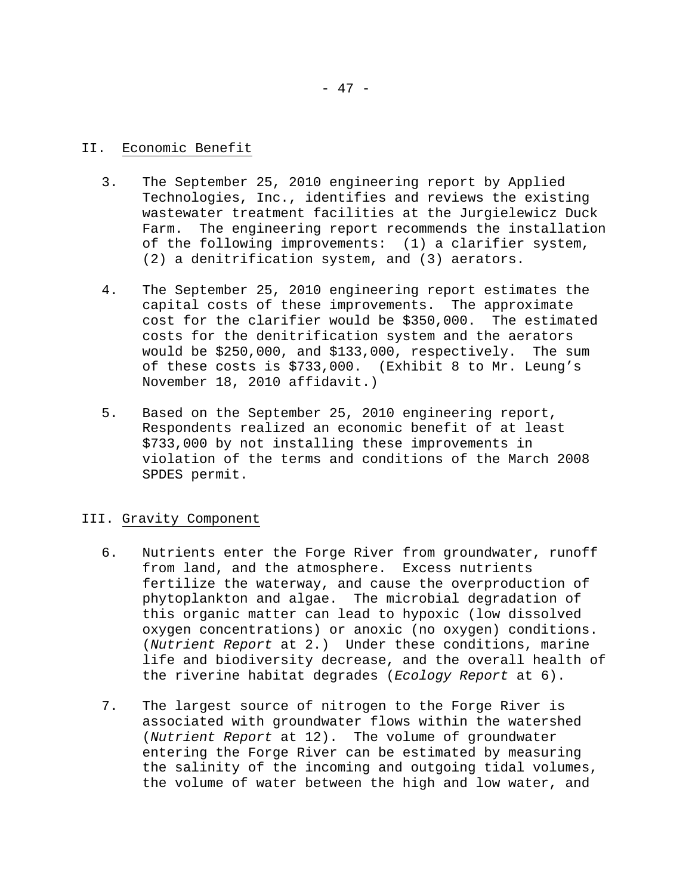## II. Economic Benefit

- 3. The September 25, 2010 engineering report by Applied Technologies, Inc., identifies and reviews the existing wastewater treatment facilities at the Jurgielewicz Duck Farm. The engineering report recommends the installation of the following improvements: (1) a clarifier system, (2) a denitrification system, and (3) aerators.
- 4. The September 25, 2010 engineering report estimates the capital costs of these improvements. The approximate cost for the clarifier would be \$350,000. The estimated costs for the denitrification system and the aerators would be \$250,000, and \$133,000, respectively. The sum of these costs is \$733,000. (Exhibit 8 to Mr. Leung's November 18, 2010 affidavit.)
- 5. Based on the September 25, 2010 engineering report, Respondents realized an economic benefit of at least \$733,000 by not installing these improvements in violation of the terms and conditions of the March 2008 SPDES permit.

# III. Gravity Component

- 6. Nutrients enter the Forge River from groundwater, runoff from land, and the atmosphere. Excess nutrients fertilize the waterway, and cause the overproduction of phytoplankton and algae. The microbial degradation of this organic matter can lead to hypoxic (low dissolved oxygen concentrations) or anoxic (no oxygen) conditions. (*Nutrient Report* at 2.) Under these conditions, marine life and biodiversity decrease, and the overall health of the riverine habitat degrades (*Ecology Report* at 6).
- 7. The largest source of nitrogen to the Forge River is associated with groundwater flows within the watershed (*Nutrient Report* at 12). The volume of groundwater entering the Forge River can be estimated by measuring the salinity of the incoming and outgoing tidal volumes, the volume of water between the high and low water, and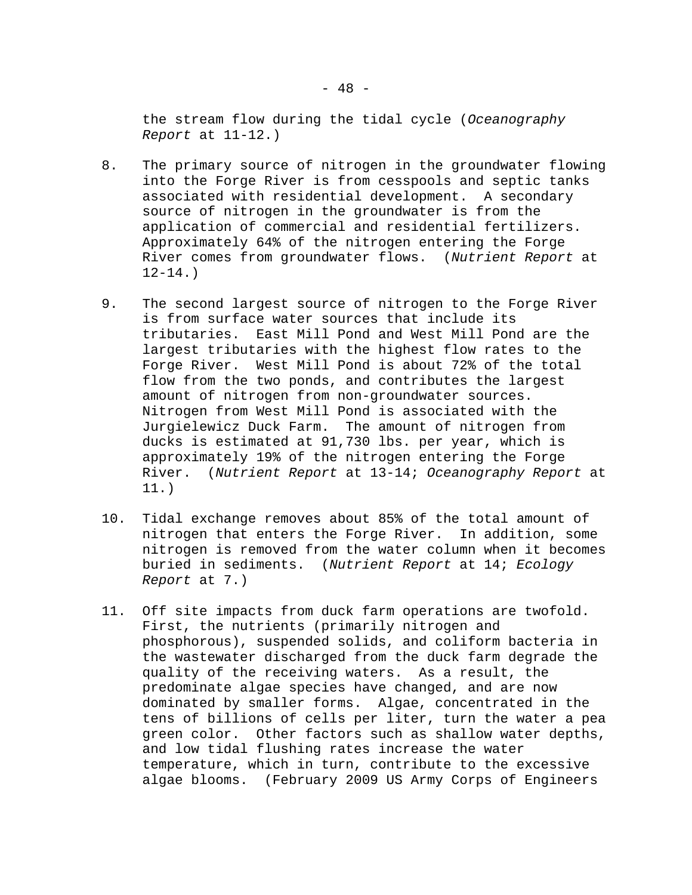the stream flow during the tidal cycle (*Oceanography Report* at 11-12.)

- 8. The primary source of nitrogen in the groundwater flowing into the Forge River is from cesspools and septic tanks associated with residential development. A secondary source of nitrogen in the groundwater is from the application of commercial and residential fertilizers. Approximately 64% of the nitrogen entering the Forge River comes from groundwater flows. (*Nutrient Report* at  $12 - 14.$
- 9. The second largest source of nitrogen to the Forge River is from surface water sources that include its tributaries. East Mill Pond and West Mill Pond are the largest tributaries with the highest flow rates to the Forge River. West Mill Pond is about 72% of the total flow from the two ponds, and contributes the largest amount of nitrogen from non-groundwater sources. Nitrogen from West Mill Pond is associated with the Jurgielewicz Duck Farm. The amount of nitrogen from ducks is estimated at 91,730 lbs. per year, which is approximately 19% of the nitrogen entering the Forge River. (*Nutrient Report* at 13-14; *Oceanography Report* at 11.)
- 10. Tidal exchange removes about 85% of the total amount of nitrogen that enters the Forge River. In addition, some nitrogen is removed from the water column when it becomes buried in sediments. (*Nutrient Report* at 14; *Ecology Report* at 7.)
- 11. Off site impacts from duck farm operations are twofold. First, the nutrients (primarily nitrogen and phosphorous), suspended solids, and coliform bacteria in the wastewater discharged from the duck farm degrade the quality of the receiving waters. As a result, the predominate algae species have changed, and are now dominated by smaller forms. Algae, concentrated in the tens of billions of cells per liter, turn the water a pea green color. Other factors such as shallow water depths, and low tidal flushing rates increase the water temperature, which in turn, contribute to the excessive algae blooms. (February 2009 US Army Corps of Engineers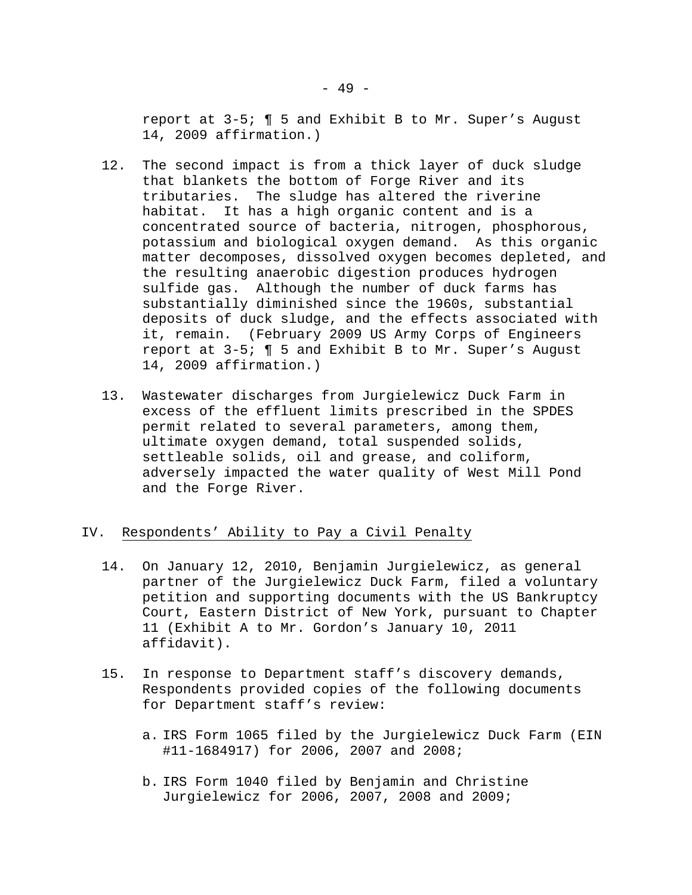report at 3-5; ¶ 5 and Exhibit B to Mr. Super's August 14, 2009 affirmation.)

- 12. The second impact is from a thick layer of duck sludge that blankets the bottom of Forge River and its tributaries. The sludge has altered the riverine habitat. It has a high organic content and is a concentrated source of bacteria, nitrogen, phosphorous, potassium and biological oxygen demand. As this organic matter decomposes, dissolved oxygen becomes depleted, and the resulting anaerobic digestion produces hydrogen sulfide gas. Although the number of duck farms has substantially diminished since the 1960s, substantial deposits of duck sludge, and the effects associated with it, remain. (February 2009 US Army Corps of Engineers report at 3-5; ¶ 5 and Exhibit B to Mr. Super's August 14, 2009 affirmation.)
- 13. Wastewater discharges from Jurgielewicz Duck Farm in excess of the effluent limits prescribed in the SPDES permit related to several parameters, among them, ultimate oxygen demand, total suspended solids, settleable solids, oil and grease, and coliform, adversely impacted the water quality of West Mill Pond and the Forge River.

## IV. Respondents' Ability to Pay a Civil Penalty

- 14. On January 12, 2010, Benjamin Jurgielewicz, as general partner of the Jurgielewicz Duck Farm, filed a voluntary petition and supporting documents with the US Bankruptcy Court, Eastern District of New York, pursuant to Chapter 11 (Exhibit A to Mr. Gordon's January 10, 2011 affidavit).
- 15. In response to Department staff's discovery demands, Respondents provided copies of the following documents for Department staff's review:
	- a. IRS Form 1065 filed by the Jurgielewicz Duck Farm (EIN #11-1684917) for 2006, 2007 and 2008;
	- b. IRS Form 1040 filed by Benjamin and Christine Jurgielewicz for 2006, 2007, 2008 and 2009;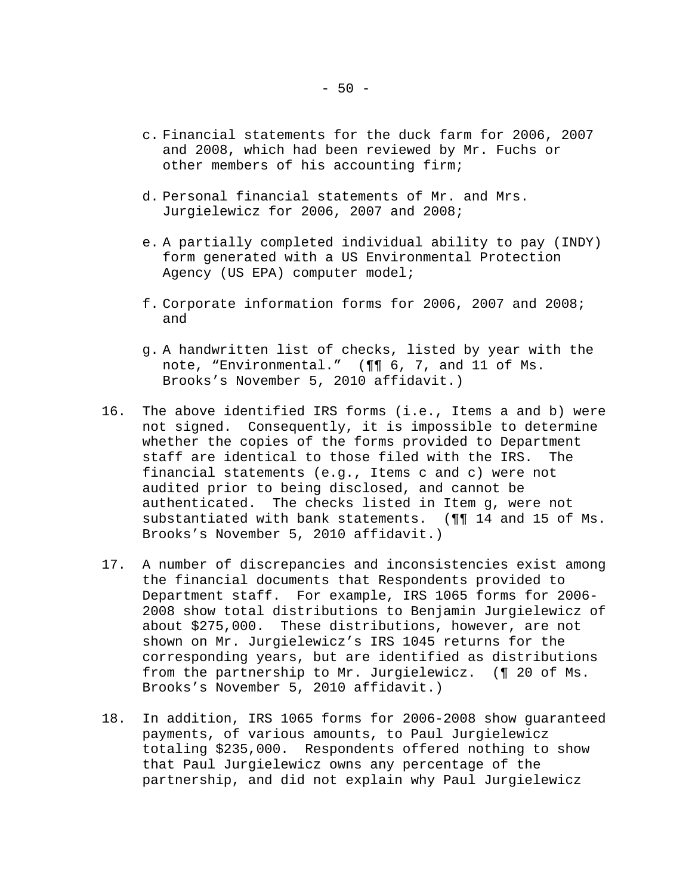- c. Financial statements for the duck farm for 2006, 2007 and 2008, which had been reviewed by Mr. Fuchs or other members of his accounting firm;
- d. Personal financial statements of Mr. and Mrs. Jurgielewicz for 2006, 2007 and 2008;
- e. A partially completed individual ability to pay (INDY) form generated with a US Environmental Protection Agency (US EPA) computer model;
- f. Corporate information forms for 2006, 2007 and 2008; and
- g. A handwritten list of checks, listed by year with the note, "Environmental." (¶¶ 6, 7, and 11 of Ms. Brooks's November 5, 2010 affidavit.)
- 16. The above identified IRS forms (i.e., Items a and b) were not signed. Consequently, it is impossible to determine whether the copies of the forms provided to Department staff are identical to those filed with the IRS. The financial statements (e.g., Items c and c) were not audited prior to being disclosed, and cannot be authenticated. The checks listed in Item g, were not substantiated with bank statements. (¶¶ 14 and 15 of Ms. Brooks's November 5, 2010 affidavit.)
- 17. A number of discrepancies and inconsistencies exist among the financial documents that Respondents provided to Department staff. For example, IRS 1065 forms for 2006- 2008 show total distributions to Benjamin Jurgielewicz of about \$275,000. These distributions, however, are not shown on Mr. Jurgielewicz's IRS 1045 returns for the corresponding years, but are identified as distributions from the partnership to Mr. Jurgielewicz. (¶ 20 of Ms. Brooks's November 5, 2010 affidavit.)
- 18. In addition, IRS 1065 forms for 2006-2008 show guaranteed payments, of various amounts, to Paul Jurgielewicz totaling \$235,000. Respondents offered nothing to show that Paul Jurgielewicz owns any percentage of the partnership, and did not explain why Paul Jurgielewicz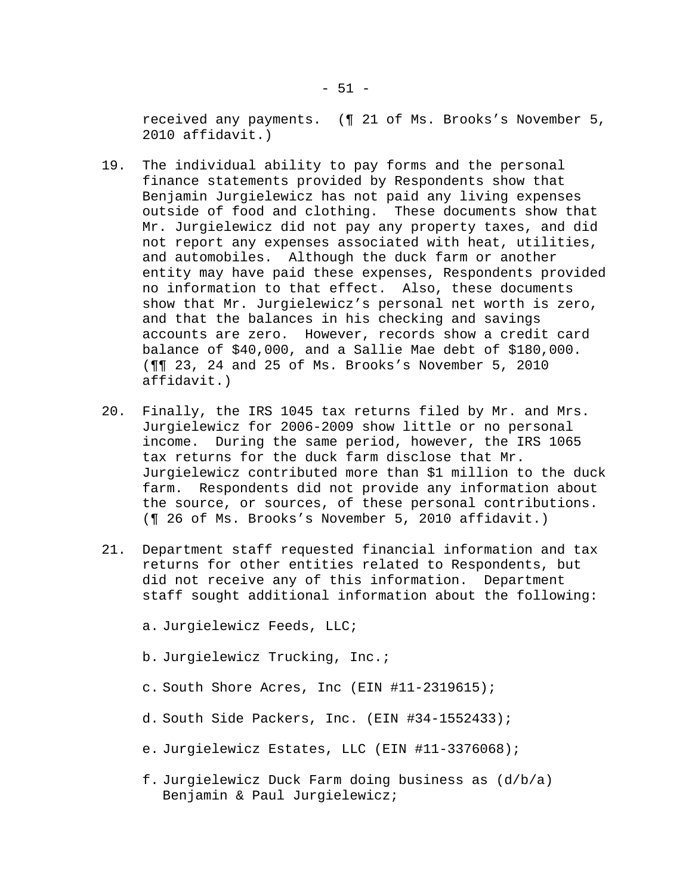received any payments. (¶ 21 of Ms. Brooks's November 5, 2010 affidavit.)

- 19. The individual ability to pay forms and the personal finance statements provided by Respondents show that Benjamin Jurgielewicz has not paid any living expenses outside of food and clothing. These documents show that Mr. Jurgielewicz did not pay any property taxes, and did not report any expenses associated with heat, utilities, and automobiles. Although the duck farm or another entity may have paid these expenses, Respondents provided no information to that effect. Also, these documents show that Mr. Jurgielewicz's personal net worth is zero, and that the balances in his checking and savings accounts are zero. However, records show a credit card balance of \$40,000, and a Sallie Mae debt of \$180,000. (¶¶ 23, 24 and 25 of Ms. Brooks's November 5, 2010 affidavit.)
- 20. Finally, the IRS 1045 tax returns filed by Mr. and Mrs. Jurgielewicz for 2006-2009 show little or no personal income. During the same period, however, the IRS 1065 tax returns for the duck farm disclose that Mr. Jurgielewicz contributed more than \$1 million to the duck farm. Respondents did not provide any information about the source, or sources, of these personal contributions. (¶ 26 of Ms. Brooks's November 5, 2010 affidavit.)
- 21. Department staff requested financial information and tax returns for other entities related to Respondents, but did not receive any of this information. Department staff sought additional information about the following:
	- a. Jurgielewicz Feeds, LLC;
	- b. Jurgielewicz Trucking, Inc.;
	- c. South Shore Acres, Inc (EIN #11-2319615);
	- d. South Side Packers, Inc. (EIN #34-1552433);
	- e. Jurgielewicz Estates, LLC (EIN #11-3376068);
	- f. Jurgielewicz Duck Farm doing business as (d/b/a) Benjamin & Paul Jurgielewicz;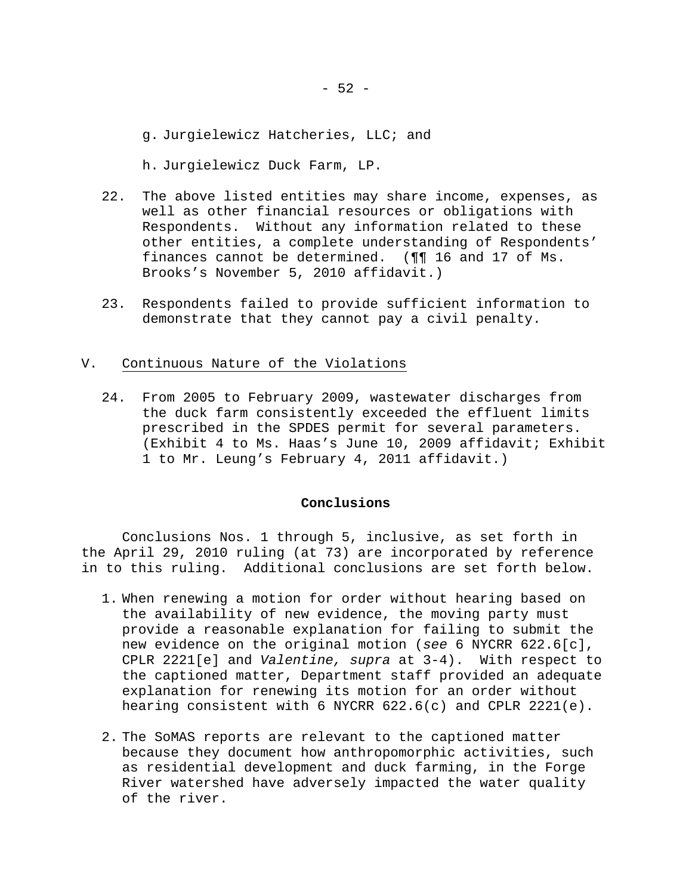g. Jurgielewicz Hatcheries, LLC; and

h. Jurgielewicz Duck Farm, LP.

- 22. The above listed entities may share income, expenses, as well as other financial resources or obligations with Respondents. Without any information related to these other entities, a complete understanding of Respondents' finances cannot be determined. (¶¶ 16 and 17 of Ms. Brooks's November 5, 2010 affidavit.)
- 23. Respondents failed to provide sufficient information to demonstrate that they cannot pay a civil penalty.

### V. Continuous Nature of the Violations

24. From 2005 to February 2009, wastewater discharges from the duck farm consistently exceeded the effluent limits prescribed in the SPDES permit for several parameters. (Exhibit 4 to Ms. Haas's June 10, 2009 affidavit; Exhibit 1 to Mr. Leung's February 4, 2011 affidavit.)

## **Conclusions**

 Conclusions Nos. 1 through 5, inclusive, as set forth in the April 29, 2010 ruling (at 73) are incorporated by reference in to this ruling. Additional conclusions are set forth below.

- 1. When renewing a motion for order without hearing based on the availability of new evidence, the moving party must provide a reasonable explanation for failing to submit the new evidence on the original motion (*see* 6 NYCRR 622.6[c], CPLR 2221[e] and *Valentine, supra* at 3-4). With respect to the captioned matter, Department staff provided an adequate explanation for renewing its motion for an order without hearing consistent with 6 NYCRR 622.6(c) and CPLR 2221(e).
- 2. The SoMAS reports are relevant to the captioned matter because they document how anthropomorphic activities, such as residential development and duck farming, in the Forge River watershed have adversely impacted the water quality of the river.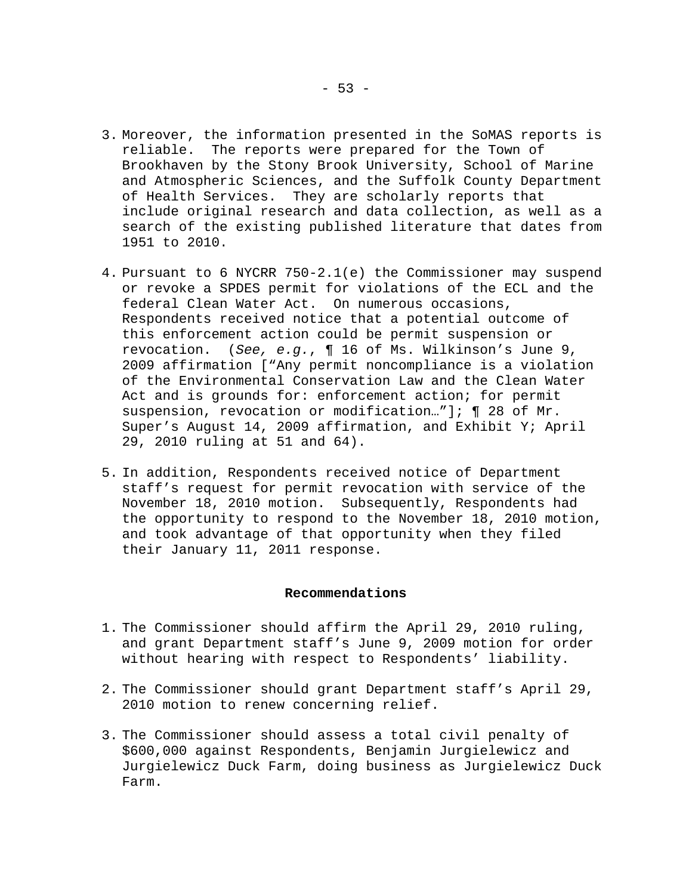- 3. Moreover, the information presented in the SoMAS reports is reliable. The reports were prepared for the Town of Brookhaven by the Stony Brook University, School of Marine and Atmospheric Sciences, and the Suffolk County Department of Health Services. They are scholarly reports that include original research and data collection, as well as a search of the existing published literature that dates from 1951 to 2010.
- 4. Pursuant to 6 NYCRR 750-2.1(e) the Commissioner may suspend or revoke a SPDES permit for violations of the ECL and the federal Clean Water Act. On numerous occasions, Respondents received notice that a potential outcome of this enforcement action could be permit suspension or revocation. (*See, e.g.*, ¶ 16 of Ms. Wilkinson's June 9, 2009 affirmation ["Any permit noncompliance is a violation of the Environmental Conservation Law and the Clean Water Act and is grounds for: enforcement action; for permit suspension, revocation or modification..."]; [ 28 of Mr. Super's August 14, 2009 affirmation, and Exhibit Y; April 29, 2010 ruling at 51 and 64).
- 5. In addition, Respondents received notice of Department staff's request for permit revocation with service of the November 18, 2010 motion. Subsequently, Respondents had the opportunity to respond to the November 18, 2010 motion, and took advantage of that opportunity when they filed their January 11, 2011 response.

### **Recommendations**

- 1. The Commissioner should affirm the April 29, 2010 ruling, and grant Department staff's June 9, 2009 motion for order without hearing with respect to Respondents' liability.
- 2. The Commissioner should grant Department staff's April 29, 2010 motion to renew concerning relief.
- 3. The Commissioner should assess a total civil penalty of \$600,000 against Respondents, Benjamin Jurgielewicz and Jurgielewicz Duck Farm, doing business as Jurgielewicz Duck Farm.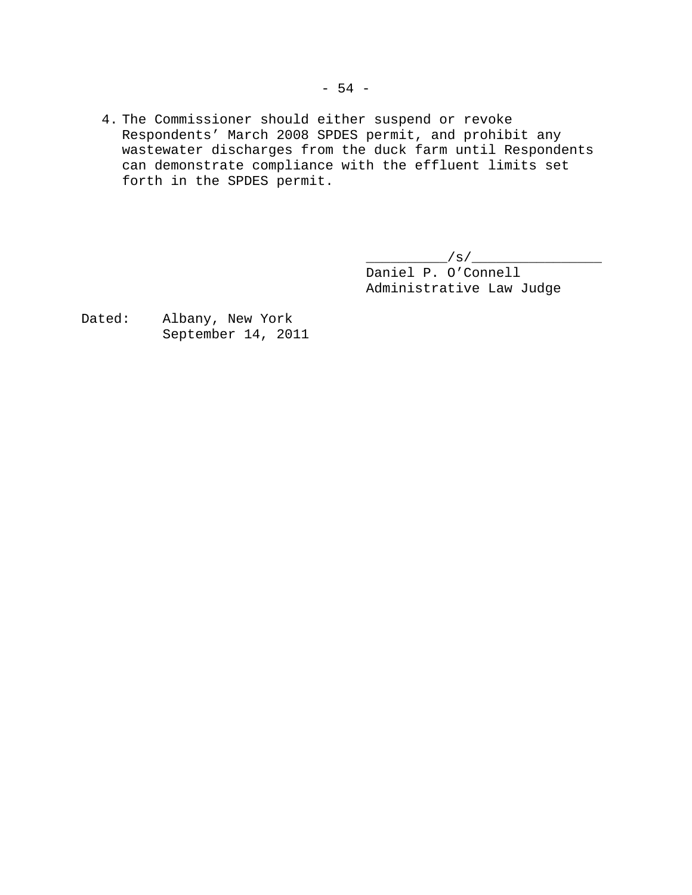4. The Commissioner should either suspend or revoke Respondents' March 2008 SPDES permit, and prohibit any wastewater discharges from the duck farm until Respondents can demonstrate compliance with the effluent limits set forth in the SPDES permit.

> $\frac{1}{s}$ /s/ $\frac{1}{s}$  Daniel P. O'Connell Administrative Law Judge

Dated: Albany, New York September 14, 2011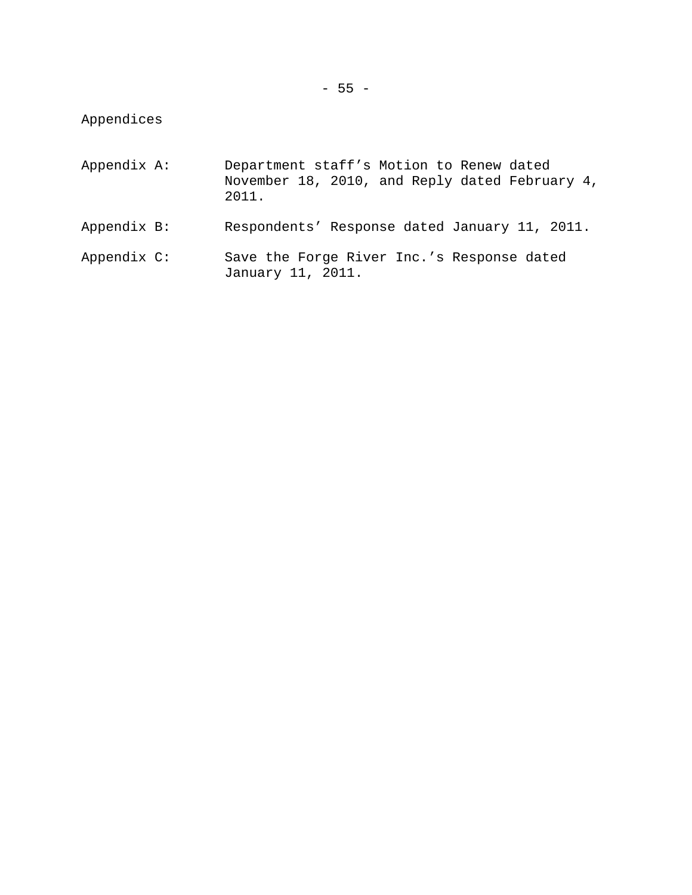Appendices

| Appendix A: | Department staff's Motion to Renew dated<br>November 18, 2010, and Reply dated February 4,<br>2011. |
|-------------|-----------------------------------------------------------------------------------------------------|
| Appendix B: | Respondents' Response dated January 11, 2011.                                                       |
| Appendix C: | Save the Forge River Inc.'s Response dated<br>January 11, 2011.                                     |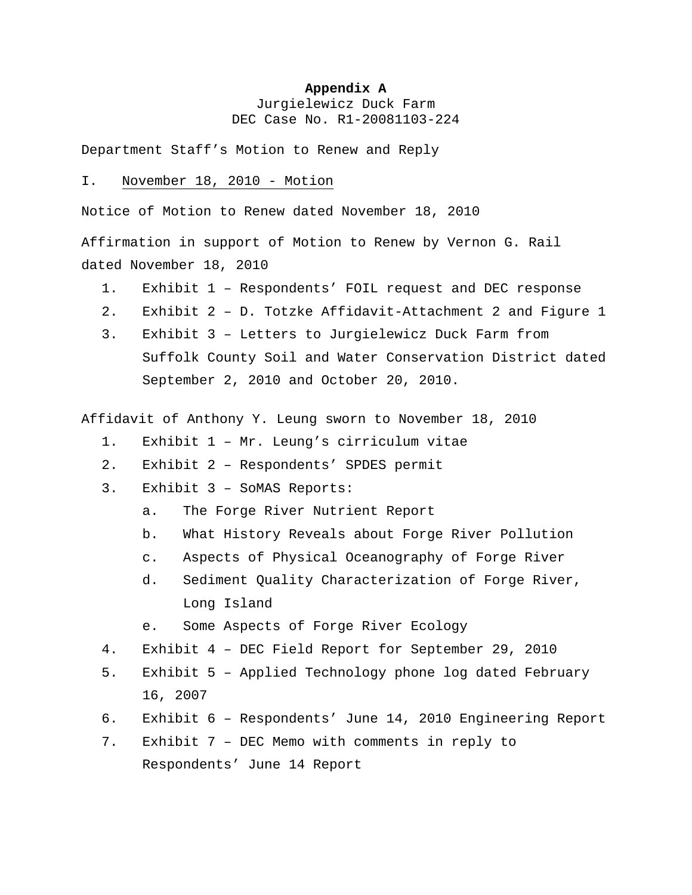### **Appendix A**

Jurgielewicz Duck Farm DEC Case No. R1-20081103-224

Department Staff's Motion to Renew and Reply

# I. November 18, 2010 - Motion

Notice of Motion to Renew dated November 18, 2010

Affirmation in support of Motion to Renew by Vernon G. Rail dated November 18, 2010

- 1. Exhibit 1 Respondents' FOIL request and DEC response
- 2. Exhibit 2 D. Totzke Affidavit-Attachment 2 and Figure 1
- Suffolk County Soil and Water Conservation District dated 3. Exhibit 3 – Letters to Jurgielewicz Duck Farm from September 2, 2010 and October 20, 2010.

Affidavit of Anthony Y. Leung sworn to November 18, 2010

- 1. Exhibit 1 Mr. Leung's cirriculum vitae
- 2. Exhibit 2 Respondents' SPDES permit
- : 3. Exhibit 3 SoMAS Reports
	- a. The Forge River Nutrient Report
	- b. What History Reveals about Forge River Pollution
	- c. Aspects of Physical Oceanography of Forge River
	- Long Island d. Sediment Quality Characterization of Forge River,
	- e. Some Aspects of Forge River Ecology
- 4. Exhibit 4 DEC Field Report for September 29, 2010
- 16, 2007 5. Exhibit 5 – Applied Technology phone log dated February
- 6. Exhibit 6 Respondents' June 14, 2010 Engineering Report
- Respondents' June 14 Report 7. Exhibit 7 – DEC Memo with comments in reply to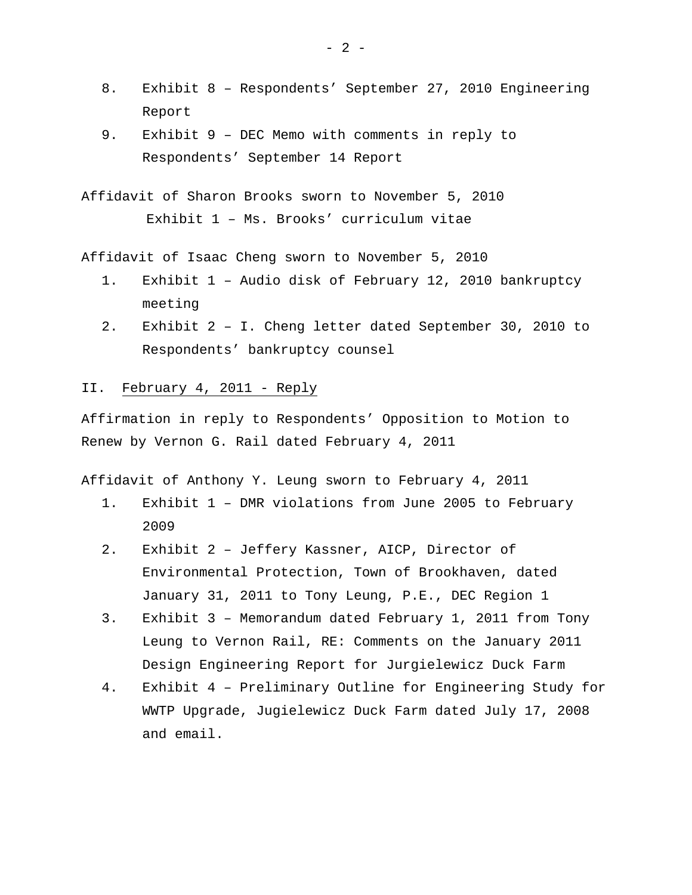- 8. Exhibit 8 Respondents' September 27, 2010 Engineering Report
- Respondents' September 14 Report 9. Exhibit 9 – DEC Memo with comments in reply to
- Affidavit of Sharon Brooks sworn to November 5, 2010 Exhibit 1 – Ms. Brooks' curriculum vitae

Affidavit of Isaac Cheng sworn to November 5, 2010

- 1. Exhibit 1 Audio disk of February 12, 2010 bankruptcy meeting
- 2. Exhibit 2 I. Cheng letter dated September 30, 2010 to Respondents' bankruptcy counsel

## II. February 4, 2011 - Reply

Affirmation in reply to Respondents' Opposition to Motion to Renew by Vernon G. Rail dated February 4, 2011

Affidavit of Anthony Y. Leung sworn to February 4, 2011

- 1. Exhibit 1 DMR violations from June 2005 to February 2009
- 2. Exhibit 2 Jeffery Kassner, AICP, Director of Environmental Protection, Town of Brookhaven, dated January 31, 2011 to Tony Leung, P.E., DEC Region 1
- 3. Exhibit 3 Memorandum dated February 1, 2011 from Tony Leung to Vernon Rail, RE: Comments on the January 2011 Design Engineering Report for Jurgielewicz Duck Farm
- WWTP Upgrade, Jugielewicz Duck Farm dated July 17, 2008 and email. 4. Exhibit 4 – Preliminary Outline for Engineering Study for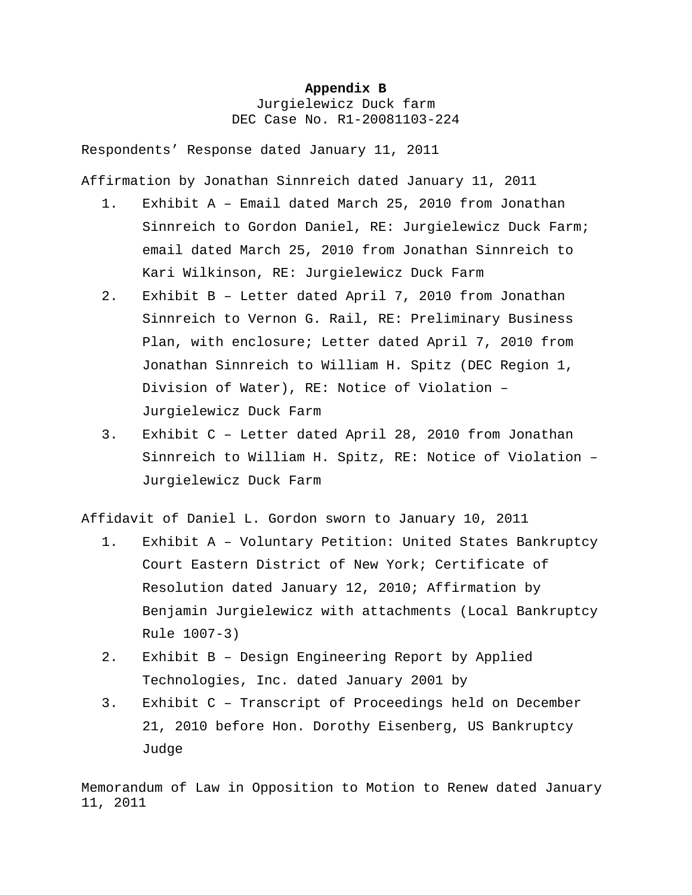### **Appendix B**

Jurgielewicz Duck farm DEC Case No. R1-20081103-224

Respondents' Response dated January 11, 2011

Affirmation by Jonathan Sinnreich dated January 11, 2011

- 1. Exhibit A Email dated March 25, 2010 from Jonatha n Sinnreich to Gordon Daniel, RE: Jurgielewicz Duck Farm; email dated March 25, 2010 from Jonathan Sinnreich to Kari Wilkinson, RE: Jurgielewicz Duck Farm
- 2. Exhibit B Letter dated April 7, 2010 from Jonathan Sinnreich to Vernon G. Rail, RE: Preliminary Business Plan, with enclosure; Letter dated April 7, 2010 from Jonathan Sinnreich to William H. Spitz (DEC Region 1, Division of Water), RE: Notice of Violation – Jurgielewicz Duck Farm
- 3. Exhibit C Letter dated April 28, 2010 from Jonathan Sinnreich to William H. Spitz, RE: Notice of Violation – Jurgielewicz Duck Farm

Affidavit of Daniel L. Gordon sworn to January 10, 2011

- 1. Exhibit A Voluntary Petition: United States Bankruptcy Court Eastern District of New York; Certificate of Resolution dated January 12, 2010; Affirmation by Benjamin Jurgielewicz with attachments (Local Bankruptcy Rule 1007-3)
- 2. Exhibit B Design Engineering Report by Applied Technologies, Inc. dated January 2001 by
- Judge 3. Exhibit C – Transcript of Proceedings held on December 21, 2010 before Hon. Dorothy Eisenberg, US Bankruptcy

Memorandum of Law in Opposition to Motion to Renew dated January 11, 2011